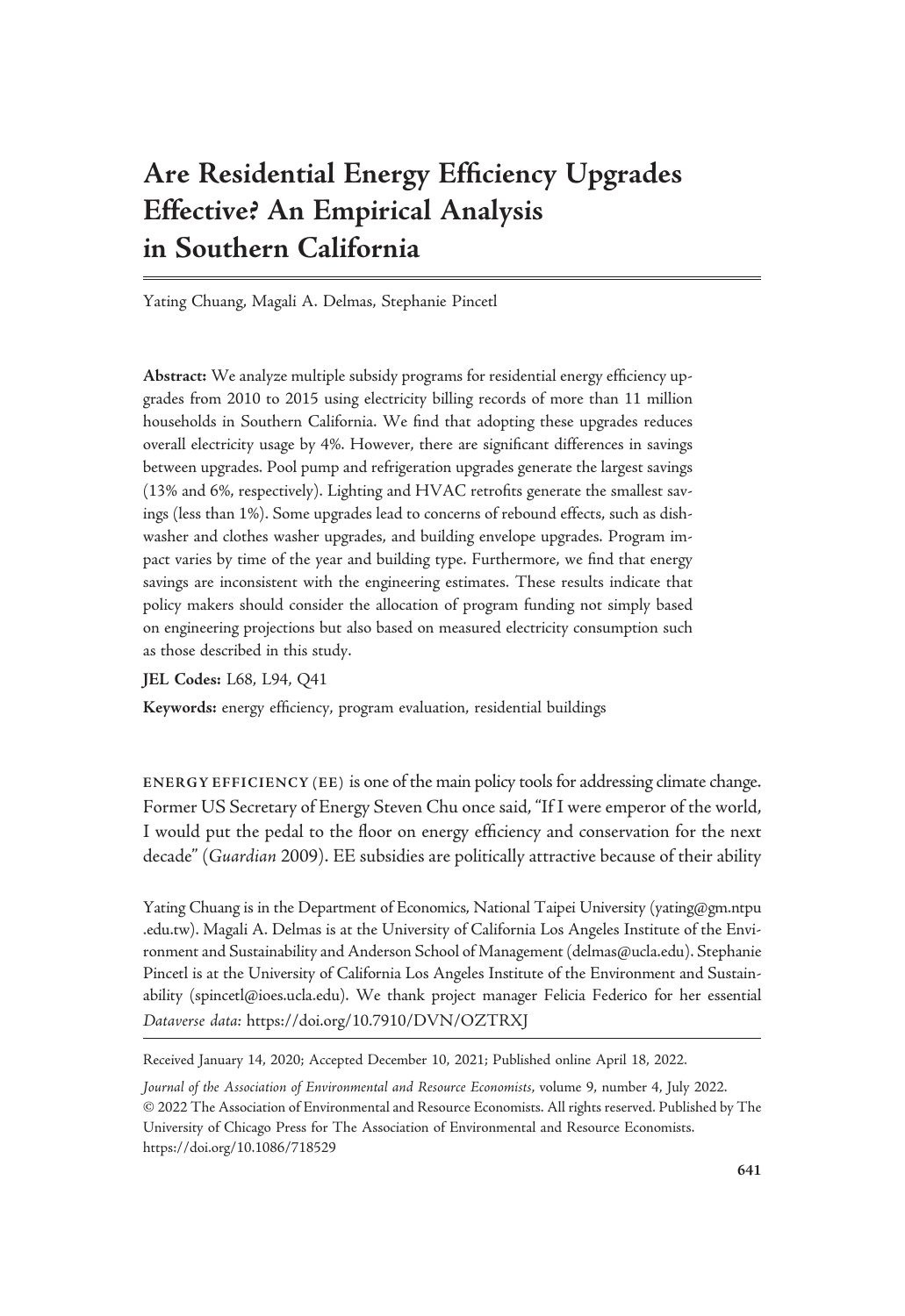# Are Residential Energy Efficiency Upgrades Effective? An Empirical Analysis in Southern California

Yating Chuang, Magali A. Delmas, Stephanie Pincetl

Abstract: We analyze multiple subsidy programs for residential energy efficiency upgrades from 2010 to 2015 using electricity billing records of more than 11 million households in Southern California. We find that adopting these upgrades reduces overall electricity usage by 4%. However, there are significant differences in savings between upgrades. Pool pump and refrigeration upgrades generate the largest savings (13% and 6%, respectively). Lighting and HVAC retrofits generate the smallest savings (less than 1%). Some upgrades lead to concerns of rebound effects, such as dishwasher and clothes washer upgrades, and building envelope upgrades. Program impact varies by time of the year and building type. Furthermore, we find that energy savings are inconsistent with the engineering estimates. These results indicate that policy makers should consider the allocation of program funding not simply based on engineering projections but also based on measured electricity consumption such as those described in this study.

JEL Codes: L68, L94, Q41

Keywords: energy efficiency, program evaluation, residential buildings

ENERGY EFFICIENCY (EE) is one of the main policy tools for addressing climate change. Former US Secretary of Energy Steven Chu once said, "If I were emperor of the world, I would put the pedal to the floor on energy efficiency and conservation for the next decade" (Guardian 2009). EE subsidies are politically attractive because of their ability

Yating Chuang is in the Department of Economics, National Taipei University [\(yating@gm.ntpu](mailto:yating@gm.ntpu.edu.tw) [.edu.tw](mailto:yating@gm.ntpu.edu.tw)). Magali A. Delmas is at the University of California Los Angeles Institute of the Environment and Sustainability and Anderson School of Management ([delmas@ucla.edu\)](mailto:delmas@ucla.edu). Stephanie Pincetl is at the University of California Los Angeles Institute of the Environment and Sustainability [\(spincetl@ioes.ucla.edu](mailto:spincetl@ioes.ucla.edu)). We thank project manager Felicia Federico for her essential Dataverse data: https://doi.org/10.7910/DVN/OZTRXJ

Received January 14, 2020; Accepted December 10, 2021; Published online April 18, 2022.

Journal of the Association of Environmental and Resource Economists, volume 9, number 4, July 2022. © 2022 The Association of Environmental and Resource Economists. All rights reserved. Published by The University of Chicago Press for The Association of Environmental and Resource Economists. <https://doi.org/10.1086/718529>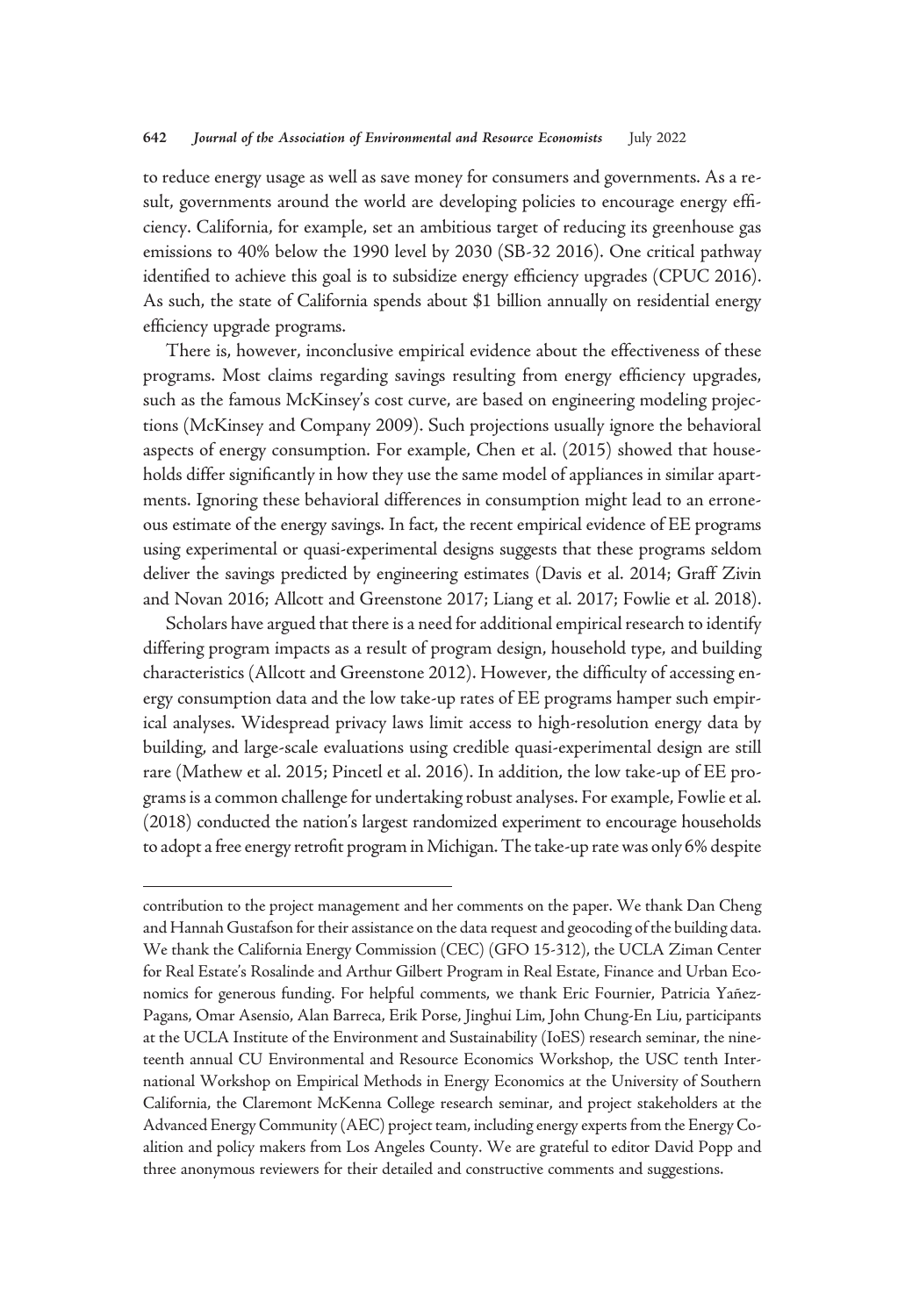to reduce energy usage as well as save money for consumers and governments. As a result, governments around the world are developing policies to encourage energy efficiency. California, for example, set an ambitious target of reducing its greenhouse gas emissions to 40% below the 1990 level by 2030 (SB-32 2016). One critical pathway identified to achieve this goal is to subsidize energy efficiency upgrades (CPUC 2016). As such, the state of California spends about \$1 billion annually on residential energy efficiency upgrade programs.

There is, however, inconclusive empirical evidence about the effectiveness of these programs. Most claims regarding savings resulting from energy efficiency upgrades, such as the famous McKinsey's cost curve, are based on engineering modeling projections (McKinsey and Company 2009). Such projections usually ignore the behavioral aspects of energy consumption. For example, Chen et al. (2015) showed that households differ significantly in how they use the same model of appliances in similar apartments. Ignoring these behavioral differences in consumption might lead to an erroneous estimate of the energy savings. In fact, the recent empirical evidence of EE programs using experimental or quasi-experimental designs suggests that these programs seldom deliver the savings predicted by engineering estimates (Davis et al. 2014; Graff Zivin and Novan 2016; Allcott and Greenstone 2017; Liang et al. 2017; Fowlie et al. 2018).

Scholars have argued that there is a need for additional empirical research to identify differing program impacts as a result of program design, household type, and building characteristics (Allcott and Greenstone 2012). However, the difficulty of accessing energy consumption data and the low take-up rates of EE programs hamper such empirical analyses. Widespread privacy laws limit access to high-resolution energy data by building, and large-scale evaluations using credible quasi-experimental design are still rare (Mathew et al. 2015; Pincetl et al. 2016). In addition, the low take-up of EE programs is a common challenge for undertaking robust analyses. For example, Fowlie et al. (2018) conducted the nation's largest randomized experiment to encourage households to adopt a free energy retrofit program in Michigan. The take-up rate was only 6% despite

contribution to the project management and her comments on the paper. We thank Dan Cheng and Hannah Gustafson for their assistance on the data request and geocoding of the building data. We thank the California Energy Commission (CEC) (GFO 15-312), the UCLA Ziman Center for Real Estate's Rosalinde and Arthur Gilbert Program in Real Estate, Finance and Urban Economics for generous funding. For helpful comments, we thank Eric Fournier, Patricia Yañez-Pagans, Omar Asensio, Alan Barreca, Erik Porse, Jinghui Lim, John Chung-En Liu, participants at the UCLA Institute of the Environment and Sustainability (IoES) research seminar, the nineteenth annual CU Environmental and Resource Economics Workshop, the USC tenth International Workshop on Empirical Methods in Energy Economics at the University of Southern California, the Claremont McKenna College research seminar, and project stakeholders at the Advanced Energy Community (AEC) project team, including energy experts from the Energy Coalition and policy makers from Los Angeles County. We are grateful to editor David Popp and three anonymous reviewers for their detailed and constructive comments and suggestions.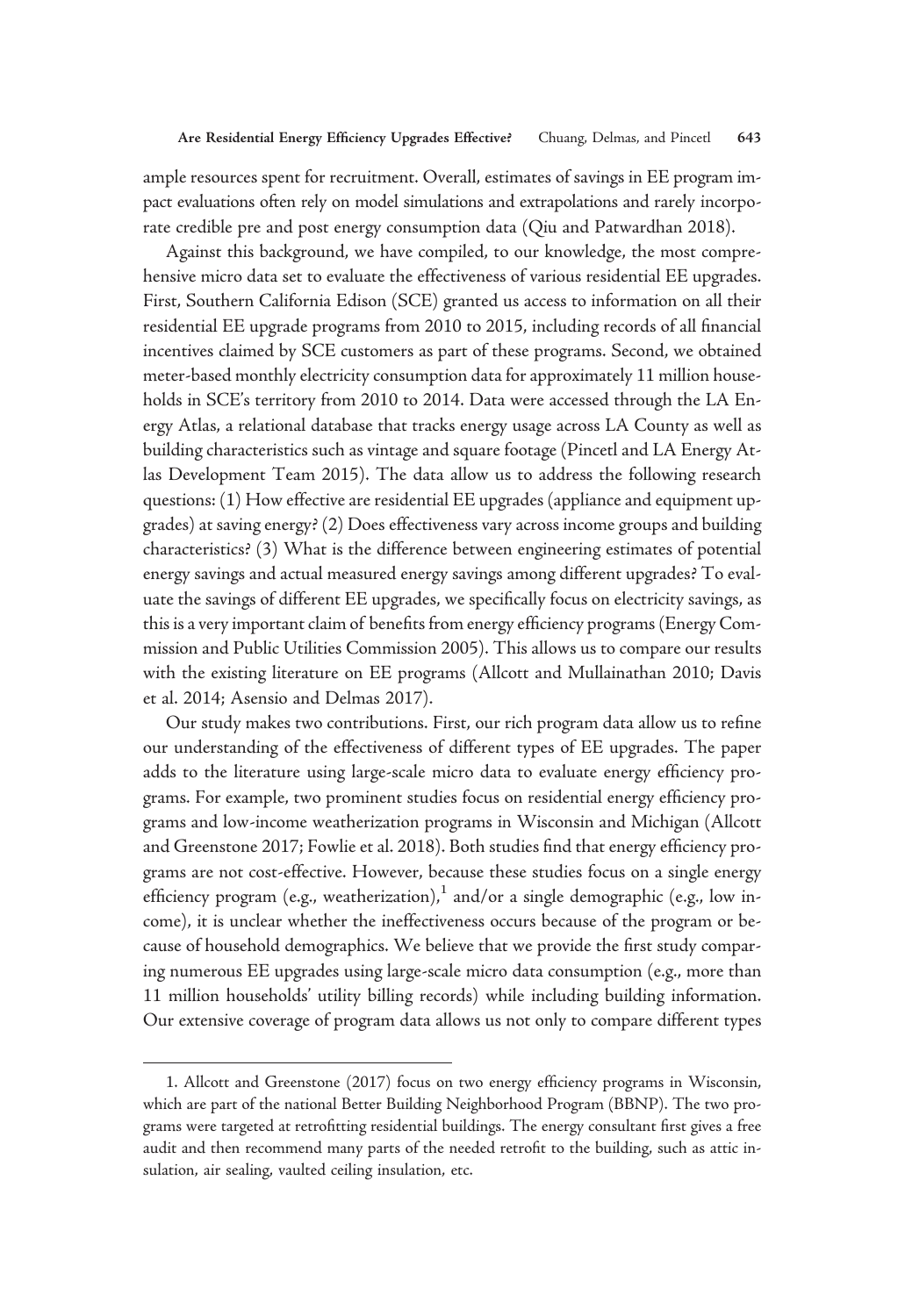ample resources spent for recruitment. Overall, estimates of savings in EE program impact evaluations often rely on model simulations and extrapolations and rarely incorporate credible pre and post energy consumption data (Qiu and Patwardhan 2018).

Against this background, we have compiled, to our knowledge, the most comprehensive micro data set to evaluate the effectiveness of various residential EE upgrades. First, Southern California Edison (SCE) granted us access to information on all their residential EE upgrade programs from 2010 to 2015, including records of all financial incentives claimed by SCE customers as part of these programs. Second, we obtained meter-based monthly electricity consumption data for approximately 11 million households in SCE's territory from 2010 to 2014. Data were accessed through the LA Energy Atlas, a relational database that tracks energy usage across LA County as well as building characteristics such as vintage and square footage (Pincetl and LA Energy Atlas Development Team 2015). The data allow us to address the following research questions: (1) How effective are residential EE upgrades (appliance and equipment upgrades) at saving energy? (2) Does effectiveness vary across income groups and building characteristics? (3) What is the difference between engineering estimates of potential energy savings and actual measured energy savings among different upgrades? To evaluate the savings of different EE upgrades, we specifically focus on electricity savings, as this is a very important claim of benefits from energy efficiency programs (Energy Commission and Public Utilities Commission 2005). This allows us to compare our results with the existing literature on EE programs (Allcott and Mullainathan 2010; Davis et al. 2014; Asensio and Delmas 2017).

Our study makes two contributions. First, our rich program data allow us to refine our understanding of the effectiveness of different types of EE upgrades. The paper adds to the literature using large-scale micro data to evaluate energy efficiency programs. For example, two prominent studies focus on residential energy efficiency programs and low-income weatherization programs in Wisconsin and Michigan (Allcott and Greenstone 2017; Fowlie et al. 2018). Both studies find that energy efficiency programs are not cost-effective. However, because these studies focus on a single energy efficiency program (e.g., weatherization),<sup>1</sup> and/or a single demographic (e.g., low income), it is unclear whether the ineffectiveness occurs because of the program or because of household demographics. We believe that we provide the first study comparing numerous EE upgrades using large-scale micro data consumption (e.g., more than 11 million households' utility billing records) while including building information. Our extensive coverage of program data allows us not only to compare different types

<sup>1.</sup> Allcott and Greenstone (2017) focus on two energy efficiency programs in Wisconsin, which are part of the national Better Building Neighborhood Program (BBNP). The two programs were targeted at retrofitting residential buildings. The energy consultant first gives a free audit and then recommend many parts of the needed retrofit to the building, such as attic insulation, air sealing, vaulted ceiling insulation, etc.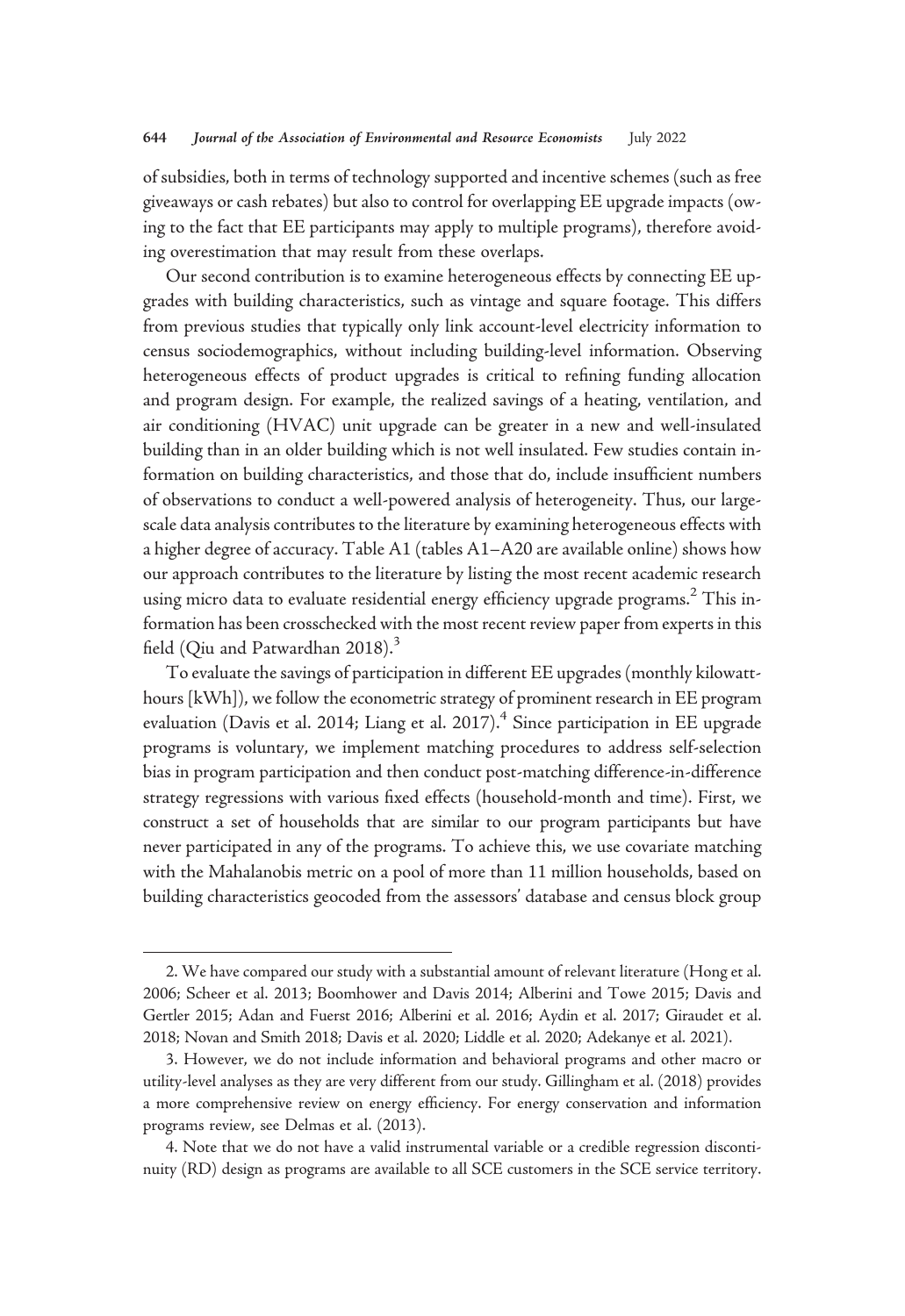of subsidies, both in terms of technology supported and incentive schemes (such as free giveaways or cash rebates) but also to control for overlapping EE upgrade impacts (owing to the fact that EE participants may apply to multiple programs), therefore avoiding overestimation that may result from these overlaps.

Our second contribution is to examine heterogeneous effects by connecting EE upgrades with building characteristics, such as vintage and square footage. This differs from previous studies that typically only link account-level electricity information to census sociodemographics, without including building-level information. Observing heterogeneous effects of product upgrades is critical to refining funding allocation and program design. For example, the realized savings of a heating, ventilation, and air conditioning (HVAC) unit upgrade can be greater in a new and well-insulated building than in an older building which is not well insulated. Few studies contain information on building characteristics, and those that do, include insufficient numbers of observations to conduct a well-powered analysis of heterogeneity. Thus, our largescale data analysis contributes to the literature by examining heterogeneous effects with a higher degree of accuracy. Table A1 (tables A1–A20 are available online) shows how our approach contributes to the literature by listing the most recent academic research using micro data to evaluate residential energy efficiency upgrade programs.<sup>2</sup> This information has been crosschecked with the most recent review paper from experts in this field (Qiu and Patwardhan 2018).<sup>3</sup>

To evaluate the savings of participation in different EE upgrades (monthly kilowatthours [kWh]), we follow the econometric strategy of prominent research in EE program evaluation (Davis et al. 2014; Liang et al. 2017).<sup>4</sup> Since participation in EE upgrade programs is voluntary, we implement matching procedures to address self-selection bias in program participation and then conduct post-matching difference-in-difference strategy regressions with various fixed effects (household-month and time). First, we construct a set of households that are similar to our program participants but have never participated in any of the programs. To achieve this, we use covariate matching with the Mahalanobis metric on a pool of more than 11 million households, based on building characteristics geocoded from the assessors' database and census block group

<sup>2.</sup> We have compared our study with a substantial amount of relevant literature (Hong et al. 2006; Scheer et al. 2013; Boomhower and Davis 2014; Alberini and Towe 2015; Davis and Gertler 2015; Adan and Fuerst 2016; Alberini et al. 2016; Aydin et al. 2017; Giraudet et al. 2018; Novan and Smith 2018; Davis et al. 2020; Liddle et al. 2020; Adekanye et al. 2021).

<sup>3.</sup> However, we do not include information and behavioral programs and other macro or utility-level analyses as they are very different from our study. Gillingham et al. (2018) provides a more comprehensive review on energy efficiency. For energy conservation and information programs review, see Delmas et al. (2013).

<sup>4.</sup> Note that we do not have a valid instrumental variable or a credible regression discontinuity (RD) design as programs are available to all SCE customers in the SCE service territory.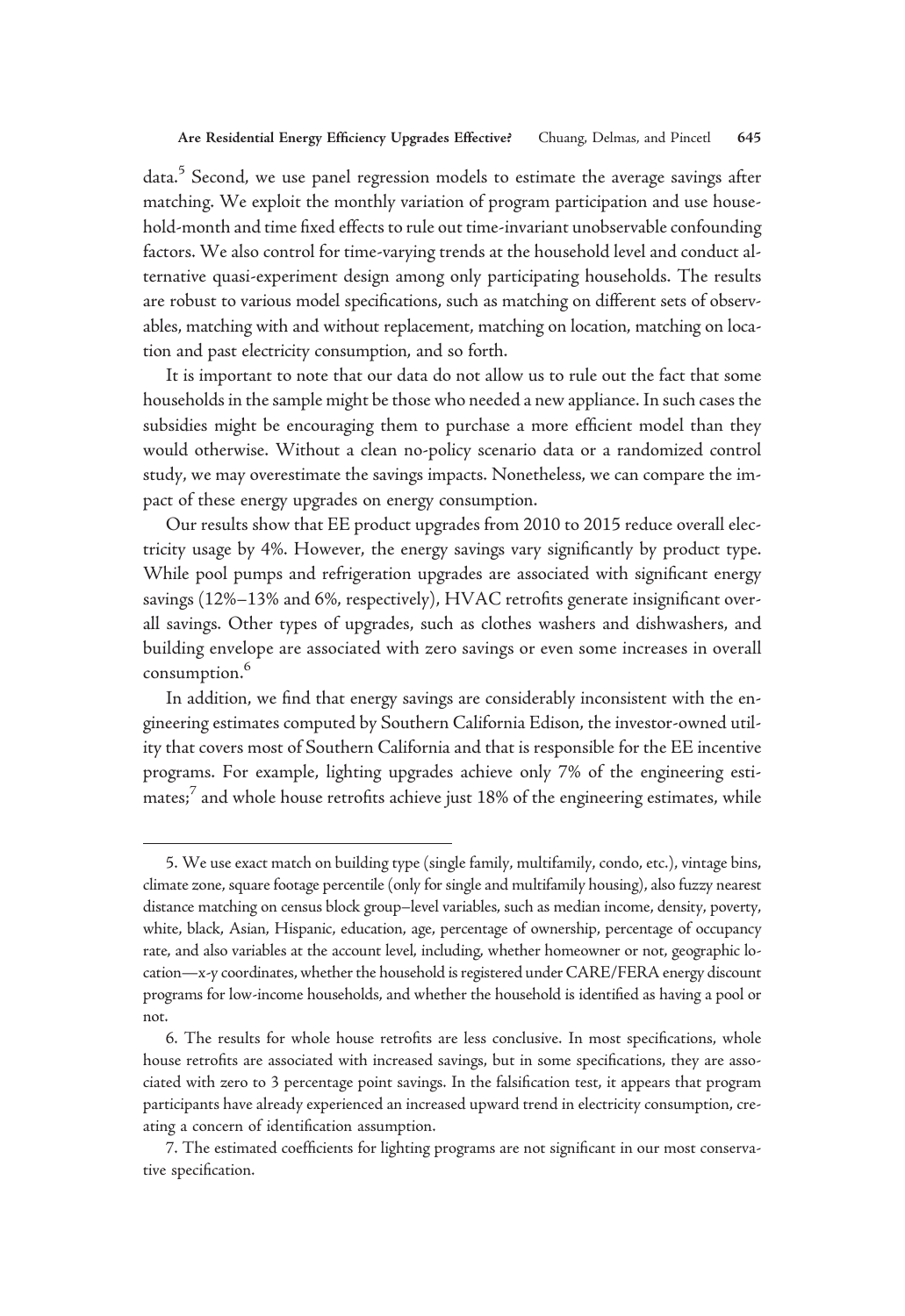data.<sup>5</sup> Second, we use panel regression models to estimate the average savings after matching. We exploit the monthly variation of program participation and use household-month and time fixed effects to rule out time-invariant unobservable confounding factors. We also control for time-varying trends at the household level and conduct alternative quasi-experiment design among only participating households. The results are robust to various model specifications, such as matching on different sets of observables, matching with and without replacement, matching on location, matching on location and past electricity consumption, and so forth.

It is important to note that our data do not allow us to rule out the fact that some households in the sample might be those who needed a new appliance. In such cases the subsidies might be encouraging them to purchase a more efficient model than they would otherwise. Without a clean no-policy scenario data or a randomized control study, we may overestimate the savings impacts. Nonetheless, we can compare the impact of these energy upgrades on energy consumption.

Our results show that EE product upgrades from 2010 to 2015 reduce overall electricity usage by 4%. However, the energy savings vary significantly by product type. While pool pumps and refrigeration upgrades are associated with significant energy savings (12%–13% and 6%, respectively), HVAC retrofits generate insignificant overall savings. Other types of upgrades, such as clothes washers and dishwashers, and building envelope are associated with zero savings or even some increases in overall consumption.<sup>6</sup>

In addition, we find that energy savings are considerably inconsistent with the engineering estimates computed by Southern California Edison, the investor-owned utility that covers most of Southern California and that is responsible for the EE incentive programs. For example, lighting upgrades achieve only 7% of the engineering estimates;<sup>7</sup> and whole house retrofits achieve just 18% of the engineering estimates, while

<sup>5.</sup> We use exact match on building type (single family, multifamily, condo, etc.), vintage bins, climate zone, square footage percentile (only for single and multifamily housing), also fuzzy nearest distance matching on census block group–level variables, such as median income, density, poverty, white, black, Asian, Hispanic, education, age, percentage of ownership, percentage of occupancy rate, and also variables at the account level, including, whether homeowner or not, geographic location—x-y coordinates, whether the household is registered under CARE/FERA energy discount programs for low-income households, and whether the household is identified as having a pool or not.

<sup>6.</sup> The results for whole house retrofits are less conclusive. In most specifications, whole house retrofits are associated with increased savings, but in some specifications, they are associated with zero to 3 percentage point savings. In the falsification test, it appears that program participants have already experienced an increased upward trend in electricity consumption, creating a concern of identification assumption.

<sup>7.</sup> The estimated coefficients for lighting programs are not significant in our most conservative specification.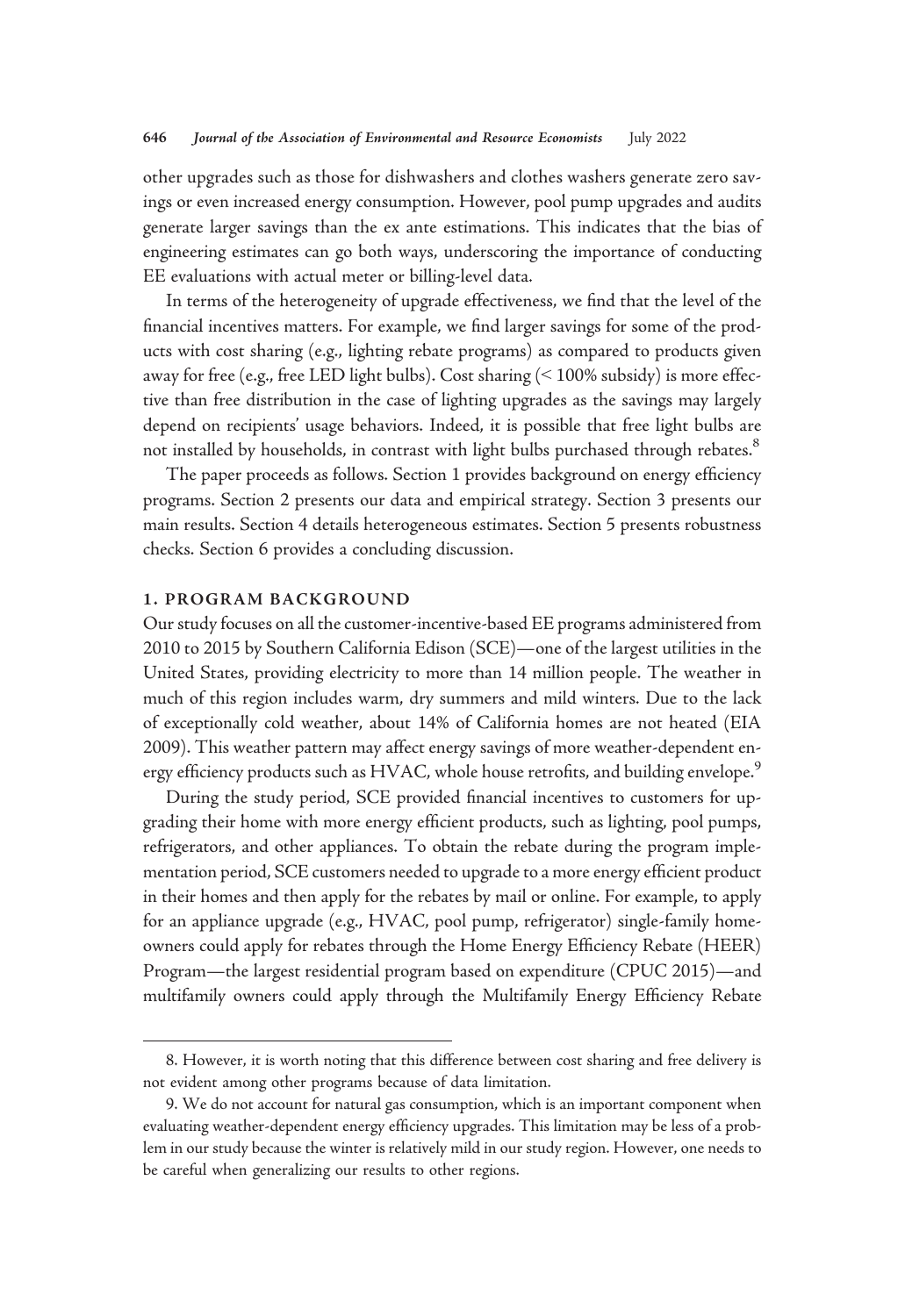other upgrades such as those for dishwashers and clothes washers generate zero savings or even increased energy consumption. However, pool pump upgrades and audits generate larger savings than the ex ante estimations. This indicates that the bias of engineering estimates can go both ways, underscoring the importance of conducting EE evaluations with actual meter or billing-level data.

In terms of the heterogeneity of upgrade effectiveness, we find that the level of the financial incentives matters. For example, we find larger savings for some of the products with cost sharing (e.g., lighting rebate programs) as compared to products given away for free (e.g., free LED light bulbs). Cost sharing (< 100% subsidy) is more effective than free distribution in the case of lighting upgrades as the savings may largely depend on recipients' usage behaviors. Indeed, it is possible that free light bulbs are not installed by households, in contrast with light bulbs purchased through rebates.<sup>8</sup>

The paper proceeds as follows. Section 1 provides background on energy efficiency programs. Section 2 presents our data and empirical strategy. Section 3 presents our main results. Section 4 details heterogeneous estimates. Section 5 presents robustness checks. Section 6 provides a concluding discussion.

## 1. PROGRAM BACKGROUND

Our study focuses on all the customer-incentive-based EE programs administered from 2010 to 2015 by Southern California Edison (SCE)—one of the largest utilities in the United States, providing electricity to more than 14 million people. The weather in much of this region includes warm, dry summers and mild winters. Due to the lack of exceptionally cold weather, about 14% of California homes are not heated (EIA 2009). This weather pattern may affect energy savings of more weather-dependent energy efficiency products such as HVAC, whole house retrofits, and building envelope.<sup>9</sup>

During the study period, SCE provided financial incentives to customers for upgrading their home with more energy efficient products, such as lighting, pool pumps, refrigerators, and other appliances. To obtain the rebate during the program implementation period, SCE customers needed to upgrade to a more energy efficient product in their homes and then apply for the rebates by mail or online. For example, to apply for an appliance upgrade (e.g., HVAC, pool pump, refrigerator) single-family homeowners could apply for rebates through the Home Energy Efficiency Rebate (HEER) Program—the largest residential program based on expenditure (CPUC 2015)—and multifamily owners could apply through the Multifamily Energy Efficiency Rebate

<sup>8.</sup> However, it is worth noting that this difference between cost sharing and free delivery is not evident among other programs because of data limitation.

<sup>9.</sup> We do not account for natural gas consumption, which is an important component when evaluating weather-dependent energy efficiency upgrades. This limitation may be less of a problem in our study because the winter is relatively mild in our study region. However, one needs to be careful when generalizing our results to other regions.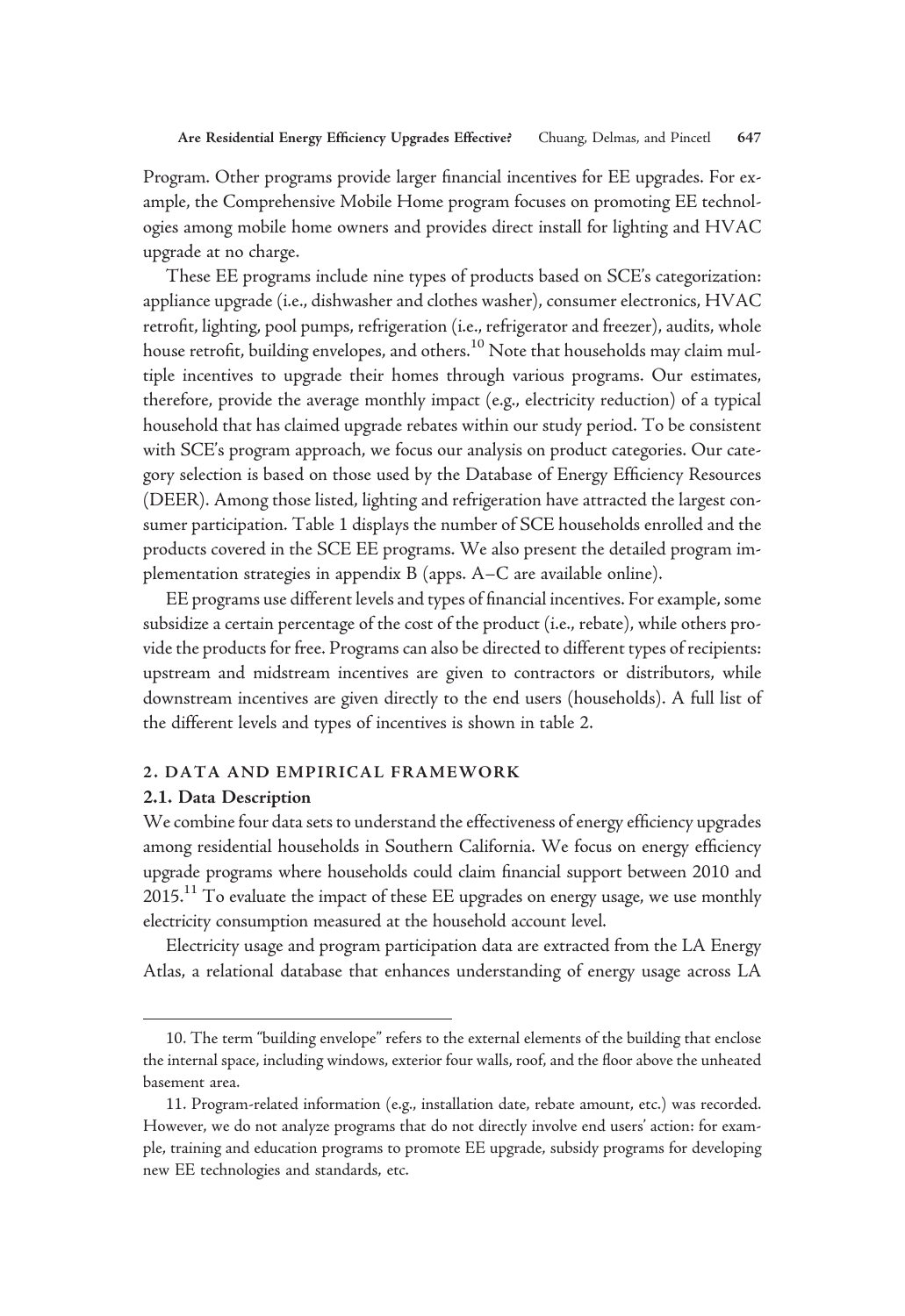Program. Other programs provide larger financial incentives for EE upgrades. For example, the Comprehensive Mobile Home program focuses on promoting EE technologies among mobile home owners and provides direct install for lighting and HVAC upgrade at no charge.

These EE programs include nine types of products based on SCE's categorization: appliance upgrade (i.e., dishwasher and clothes washer), consumer electronics, HVAC retrofit, lighting, pool pumps, refrigeration (i.e., refrigerator and freezer), audits, whole house retrofit, building envelopes, and others.<sup>10</sup> Note that households may claim multiple incentives to upgrade their homes through various programs. Our estimates, therefore, provide the average monthly impact (e.g., electricity reduction) of a typical household that has claimed upgrade rebates within our study period. To be consistent with SCE's program approach, we focus our analysis on product categories. Our category selection is based on those used by the Database of Energy Efficiency Resources (DEER). Among those listed, lighting and refrigeration have attracted the largest consumer participation. Table 1 displays the number of SCE households enrolled and the products covered in the SCE EE programs. We also present the detailed program implementation strategies in appendix B (apps. A–C are available online).

EE programs use different levels and types of financial incentives. For example, some subsidize a certain percentage of the cost of the product (i.e., rebate), while others provide the products for free. Programs can also be directed to different types of recipients: upstream and midstream incentives are given to contractors or distributors, while downstream incentives are given directly to the end users (households). A full list of the different levels and types of incentives is shown in table 2.

## 2. DATA AND EMPIRICAL FRAMEWORK

## 2.1. Data Description

We combine four data sets to understand the effectiveness of energy efficiency upgrades among residential households in Southern California. We focus on energy efficiency upgrade programs where households could claim financial support between 2010 and  $2015<sup>11</sup>$  To evaluate the impact of these EE upgrades on energy usage, we use monthly electricity consumption measured at the household account level.

Electricity usage and program participation data are extracted from the LA Energy Atlas, a relational database that enhances understanding of energy usage across LA

<sup>10.</sup> The term "building envelope" refers to the external elements of the building that enclose the internal space, including windows, exterior four walls, roof, and the floor above the unheated basement area.

<sup>11.</sup> Program-related information (e.g., installation date, rebate amount, etc.) was recorded. However, we do not analyze programs that do not directly involve end users' action: for example, training and education programs to promote EE upgrade, subsidy programs for developing new EE technologies and standards, etc.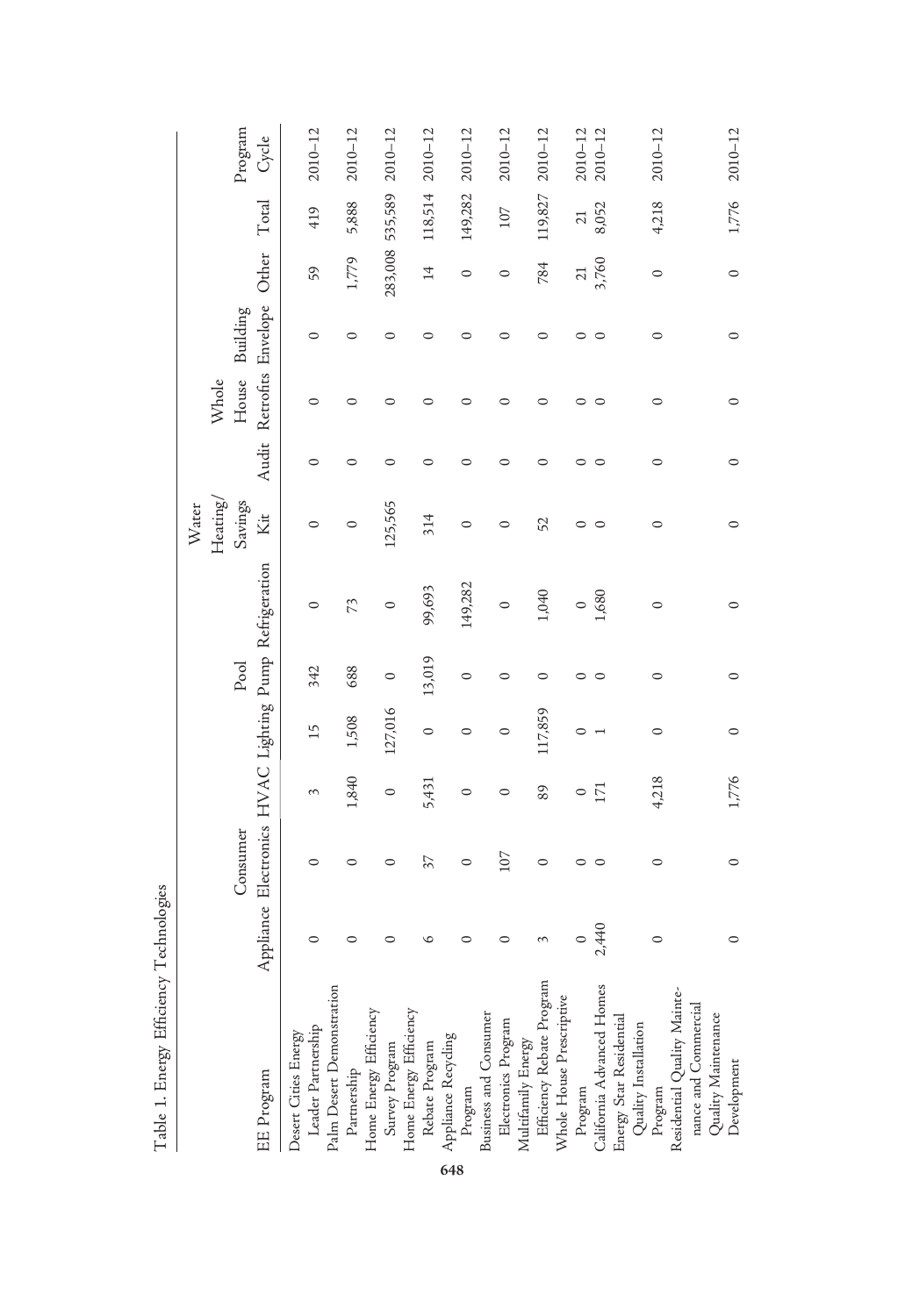|                                                                 |           |          |         |         |         |                                              | Heating/<br>Water |         | Whole   |                                |                 |                 |                  |
|-----------------------------------------------------------------|-----------|----------|---------|---------|---------|----------------------------------------------|-------------------|---------|---------|--------------------------------|-----------------|-----------------|------------------|
| EE Program                                                      | Appliance | Consumer |         |         | Pool    | Electronics HVAC Lighting Pump Refrigeration | Savings<br>Кit    | Audit   | House   | Retrofits Envelope<br>Building | Other           | Total           | Program<br>Cycle |
|                                                                 |           |          |         |         |         |                                              |                   |         |         |                                |                 |                 |                  |
| Desert Cities Energy                                            |           |          |         |         |         |                                              |                   |         |         |                                |                 |                 |                  |
| Leader Partnership                                              |           | 0        | 3       | 15      | 342     | 0                                            | $\circ$           | 0       | 0       | $\circ$                        | 59              | 419             | $2010 - 12$      |
| Palm Desert Demonstration                                       |           |          |         |         |         |                                              |                   |         |         |                                |                 |                 |                  |
| Partnership<br>Home Energy Efficiency<br>Survey Program         |           | 0        | 1,840   | 1,508   | 688     | 73                                           | $\circ$           | 0       | ⊂       | $\circ$                        | 1,779           | 5,888           | $2010 - 12$      |
|                                                                 |           |          |         |         |         |                                              |                   |         |         |                                |                 |                 |                  |
|                                                                 | ⊂         | ○        | $\circ$ | 127,016 | $\circ$ | $\circ$                                      | 125,565           | ○       |         | ○                              | 283,008         | 535,589         | $2010 - 12$      |
| Home Energy Efficiency                                          |           |          |         |         |         |                                              |                   |         |         |                                |                 |                 |                  |
| Rebate Program                                                  | ৩         | 37       | 5,431   | $\circ$ | 13,019  | 99,693                                       | 314               | 0       | ○       | 0                              | $\overline{1}$  | 118,514         | $2010 - 12$      |
| <b>Appliance Recycling</b><br><b>Brogram</b>                    |           |          |         |         |         |                                              |                   |         |         |                                |                 |                 |                  |
|                                                                 | ⊂         | $\circ$  | $\circ$ | 0       | $\circ$ | 149,282                                      | $\circ$           | ○       |         | ⊂                              | 0               | 149,282         | $2010 - 12$      |
| Business and Consumer<br>Electronics Program                    |           |          |         |         |         |                                              |                   |         |         |                                |                 |                 |                  |
|                                                                 | ⊂         | 107      | $\circ$ | $\circ$ | $\circ$ | $\circ$                                      | 0                 | 0       | 0       | 0                              | 0               | 107             | $2010 - 12$      |
|                                                                 |           |          |         |         |         |                                              |                   |         |         |                                |                 |                 |                  |
| Multifamily Energy<br>Efficiency Rebate Program                 | 3         | $\circ$  | 89      | 117,859 | $\circ$ | 1,040                                        | 52                | 0       | 0       | ⊂                              | 784             | 119,827         | $2010 - 12$      |
| Whole House Prescriptive                                        |           |          |         |         |         |                                              |                   |         |         |                                |                 |                 |                  |
|                                                                 | $\circ$   | ○        | $\circ$ | 0       | $\circ$ | $\circ$                                      | 0                 | ○       | 0       | ○                              | $\overline{21}$ | $\overline{21}$ | $2010 - 12$      |
|                                                                 | 2,440     | $\circ$  | 171     |         | $\circ$ | 1,680                                        | $\circ$           | $\circ$ | $\circ$ | ⊂                              | 3,760           | 8,052           | $2010 - 12$      |
| Program<br>California Advanced Homes<br>Energy Star Residential |           |          |         |         |         |                                              |                   |         |         |                                |                 |                 |                  |
|                                                                 |           |          |         |         |         |                                              |                   |         |         |                                |                 |                 |                  |
| Quality Installation<br>Program                                 | $\circ$   | $\circ$  | 4,218   | 0       | $\circ$ | $\circ$                                      | 0                 | $\circ$ | $\circ$ | 0                              | $\circ$         | 4,218           | $2010 - 12$      |
| Residential Quality Mainte-<br>nance and Commercial             |           |          |         |         |         |                                              |                   |         |         |                                |                 |                 |                  |
|                                                                 |           |          |         |         |         |                                              |                   |         |         |                                |                 |                 |                  |
| Quality Maintenance                                             |           |          |         |         |         |                                              |                   |         |         |                                |                 |                 |                  |
| Development                                                     | 0         | $\circ$  | 1,776   | 0       | $\circ$ | ⊂                                            | ⊂                 | $\circ$ | $\circ$ | ⊂                              | 0               | 1,776           | $2010 - 12$      |
|                                                                 |           |          |         |         |         |                                              |                   |         |         |                                |                 |                 |                  |

Table 1. Energy Efficiency Technologies

Table 1. Energy Efficiency Technologies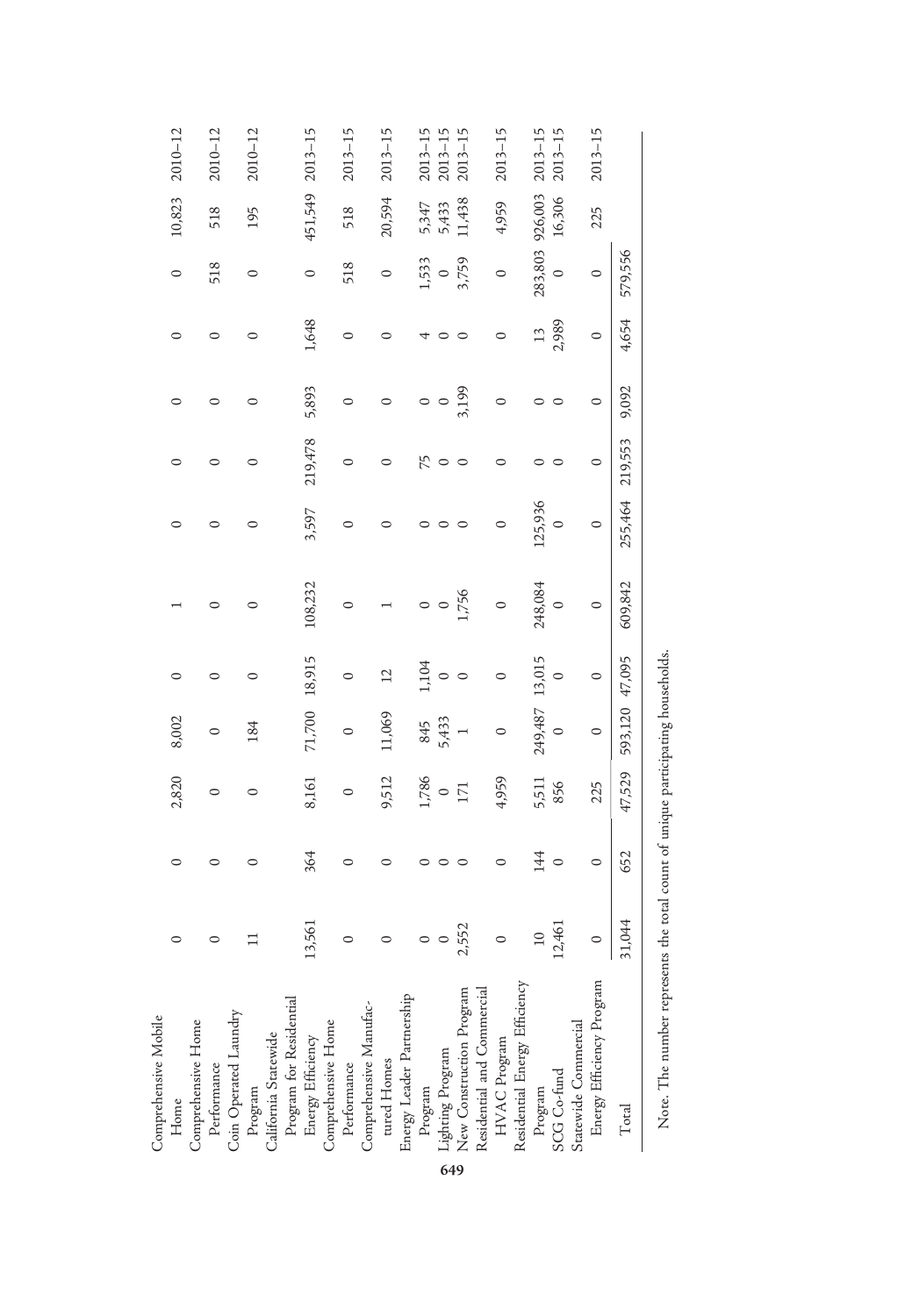| Comprehensive Mobile                                                                                                                                          |                 |         |                  |         |         |           |         |         |         |         |         |         |             |
|---------------------------------------------------------------------------------------------------------------------------------------------------------------|-----------------|---------|------------------|---------|---------|-----------|---------|---------|---------|---------|---------|---------|-------------|
| $H$ ome                                                                                                                                                       |                 | 0       | 2,820            | 8,002   |         |           |         | 0       |         | 0       | 0       | 10,823  | $2010 - 12$ |
| Comprehensive Home                                                                                                                                            |                 |         |                  |         |         |           |         |         |         |         |         |         |             |
| Performance                                                                                                                                                   |                 |         | $\circ$          |         |         |           |         |         |         |         | 518     | 518     | $2010 - 12$ |
| Coin Operated Laundry                                                                                                                                         |                 |         |                  |         |         |           |         |         |         |         |         |         |             |
|                                                                                                                                                               |                 | ○       | $\circ$          | 184     |         | $\subset$ |         | $\circ$ |         | 0       | $\circ$ | 195     | $2010 - 12$ |
|                                                                                                                                                               |                 |         |                  |         |         |           |         |         |         |         |         |         |             |
|                                                                                                                                                               |                 |         |                  |         |         |           |         |         |         |         |         |         |             |
| Program<br>California Statewide<br>Program for Residential<br>Energy Efficiency<br>Comprehensive Home<br>Performance<br>Comprehensive Manufac-<br>tured Homes | 13,561          | 364     | 8,161            | 71,700  | 18,915  | 108,232   | 3,597   | 219,478 | 5,893   | 1,648   | 0       | 451,549 | $2013 - 15$ |
|                                                                                                                                                               |                 |         |                  |         |         |           |         |         |         |         |         |         |             |
|                                                                                                                                                               |                 | 0       | 0                |         |         | C         |         |         |         | $\circ$ | 518     | 518     | $2013 - 15$ |
|                                                                                                                                                               |                 |         |                  |         |         |           |         |         |         |         |         |         |             |
|                                                                                                                                                               |                 |         | 9,512            | 11,069  |         |           |         |         |         |         | 0       | 20,594  | $2013 - 15$ |
| Energy Leader Partnership                                                                                                                                     |                 |         |                  |         |         |           |         |         |         |         |         |         |             |
|                                                                                                                                                               |                 |         |                  | 845     | 1,104   |           |         | 75      |         |         | 1,533   | 5,347   | $2013 - 15$ |
|                                                                                                                                                               | $\circ$         |         | $\frac{1786}{0}$ | 5,433   |         | $\circ$   |         | $\circ$ | $\circ$ |         | $\circ$ | 5,433   | $2013 - 15$ |
| Program<br>Lighting Program<br>New Construction Program                                                                                                       | 2,552           |         |                  |         |         | 1,756     |         |         | 3,199   |         | 3,759   | 11,438  | $2013 - 15$ |
| Residential and Commercial                                                                                                                                    |                 |         |                  |         |         |           |         |         |         |         |         |         |             |
| HVAC Program<br>Residential Energy Efficiency                                                                                                                 | $\circ$         | 0       | 4,959            | $\circ$ | $\circ$ | $\circ$   | $\circ$ |         | $\circ$ | 0       | $\circ$ | 4,959   | $2013 - 15$ |
|                                                                                                                                                               |                 |         |                  |         |         |           |         |         |         |         |         |         |             |
|                                                                                                                                                               | $\overline{10}$ | 14      | 5,511            | 249,487 | 13,015  | 248,084   | 125,936 |         |         | 13      | 283,803 | 926,003 | $2013 - 15$ |
| Program<br>SCG Co-fund                                                                                                                                        | 12,461          | $\circ$ | 856              | $\circ$ | $\circ$ | $\circ$   | $\circ$ |         |         | 2,989   | $\circ$ | 16,306  | $2013 - 15$ |
|                                                                                                                                                               |                 |         |                  |         |         |           |         |         |         |         |         |         |             |
| Statewide Commercial<br>Energy Efficiency Program                                                                                                             | $\circ$         | $\circ$ | 225              | $\circ$ | $\circ$ | $\circ$   | $\circ$ | $\circ$ | $\circ$ | $\circ$ | $\circ$ | 225     | $2013 - 15$ |
| $\rm Total$                                                                                                                                                   | 31,044          | 652     | 47,529           | 593,120 | 47,095  | 609,842   | 255,464 | 219,553 | 9,092   | 4,654   | 579,556 |         |             |
| $\overline{a}$                                                                                                                                                |                 |         |                  |         | F<br>F  |           |         |         |         |         |         |         |             |

Note. The number represents the total count of unique participating households. Note. The number represents the total count of unique participating households.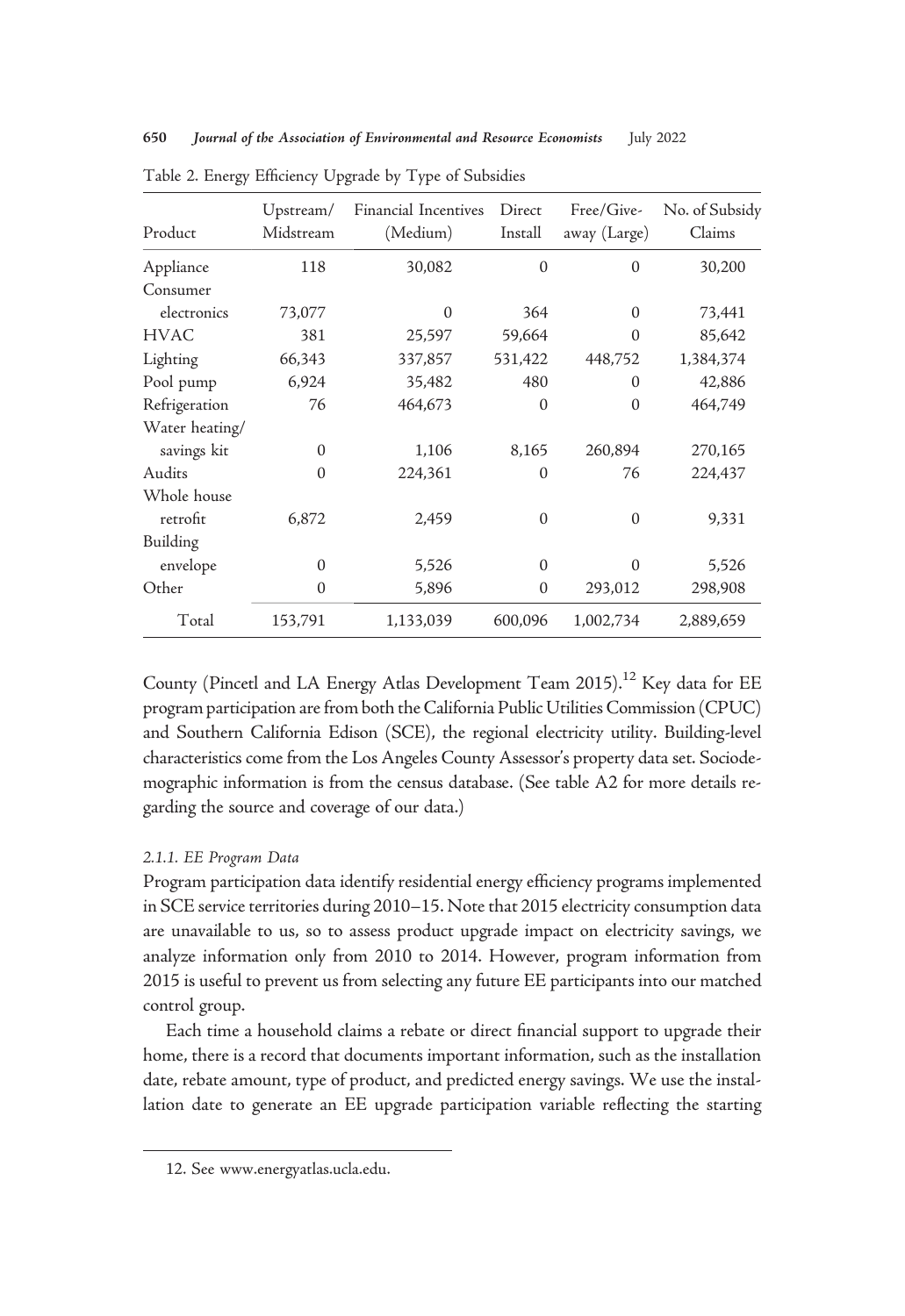| Product        | Upstream/<br>Midstream | Financial Incentives<br>(Medium) | Direct<br>Install | Free/Give-<br>away (Large) | No. of Subsidy<br>Claims |
|----------------|------------------------|----------------------------------|-------------------|----------------------------|--------------------------|
| Appliance      | 118                    | 30,082                           | $\mathbf{0}$      | $\mathbf{0}$               | 30,200                   |
| Consumer       |                        |                                  |                   |                            |                          |
| electronics    | 73,077                 | $\mathbf{0}$                     | 364               | $\Omega$                   | 73,441                   |
| <b>HVAC</b>    | 381                    | 25,597                           | 59,664            | 0                          | 85,642                   |
| Lighting       | 66,343                 | 337,857                          | 531,422           | 448,752                    | 1,384,374                |
| Pool pump      | 6,924                  | 35,482                           | 480               | $\Omega$                   | 42,886                   |
| Refrigeration  | 76                     | 464,673                          | $\mathbf{0}$      | $\Omega$                   | 464,749                  |
| Water heating/ |                        |                                  |                   |                            |                          |
| savings kit    | $\Omega$               | 1,106                            | 8,165             | 260,894                    | 270,165                  |
| Audits         | $\Omega$               | 224,361                          | $\Omega$          | 76                         | 224,437                  |
| Whole house    |                        |                                  |                   |                            |                          |
| retrofit       | 6,872                  | 2,459                            | $\theta$          | $\Omega$                   | 9,331                    |
| Building       |                        |                                  |                   |                            |                          |
| envelope       | $\Omega$               | 5,526                            | $\Omega$          | $\theta$                   | 5,526                    |
| Other          | $\Omega$               | 5,896                            | $\mathbf{0}$      | 293,012                    | 298,908                  |
| Total          | 153,791                | 1,133,039                        | 600,096           | 1,002,734                  | 2,889,659                |

Table 2. Energy Efficiency Upgrade by Type of Subsidies

County (Pincetl and LA Energy Atlas Development Team 2015).<sup>12</sup> Key data for EE program participation are from both the California Public Utilities Commission (CPUC) and Southern California Edison (SCE), the regional electricity utility. Building-level characteristics come from the Los Angeles County Assessor's property data set. Sociodemographic information is from the census database. (See table A2 for more details regarding the source and coverage of our data.)

## 2.1.1. EE Program Data

Program participation data identify residential energy efficiency programs implemented in SCE service territories during 2010–15. Note that 2015 electricity consumption data are unavailable to us, so to assess product upgrade impact on electricity savings, we analyze information only from 2010 to 2014. However, program information from 2015 is useful to prevent us from selecting any future EE participants into our matched control group.

Each time a household claims a rebate or direct financial support to upgrade their home, there is a record that documents important information, such as the installation date, rebate amount, type of product, and predicted energy savings. We use the installation date to generate an EE upgrade participation variable reflecting the starting

<sup>12.</sup> See [www.energyatlas.ucla.edu.](https://www.energyatlas.ucla.edu)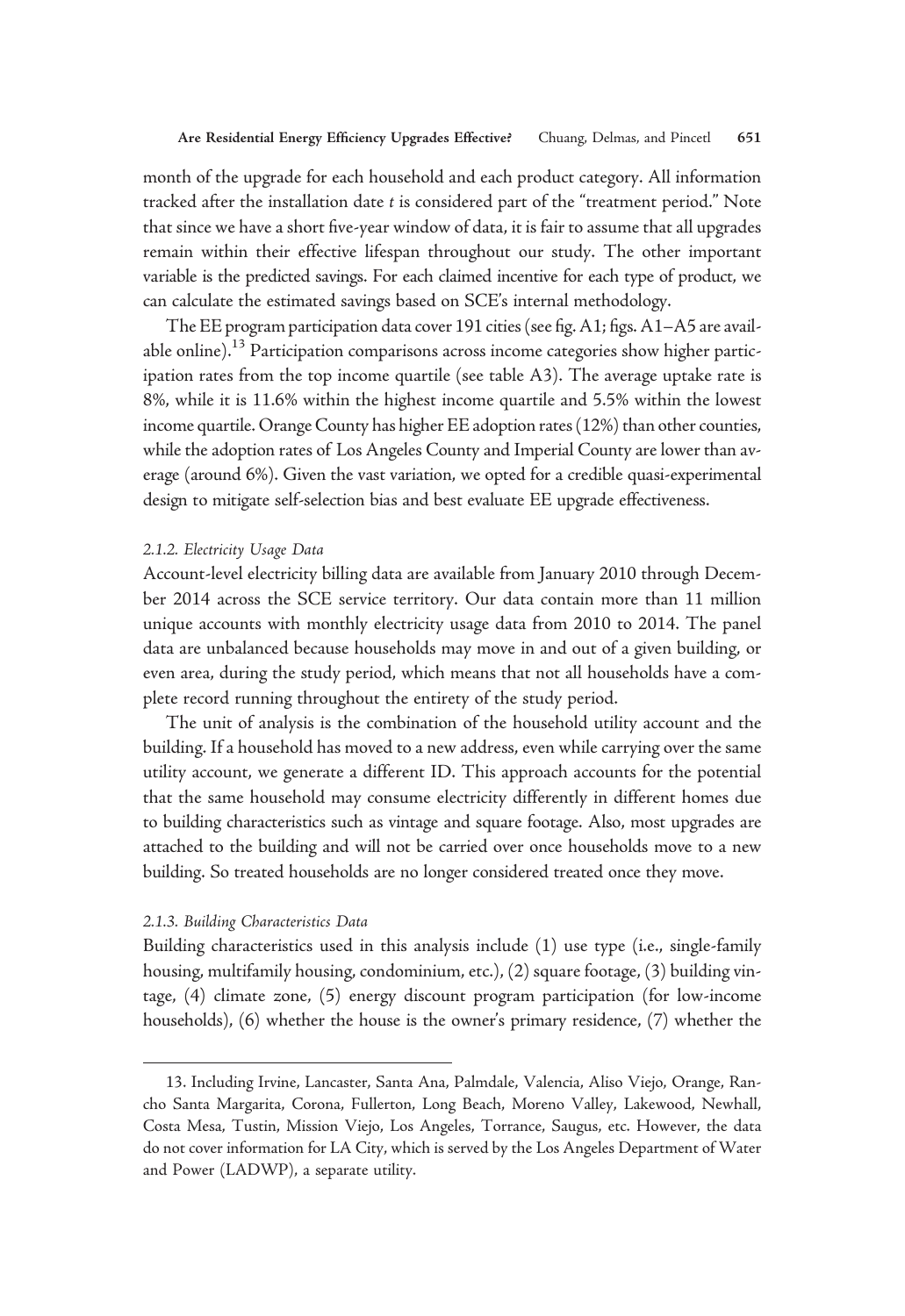month of the upgrade for each household and each product category. All information tracked after the installation date t is considered part of the "treatment period." Note that since we have a short five-year window of data, it is fair to assume that all upgrades remain within their effective lifespan throughout our study. The other important variable is the predicted savings. For each claimed incentive for each type of product, we can calculate the estimated savings based on SCE's internal methodology.

The EE program participation data cover 191 cities (see fig. A1; figs. A1–A5 are available online).<sup>13</sup> Participation comparisons across income categories show higher participation rates from the top income quartile (see table A3). The average uptake rate is 8%, while it is 11.6% within the highest income quartile and 5.5% within the lowest income quartile. Orange County has higher EE adoption rates (12%) than other counties, while the adoption rates of Los Angeles County and Imperial County are lower than average (around 6%). Given the vast variation, we opted for a credible quasi-experimental design to mitigate self-selection bias and best evaluate EE upgrade effectiveness.

## 2.1.2. Electricity Usage Data

Account-level electricity billing data are available from January 2010 through December 2014 across the SCE service territory. Our data contain more than 11 million unique accounts with monthly electricity usage data from 2010 to 2014. The panel data are unbalanced because households may move in and out of a given building, or even area, during the study period, which means that not all households have a complete record running throughout the entirety of the study period.

The unit of analysis is the combination of the household utility account and the building. If a household has moved to a new address, even while carrying over the same utility account, we generate a different ID. This approach accounts for the potential that the same household may consume electricity differently in different homes due to building characteristics such as vintage and square footage. Also, most upgrades are attached to the building and will not be carried over once households move to a new building. So treated households are no longer considered treated once they move.

## 2.1.3. Building Characteristics Data

Building characteristics used in this analysis include (1) use type (i.e., single-family housing, multifamily housing, condominium, etc.), (2) square footage, (3) building vintage, (4) climate zone, (5) energy discount program participation (for low-income households), (6) whether the house is the owner's primary residence, (7) whether the

<sup>13.</sup> Including Irvine, Lancaster, Santa Ana, Palmdale, Valencia, Aliso Viejo, Orange, Rancho Santa Margarita, Corona, Fullerton, Long Beach, Moreno Valley, Lakewood, Newhall, Costa Mesa, Tustin, Mission Viejo, Los Angeles, Torrance, Saugus, etc. However, the data do not cover information for LA City, which is served by the Los Angeles Department of Water and Power (LADWP), a separate utility.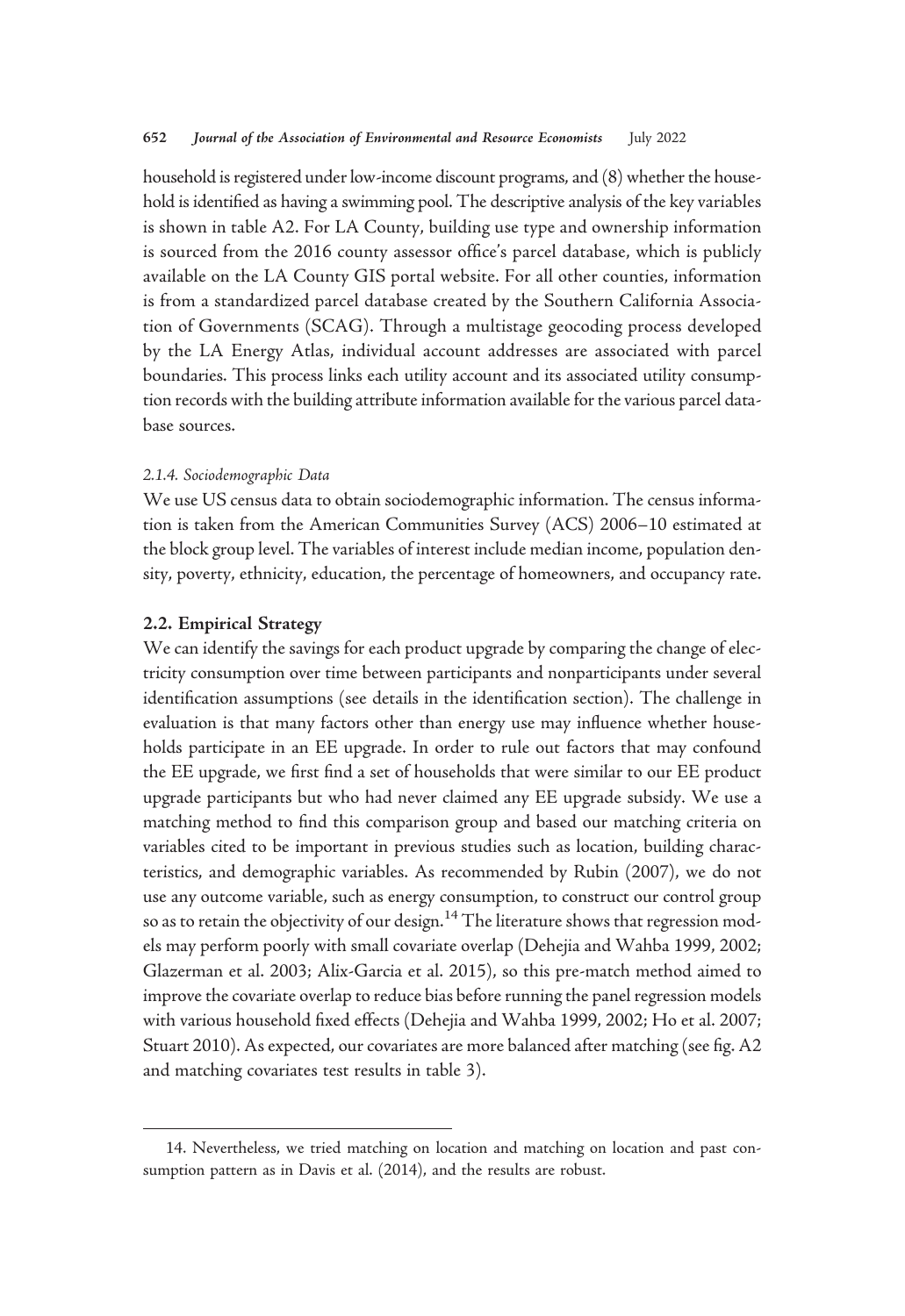household is registered under low-income discount programs, and (8) whether the household is identified as having a swimming pool. The descriptive analysis of the key variables is shown in table A2. For LA County, building use type and ownership information is sourced from the 2016 county assessor office's parcel database, which is publicly available on the LA County GIS portal website. For all other counties, information is from a standardized parcel database created by the Southern California Association of Governments (SCAG). Through a multistage geocoding process developed by the LA Energy Atlas, individual account addresses are associated with parcel boundaries. This process links each utility account and its associated utility consumption records with the building attribute information available for the various parcel database sources.

#### 2.1.4. Sociodemographic Data

We use US census data to obtain sociodemographic information. The census information is taken from the American Communities Survey (ACS) 2006–10 estimated at the block group level. The variables of interest include median income, population density, poverty, ethnicity, education, the percentage of homeowners, and occupancy rate.

## 2.2. Empirical Strategy

We can identify the savings for each product upgrade by comparing the change of electricity consumption over time between participants and nonparticipants under several identification assumptions (see details in the identification section). The challenge in evaluation is that many factors other than energy use may influence whether households participate in an EE upgrade. In order to rule out factors that may confound the EE upgrade, we first find a set of households that were similar to our EE product upgrade participants but who had never claimed any EE upgrade subsidy. We use a matching method to find this comparison group and based our matching criteria on variables cited to be important in previous studies such as location, building characteristics, and demographic variables. As recommended by Rubin (2007), we do not use any outcome variable, such as energy consumption, to construct our control group so as to retain the objectivity of our design.<sup>14</sup> The literature shows that regression models may perform poorly with small covariate overlap (Dehejia and Wahba 1999, 2002; Glazerman et al. 2003; Alix-Garcia et al. 2015), so this pre-match method aimed to improve the covariate overlap to reduce bias before running the panel regression models with various household fixed effects (Dehejia and Wahba 1999, 2002; Ho et al. 2007; Stuart 2010). As expected, our covariates are more balanced after matching (see fig. A2 and matching covariates test results in table 3).

<sup>14.</sup> Nevertheless, we tried matching on location and matching on location and past consumption pattern as in Davis et al. (2014), and the results are robust.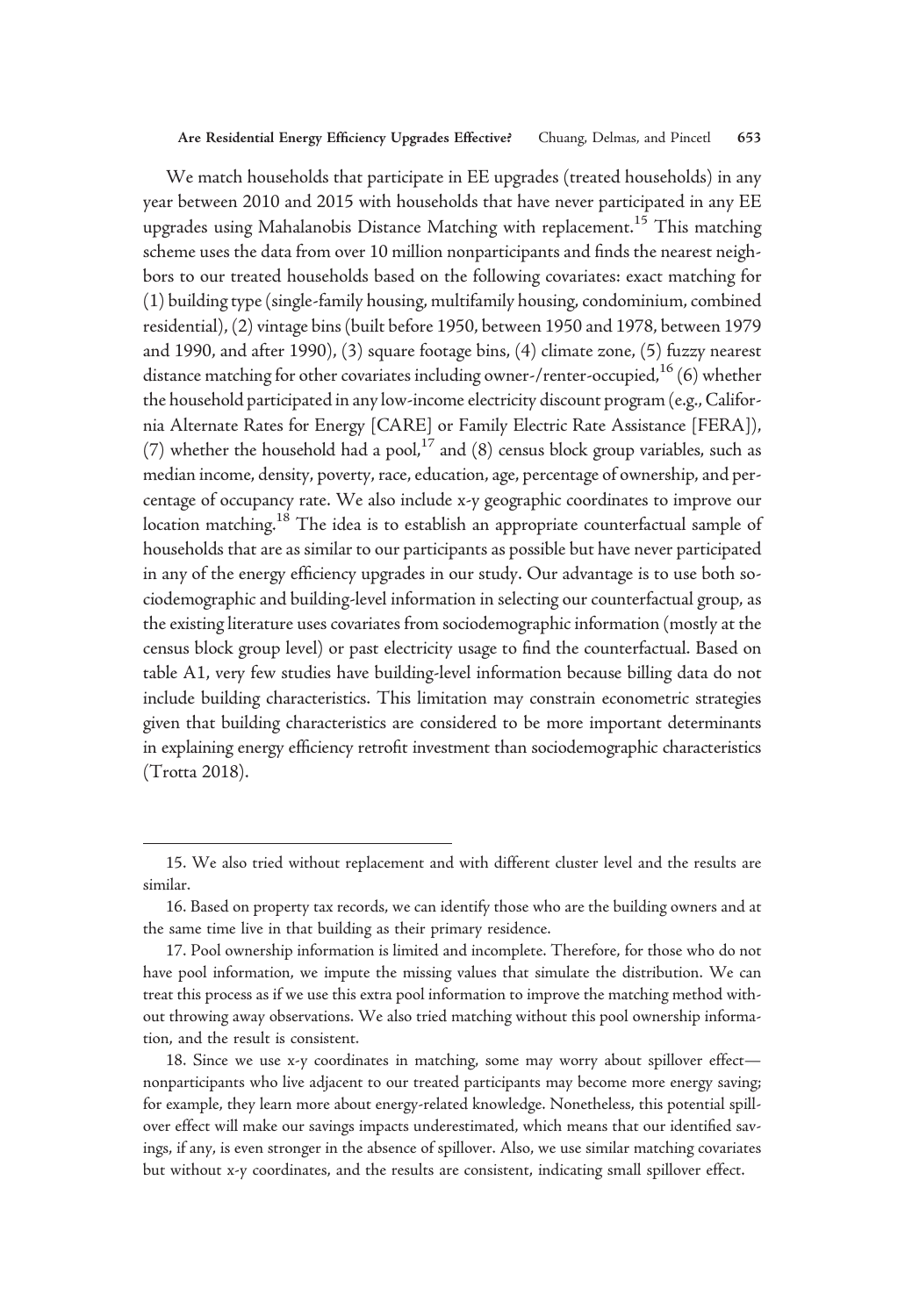We match households that participate in EE upgrades (treated households) in any year between 2010 and 2015 with households that have never participated in any EE upgrades using Mahalanobis Distance Matching with replacement.<sup>15</sup> This matching scheme uses the data from over 10 million nonparticipants and finds the nearest neighbors to our treated households based on the following covariates: exact matching for (1) building type (single-family housing, multifamily housing, condominium, combined residential), (2) vintage bins (built before 1950, between 1950 and 1978, between 1979 and 1990, and after 1990), (3) square footage bins, (4) climate zone, (5) fuzzy nearest distance matching for other covariates including owner-/renter-occupied, $^{16}$  (6) whether the household participated in any low-income electricity discount program (e.g., California Alternate Rates for Energy [CARE] or Family Electric Rate Assistance [FERA]), (7) whether the household had a pool,<sup>17</sup> and (8) census block group variables, such as median income, density, poverty, race, education, age, percentage of ownership, and percentage of occupancy rate. We also include x-y geographic coordinates to improve our location matching.<sup>18</sup> The idea is to establish an appropriate counterfactual sample of households that are as similar to our participants as possible but have never participated in any of the energy efficiency upgrades in our study. Our advantage is to use both sociodemographic and building-level information in selecting our counterfactual group, as the existing literature uses covariates from sociodemographic information (mostly at the census block group level) or past electricity usage to find the counterfactual. Based on table A1, very few studies have building-level information because billing data do not include building characteristics. This limitation may constrain econometric strategies given that building characteristics are considered to be more important determinants in explaining energy efficiency retrofit investment than sociodemographic characteristics (Trotta 2018).

<sup>15.</sup> We also tried without replacement and with different cluster level and the results are similar.

<sup>16.</sup> Based on property tax records, we can identify those who are the building owners and at the same time live in that building as their primary residence.

<sup>17.</sup> Pool ownership information is limited and incomplete. Therefore, for those who do not have pool information, we impute the missing values that simulate the distribution. We can treat this process as if we use this extra pool information to improve the matching method without throwing away observations. We also tried matching without this pool ownership information, and the result is consistent.

<sup>18.</sup> Since we use x-y coordinates in matching, some may worry about spillover effect nonparticipants who live adjacent to our treated participants may become more energy saving; for example, they learn more about energy-related knowledge. Nonetheless, this potential spillover effect will make our savings impacts underestimated, which means that our identified savings, if any, is even stronger in the absence of spillover. Also, we use similar matching covariates but without x-y coordinates, and the results are consistent, indicating small spillover effect.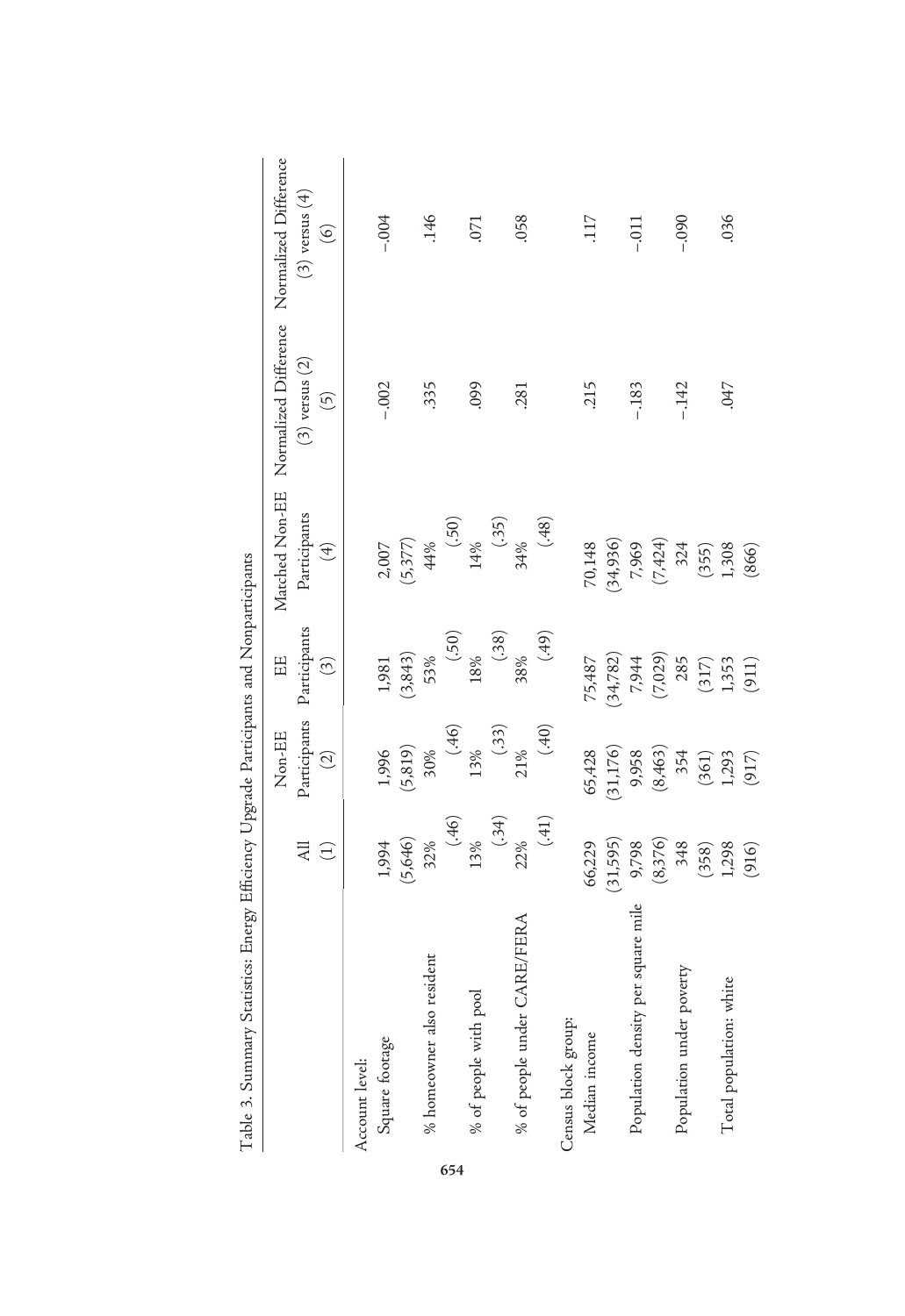| Table 3. Summary Statistics: Energy Efficiency Upgrade Participants and Nonparticipants |             |          |                           |              |                                                            |                    |
|-----------------------------------------------------------------------------------------|-------------|----------|---------------------------|--------------|------------------------------------------------------------|--------------------|
|                                                                                         |             | Non-EE   | EE                        |              | Matched Non-EE Normalized Difference Normalized Difference |                    |
|                                                                                         | All         |          | Participants Participants | Participants | $(3)$ versus $(2)$                                         | $(3)$ versus $(4)$ |
|                                                                                         | $\bigoplus$ | $\odot$  | $\widehat{\mathcal{L}}$   | $\bigoplus$  | $\widetilde{\Theta}$                                       | $\odot$            |
| Account level:                                                                          |             |          |                           |              |                                                            |                    |
| Square footage                                                                          | 1,994       | 1,996    | 1,981                     | 2,007        | $-.002$                                                    | $-0.004$           |
|                                                                                         | (5,646)     | (5, 819) | (3,843)                   | (5, 377)     |                                                            |                    |
| % homeowner also resident                                                               | 32%         | 30%      | 53%                       | 44%          | .335                                                       | .146               |
|                                                                                         | (46)        | (.46)    | (50)                      | (05)         |                                                            |                    |
| % of people with pool                                                                   | 13%         | $13\%$   | 18%                       | 14%          | 660                                                        | .071               |
|                                                                                         | $(+5)$      | (.33)    | (.38)                     | (35)         |                                                            |                    |
| % of people under CARE/FERA                                                             | 22%         | 21%      | 38%                       | 34%          | .281                                                       | .058               |
|                                                                                         | (.41)       | (.40)    | (64)                      | (.48)        |                                                            |                    |
| Census block group:                                                                     |             |          |                           |              |                                                            |                    |
| Median income                                                                           | 66,229      | 65,428   | 75,487                    | 70,148       | 215                                                        | 117                |
|                                                                                         | (31, 595)   | 31,176)  | (34, 782)                 | (34,936)     |                                                            |                    |
| Population density per square mile                                                      | 9,798       | 9,958    | 7,944                     | 7,969        | $-183$                                                     | $-.011$            |
|                                                                                         | (8,376)     | (8,463)  | (7,029)                   | (7, 424)     |                                                            |                    |
| Population under poverty                                                                | 348         | 354      | 285                       | 324          | $-142$                                                     | $-0.090$           |
|                                                                                         | (358)       | (361)    | (317)                     | (355)        |                                                            |                    |
| Total population: white                                                                 | 1,298       | 1,293    | 1,353                     | 1,308        | .047                                                       | .036               |
|                                                                                         | (916)       | (917)    | (911)                     | (866)        |                                                            |                    |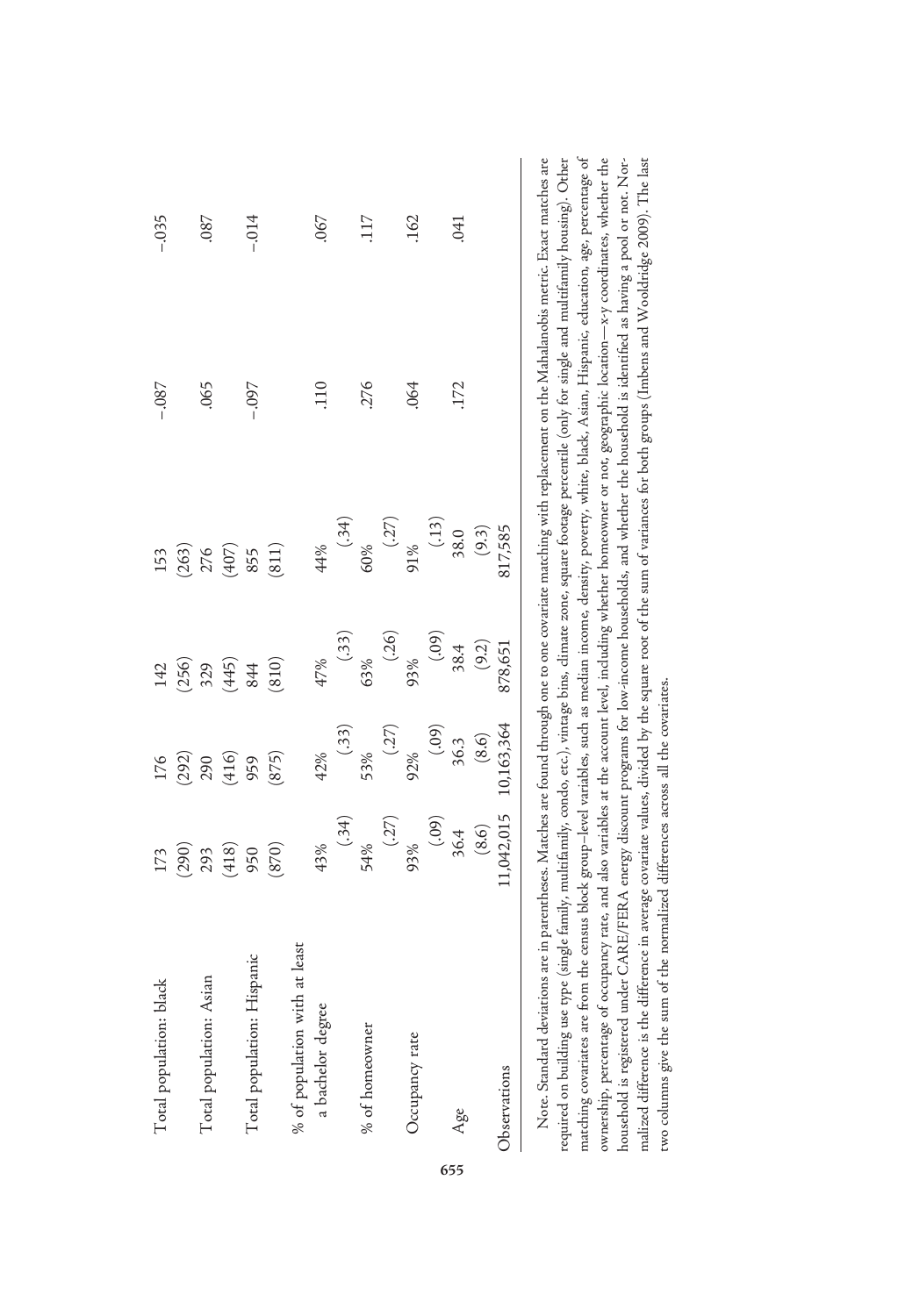| Total population: black       |                                                                                |                                                                                                |                                                                                                    |                                                                                                            | $-0.87$    | $-0.035$ |
|-------------------------------|--------------------------------------------------------------------------------|------------------------------------------------------------------------------------------------|----------------------------------------------------------------------------------------------------|------------------------------------------------------------------------------------------------------------|------------|----------|
|                               | $\begin{array}{c} 173 \\ (290) \\ 293 \\ (418) \\ 950 \\ (870) \end{array}$    | 176<br>(292)<br>(416)<br>959<br>(875)                                                          | $142$<br>$(256)$<br>$329$<br>$(445)$<br>$844$<br>$(810)$                                           | $\begin{array}{c} 153 \\ (263) \\ 276 \\ (407) \\ 855 \\ (811) \\ \end{array}$                             |            |          |
| Total population: Asian       |                                                                                |                                                                                                |                                                                                                    |                                                                                                            | .065       | $.087$   |
|                               |                                                                                |                                                                                                |                                                                                                    |                                                                                                            |            |          |
| Total population: Hispanic    |                                                                                |                                                                                                |                                                                                                    |                                                                                                            | $260 -$    | $-.014$  |
|                               |                                                                                |                                                                                                |                                                                                                    |                                                                                                            |            |          |
| % of population with at least |                                                                                |                                                                                                |                                                                                                    |                                                                                                            |            |          |
| a bachelor degree             |                                                                                |                                                                                                |                                                                                                    |                                                                                                            | <b>110</b> | .067     |
|                               |                                                                                |                                                                                                |                                                                                                    |                                                                                                            |            |          |
| % of homeowner                |                                                                                |                                                                                                |                                                                                                    |                                                                                                            | .276       | .117     |
|                               | $(9, 8)$<br>$(34)$<br>$(45)$<br>$(52)$<br>$(52)$<br>$(52)$<br>$(54)$<br>$(56)$ | $(1,3)$<br>$(3,3)$<br>$53\%$<br>$(2,7)$<br>$(2,7)$<br>$(3,8)$<br>$(8,6)$<br>$(8,6)$<br>$(8,6)$ | $47\%$<br>$(33)$<br>$63\%$<br>$(26)$<br>$93\%$<br>$(39)$<br>$(39)$<br>$83.4$<br>$(9.2)$<br>$(8,2)$ | $(34)$<br>$(35)$<br>$(36)$<br>$(37)$<br>$(37)$<br>$(37)$<br>$(38)$<br>$(39)$<br>$(39)$<br>$(39)$<br>$(39)$ |            |          |
| Occupancy rate                |                                                                                |                                                                                                |                                                                                                    |                                                                                                            | .064       | .162     |
|                               |                                                                                |                                                                                                |                                                                                                    |                                                                                                            |            |          |
| Age                           |                                                                                |                                                                                                |                                                                                                    |                                                                                                            | 172        | .041     |
|                               |                                                                                |                                                                                                |                                                                                                    |                                                                                                            |            |          |
| Observations                  | 1,042,015                                                                      |                                                                                                |                                                                                                    |                                                                                                            |            |          |
|                               |                                                                                |                                                                                                |                                                                                                    |                                                                                                            |            |          |

655

Note. Standard deviations are in parentheses. Matches are found through one to one covariate matching with replacement on the Mahalanobis metric. Exact matches are required on building use type (single family, multifamily, condo, etc.), vintage bins, climate zone, square footage percentile (only for single and multifamily housing). Other marching covariates are from the census block group–level variables, such as median income, density, poverty, white, black, Asian, Hispanic, education, age, percentage of ownership, percentage of occupancy rate, and also variables at the account level, including whether homeowner or not, geographic location—x-y coordinates, whether the household is registered under CARE/FERA energy discount programs for low-income households, and whether the household is identified as having a pool or not. Normalized difference is the difference in average covariate values, divided by the square root of the sum of variances for both groups (Imbens and Wooldridge 2009). The last matching covariates are from the census block group–level variables, such as median income, density, poverty, white, black, Asian, Hispanic, education, age, percentage of Note. Standard deviations are in parentheses. Matches are found through one to one covariate matching with replacement on the Mahalanobis metric. Exact matches are required on building use type (single family, multifamily, condo, etc.), vintage bins, climate zone, square footage percentile (only for single and multifamily housing). Other —x-y coordinates, whether the household is registered under CARE/FERA energy discount programs for low-income households, and whether the household is identified as having a pool or not. Normalized difference is the difference in average covariate values, divided by the square root of the sum of variances for both groups (Imbens and Wooldridge 2009). The last ownership, percentage of occupancy rate, and also variables at the account level, including whether homeowner or not, geographic location two columns give the sum of the normalized differences across all the covariates. two columns give the sum of the normalized differences across all the covariates.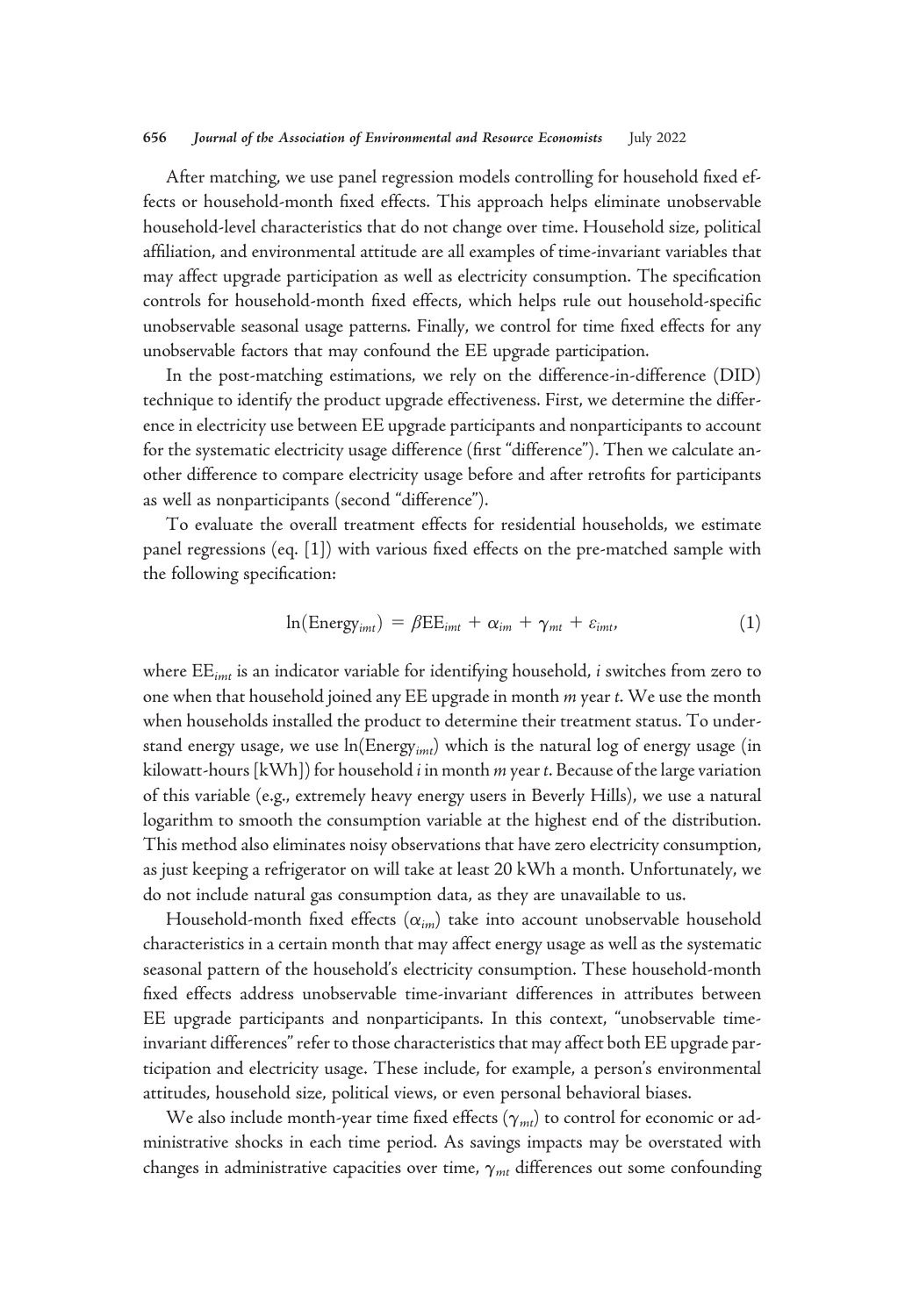After matching, we use panel regression models controlling for household fixed effects or household-month fixed effects. This approach helps eliminate unobservable household-level characteristics that do not change over time. Household size, political affiliation, and environmental attitude are all examples of time-invariant variables that may affect upgrade participation as well as electricity consumption. The specification controls for household-month fixed effects, which helps rule out household-specific unobservable seasonal usage patterns. Finally, we control for time fixed effects for any unobservable factors that may confound the EE upgrade participation.

In the post-matching estimations, we rely on the difference-in-difference (DID) technique to identify the product upgrade effectiveness. First, we determine the difference in electricity use between EE upgrade participants and nonparticipants to account for the systematic electricity usage difference (first "difference"). Then we calculate another difference to compare electricity usage before and after retrofits for participants as well as nonparticipants (second "difference").

To evaluate the overall treatment effects for residential households, we estimate panel regressions (eq. [1]) with various fixed effects on the pre-matched sample with the following specification:

$$
\ln(\text{Energy}_{imt}) = \beta \text{EE}_{imt} + \alpha_{im} + \gamma_{mt} + \varepsilon_{imt}, \tag{1}
$$

where  $\text{EE}_{imt}$  is an indicator variable for identifying household, *i* switches from zero to one when that household joined any  $EE$  upgrade in month  $m$  year  $t$ . We use the month when households installed the product to determine their treatment status. To understand energy usage, we use ln(Energy<sub>imt</sub>) which is the natural log of energy usage (in kilowatt-hours  $[kWh]$ ) for household  $i$  in month  $m$  year  $t$ . Because of the large variation of this variable (e.g., extremely heavy energy users in Beverly Hills), we use a natural logarithm to smooth the consumption variable at the highest end of the distribution. This method also eliminates noisy observations that have zero electricity consumption, as just keeping a refrigerator on will take at least 20 kWh a month. Unfortunately, we do not include natural gas consumption data, as they are unavailable to us.

Household-month fixed effects  $(\alpha_{im})$  take into account unobservable household characteristics in a certain month that may affect energy usage as well as the systematic seasonal pattern of the household's electricity consumption. These household-month fixed effects address unobservable time-invariant differences in attributes between EE upgrade participants and nonparticipants. In this context, "unobservable timeinvariant differences" refer to those characteristics that may affect both EE upgrade participation and electricity usage. These include, for example, a person's environmental attitudes, household size, political views, or even personal behavioral biases.

We also include month-year time fixed effects  $(\gamma_{mt})$  to control for economic or administrative shocks in each time period. As savings impacts may be overstated with changes in administrative capacities over time,  $\gamma_{mt}$  differences out some confounding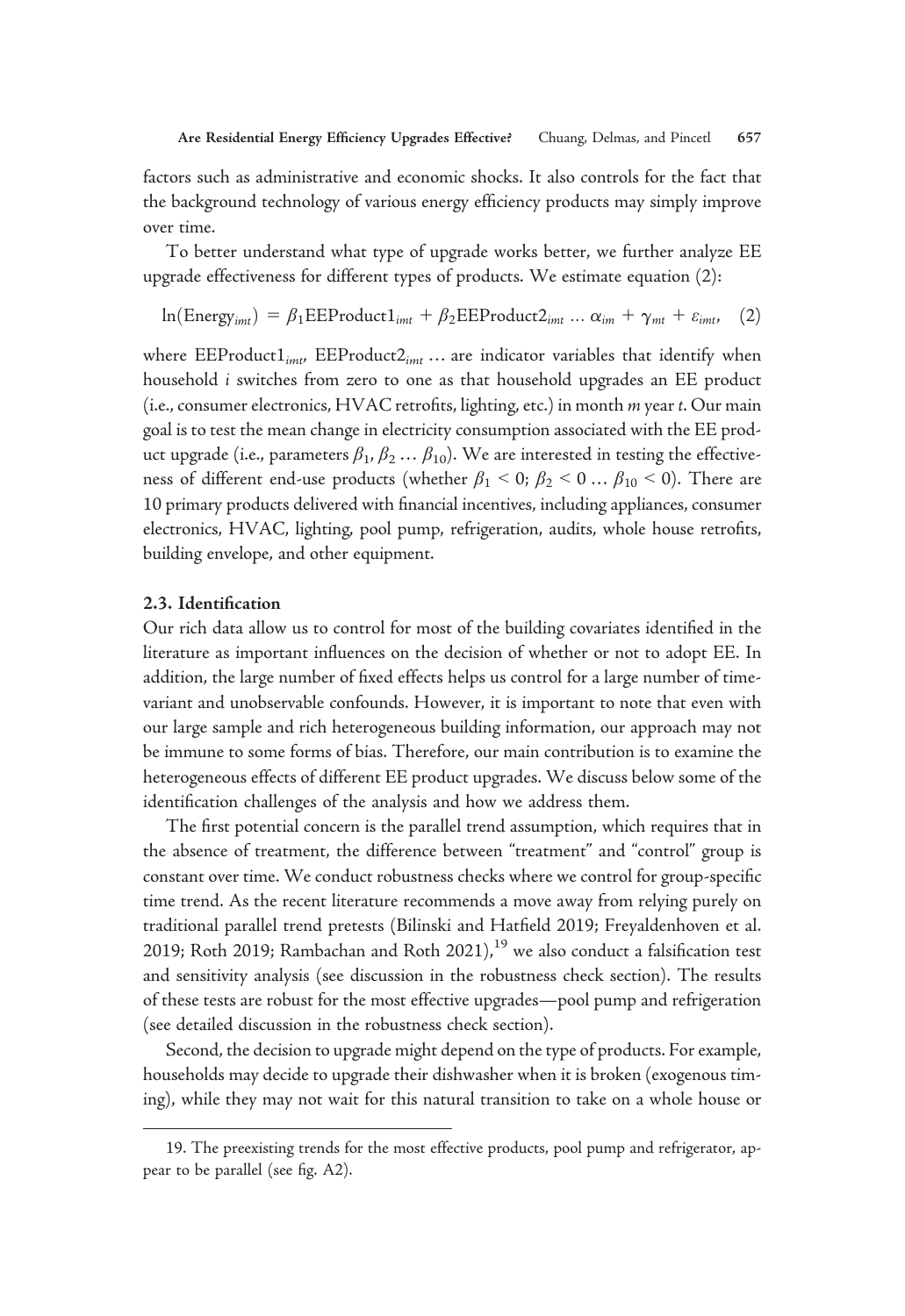factors such as administrative and economic shocks. It also controls for the fact that the background technology of various energy efficiency products may simply improve over time.

To better understand what type of upgrade works better, we further analyze EE upgrade effectiveness for different types of products. We estimate equation (2):

$$
\ln(\text{Energy}_{imt}) = \beta_1 \text{EEProduct1}_{imt} + \beta_2 \text{EEProduct2}_{imt} ... \alpha_{im} + \gamma_{mt} + \varepsilon_{imt}, \quad (2)
$$

where  $\text{EEProduct1}_{imt}$ ,  $\text{EEPreduct2}_{imt}$  ... are indicator variables that identify when household i switches from zero to one as that household upgrades an EE product (i.e., consumer electronics, HVAC retrofits, lighting, etc.) in month m year t. Our main goal is to test the mean change in electricity consumption associated with the EE product upgrade (i.e., parameters  $\beta_1, \beta_2 \dots \beta_{10}$ ). We are interested in testing the effectiveness of different end-use products (whether  $\beta_1 < 0$ ;  $\beta_2 < 0$  ...  $\beta_{10} < 0$ ). There are 10 primary products delivered with financial incentives, including appliances, consumer electronics, HVAC, lighting, pool pump, refrigeration, audits, whole house retrofits, building envelope, and other equipment.

## 2.3. Identification

Our rich data allow us to control for most of the building covariates identified in the literature as important influences on the decision of whether or not to adopt EE. In addition, the large number of fixed effects helps us control for a large number of timevariant and unobservable confounds. However, it is important to note that even with our large sample and rich heterogeneous building information, our approach may not be immune to some forms of bias. Therefore, our main contribution is to examine the heterogeneous effects of different EE product upgrades. We discuss below some of the identification challenges of the analysis and how we address them.

The first potential concern is the parallel trend assumption, which requires that in the absence of treatment, the difference between "treatment" and "control" group is constant over time. We conduct robustness checks where we control for group-specific time trend. As the recent literature recommends a move away from relying purely on traditional parallel trend pretests (Bilinski and Hatfield 2019; Freyaldenhoven et al. 2019; Roth 2019; Rambachan and Roth 2021), $^{19}$  we also conduct a falsification test and sensitivity analysis (see discussion in the robustness check section). The results of these tests are robust for the most effective upgrades—pool pump and refrigeration (see detailed discussion in the robustness check section).

Second, the decision to upgrade might depend on the type of products. For example, households may decide to upgrade their dishwasher when it is broken (exogenous timing), while they may not wait for this natural transition to take on a whole house or

<sup>19.</sup> The preexisting trends for the most effective products, pool pump and refrigerator, appear to be parallel (see fig. A2).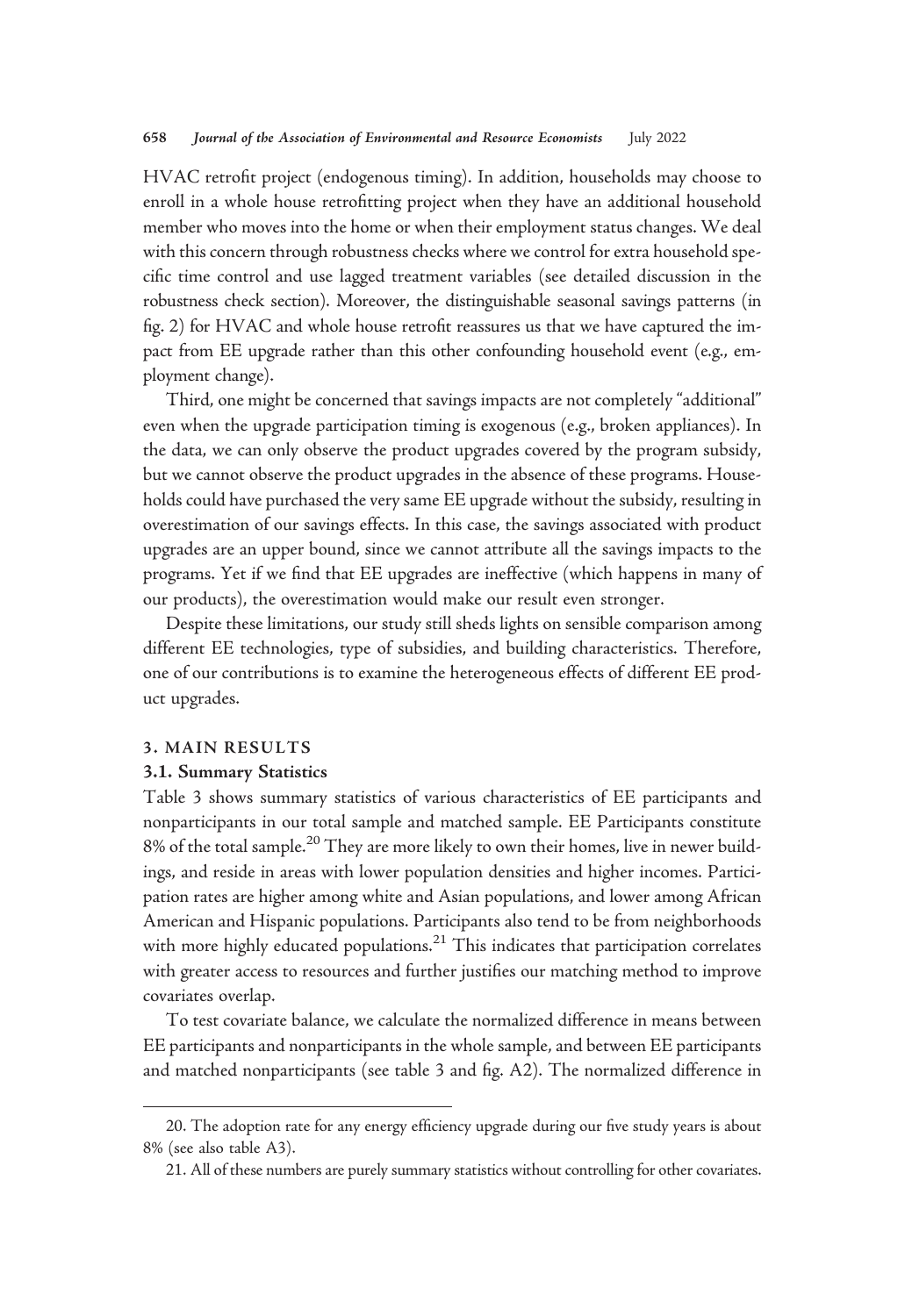HVAC retrofit project (endogenous timing). In addition, households may choose to enroll in a whole house retrofitting project when they have an additional household member who moves into the home or when their employment status changes. We deal with this concern through robustness checks where we control for extra household specific time control and use lagged treatment variables (see detailed discussion in the robustness check section). Moreover, the distinguishable seasonal savings patterns (in fig. 2) for HVAC and whole house retrofit reassures us that we have captured the impact from EE upgrade rather than this other confounding household event (e.g., employment change).

Third, one might be concerned that savings impacts are not completely "additional" even when the upgrade participation timing is exogenous (e.g., broken appliances). In the data, we can only observe the product upgrades covered by the program subsidy, but we cannot observe the product upgrades in the absence of these programs. Households could have purchased the very same EE upgrade without the subsidy, resulting in overestimation of our savings effects. In this case, the savings associated with product upgrades are an upper bound, since we cannot attribute all the savings impacts to the programs. Yet if we find that EE upgrades are ineffective (which happens in many of our products), the overestimation would make our result even stronger.

Despite these limitations, our study still sheds lights on sensible comparison among different EE technologies, type of subsidies, and building characteristics. Therefore, one of our contributions is to examine the heterogeneous effects of different EE product upgrades.

#### 3. MAIN RESULTS

## 3.1. Summary Statistics

Table 3 shows summary statistics of various characteristics of EE participants and nonparticipants in our total sample and matched sample. EE Participants constitute 8% of the total sample.<sup>20</sup> They are more likely to own their homes, live in newer buildings, and reside in areas with lower population densities and higher incomes. Participation rates are higher among white and Asian populations, and lower among African American and Hispanic populations. Participants also tend to be from neighborhoods with more highly educated populations. $21$  This indicates that participation correlates with greater access to resources and further justifies our matching method to improve covariates overlap.

To test covariate balance, we calculate the normalized difference in means between EE participants and nonparticipants in the whole sample, and between EE participants and matched nonparticipants (see table 3 and fig. A2). The normalized difference in

<sup>20.</sup> The adoption rate for any energy efficiency upgrade during our five study years is about 8% (see also table A3).

<sup>21.</sup> All of these numbers are purely summary statistics without controlling for other covariates.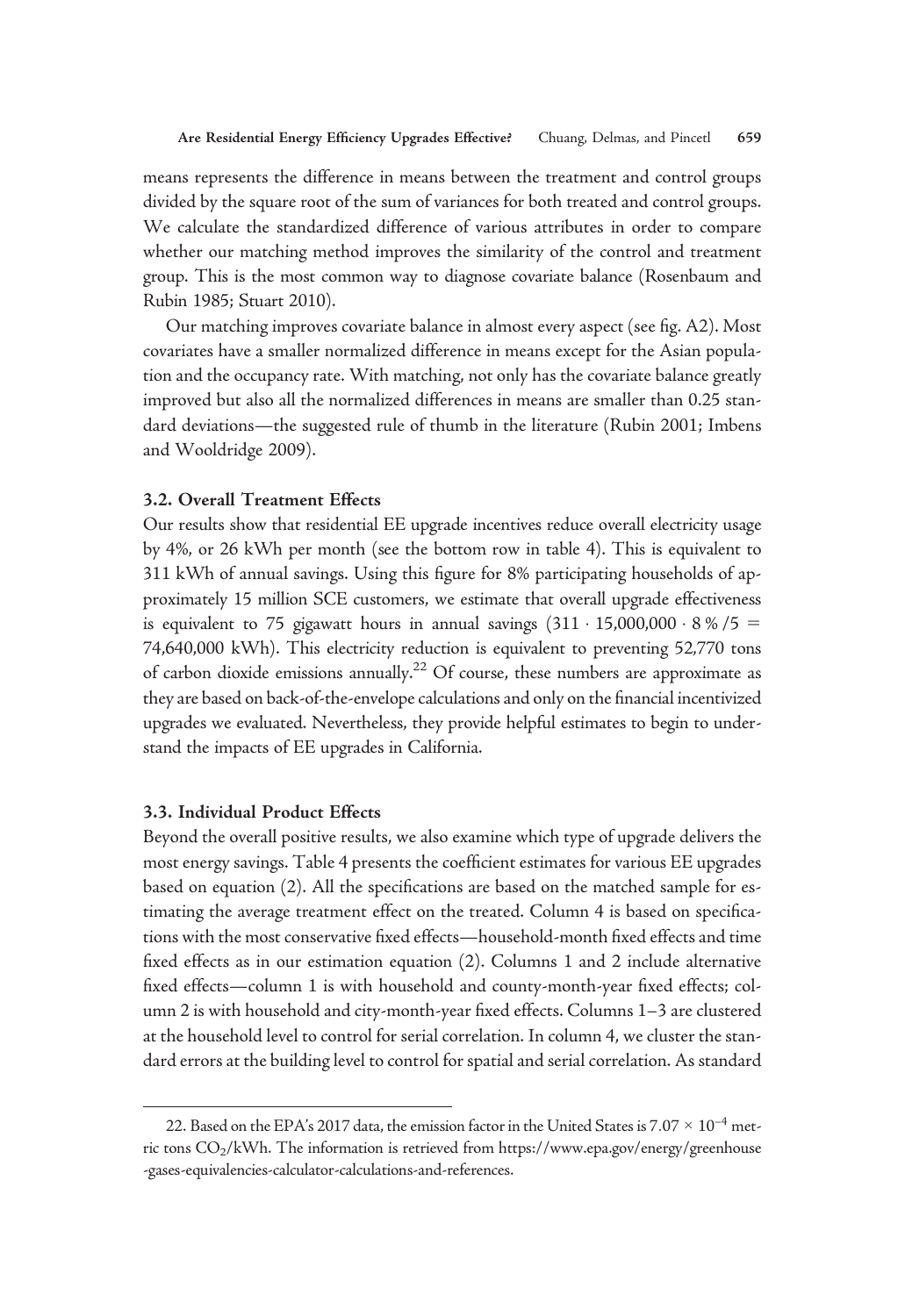means represents the difference in means between the treatment and control groups divided by the square root of the sum of variances for both treated and control groups. We calculate the standardized difference of various attributes in order to compare whether our matching method improves the similarity of the control and treatment group. This is the most common way to diagnose covariate balance (Rosenbaum and Rubin 1985; Stuart 2010).

Our matching improves covariate balance in almost every aspect (see fig. A2). Most covariates have a smaller normalized difference in means except for the Asian population and the occupancy rate. With matching, not only has the covariate balance greatly improved but also all the normalized differences in means are smaller than 0.25 standard deviations—the suggested rule of thumb in the literature (Rubin 2001; Imbens and Wooldridge 2009).

## 3.2. Overall Treatment Effects

Our results show that residential EE upgrade incentives reduce overall electricity usage by 4%, or 26 kWh per month (see the bottom row in table 4). This is equivalent to 311 kWh of annual savings. Using this figure for 8% participating households of approximately 15 million SCE customers, we estimate that overall upgrade effectiveness is equivalent to 75 gigawatt hours in annual savings  $(311 \cdot 15,000,000 \cdot 8\% / 5 =$ 74,640,000 kWh). This electricity reduction is equivalent to preventing 52,770 tons of carbon dioxide emissions annually.<sup>22</sup> Of course, these numbers are approximate as they are based on back-of-the-envelope calculations and only on the financial incentivized upgrades we evaluated. Nevertheless, they provide helpful estimates to begin to understand the impacts of EE upgrades in California.

# 3.3. Individual Product Effects

Beyond the overall positive results, we also examine which type of upgrade delivers the most energy savings. Table 4 presents the coefficient estimates for various EE upgrades based on equation (2). All the specifications are based on the matched sample for estimating the average treatment effect on the treated. Column 4 is based on specifications with the most conservative fixed effects—household-month fixed effects and time fixed effects as in our estimation equation (2). Columns 1 and 2 include alternative fixed effects—column 1 is with household and county-month-year fixed effects; column 2 is with household and city-month-year fixed effects. Columns 1–3 are clustered at the household level to control for serial correlation. In column 4, we cluster the standard errors at the building level to control for spatial and serial correlation. As standard

<sup>22.</sup> Based on the EPA's 2017 data, the emission factor in the United States is 7.07  $\times$  10<sup>-4</sup> metric tons CO<sub>2</sub>/kWh. The information is retrieved from [https://www.epa.gov/energy/greenhouse](https://www.epa.gov/energy/greenhouse-gases-equivalencies-calculator-calculations-and-references) [-gases-equivalencies-calculator-calculations-and-references](https://www.epa.gov/energy/greenhouse-gases-equivalencies-calculator-calculations-and-references).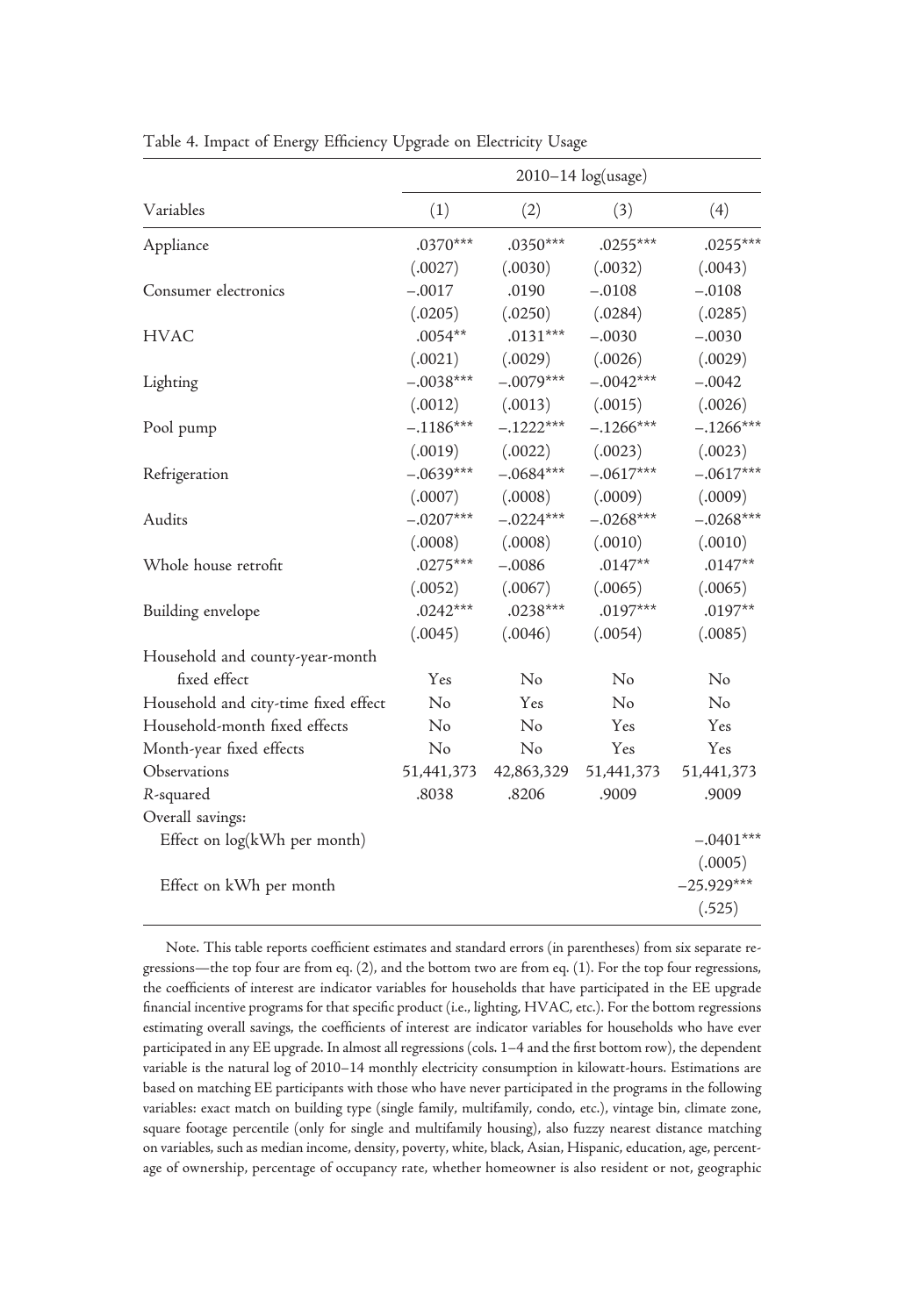|                                      |             |             | 2010-14 log(usage) |              |
|--------------------------------------|-------------|-------------|--------------------|--------------|
| Variables                            | (1)         | (2)         | (3)                | (4)          |
| Appliance                            | $.0370***$  | $.0350***$  | $.0255***$         | $.0255***$   |
|                                      | (.0027)     | (.0030)     | (.0032)            | (.0043)      |
| Consumer electronics                 | $-.0017$    | .0190       | $-.0108$           | $-.0108$     |
|                                      | (.0205)     | (.0250)     | (.0284)            | (.0285)      |
| <b>HVAC</b>                          | $.0054**$   | $.0131***$  | $-.0030$           | $-.0030$     |
|                                      | (.0021)     | (.0029)     | (.0026)            | (.0029)      |
| Lighting                             | $-.0038***$ | $-.0079***$ | $-.0042***$        | $-.0042$     |
|                                      | (.0012)     | (.0013)     | (.0015)            | (.0026)      |
| Pool pump                            | $-.1186***$ | $-.1222***$ | $-.1266***$        | $-.1266***$  |
|                                      | (.0019)     | (.0022)     | (.0023)            | (.0023)      |
| Refrigeration                        | $-.0639***$ | $-.0684***$ | $-.0617***$        | $-.0617***$  |
|                                      | (.0007)     | (.0008)     | (.0009)            | (.0009)      |
| Audits                               | $-.0207***$ | $-.0224***$ | $-.0268***$        | $-.0268***$  |
|                                      | (.0008)     | (.0008)     | (.0010)            | (.0010)      |
| Whole house retrofit                 | $.0275***$  | $-.0086$    | $.0147**$          | $.0147**$    |
|                                      | (.0052)     | (.0067)     | (.0065)            | (.0065)      |
| Building envelope                    | $.0242***$  | $.0238***$  | $.0197***$         | $.0197**$    |
|                                      | (.0045)     | (.0046)     | (.0054)            | (.0085)      |
| Household and county-year-month      |             |             |                    |              |
| fixed effect                         | Yes         | No          | No                 | No           |
| Household and city-time fixed effect | No          | Yes         | $\rm No$           | No           |
| Household-month fixed effects        | No          | No          | <b>Yes</b>         | Yes          |
| Month-year fixed effects             | No          | No          | Yes                | Yes          |
| Observations                         | 51,441,373  | 42,863,329  | 51,441,373         | 51,441,373   |
| R-squared                            | .8038       | .8206       | .9009              | .9009        |
| Overall savings:                     |             |             |                    |              |
| Effect on log(kWh per month)         |             |             |                    | $-.0401***$  |
|                                      |             |             |                    | (.0005)      |
| Effect on kWh per month              |             |             |                    | $-25.929***$ |
|                                      |             |             |                    | (.525)       |

Table 4. Impact of Energy Efficiency Upgrade on Electricity Usage

Note. This table reports coefficient estimates and standard errors (in parentheses) from six separate regressions—the top four are from eq. (2), and the bottom two are from eq. (1). For the top four regressions, the coefficients of interest are indicator variables for households that have participated in the EE upgrade financial incentive programs for that specific product (i.e., lighting, HVAC, etc.). For the bottom regressions estimating overall savings, the coefficients of interest are indicator variables for households who have ever participated in any EE upgrade. In almost all regressions (cols. 1–4 and the first bottom row), the dependent variable is the natural log of 2010–14 monthly electricity consumption in kilowatt-hours. Estimations are based on matching EE participants with those who have never participated in the programs in the following variables: exact match on building type (single family, multifamily, condo, etc.), vintage bin, climate zone, square footage percentile (only for single and multifamily housing), also fuzzy nearest distance matching on variables, such as median income, density, poverty, white, black, Asian, Hispanic, education, age, percentage of ownership, percentage of occupancy rate, whether homeowner is also resident or not, geographic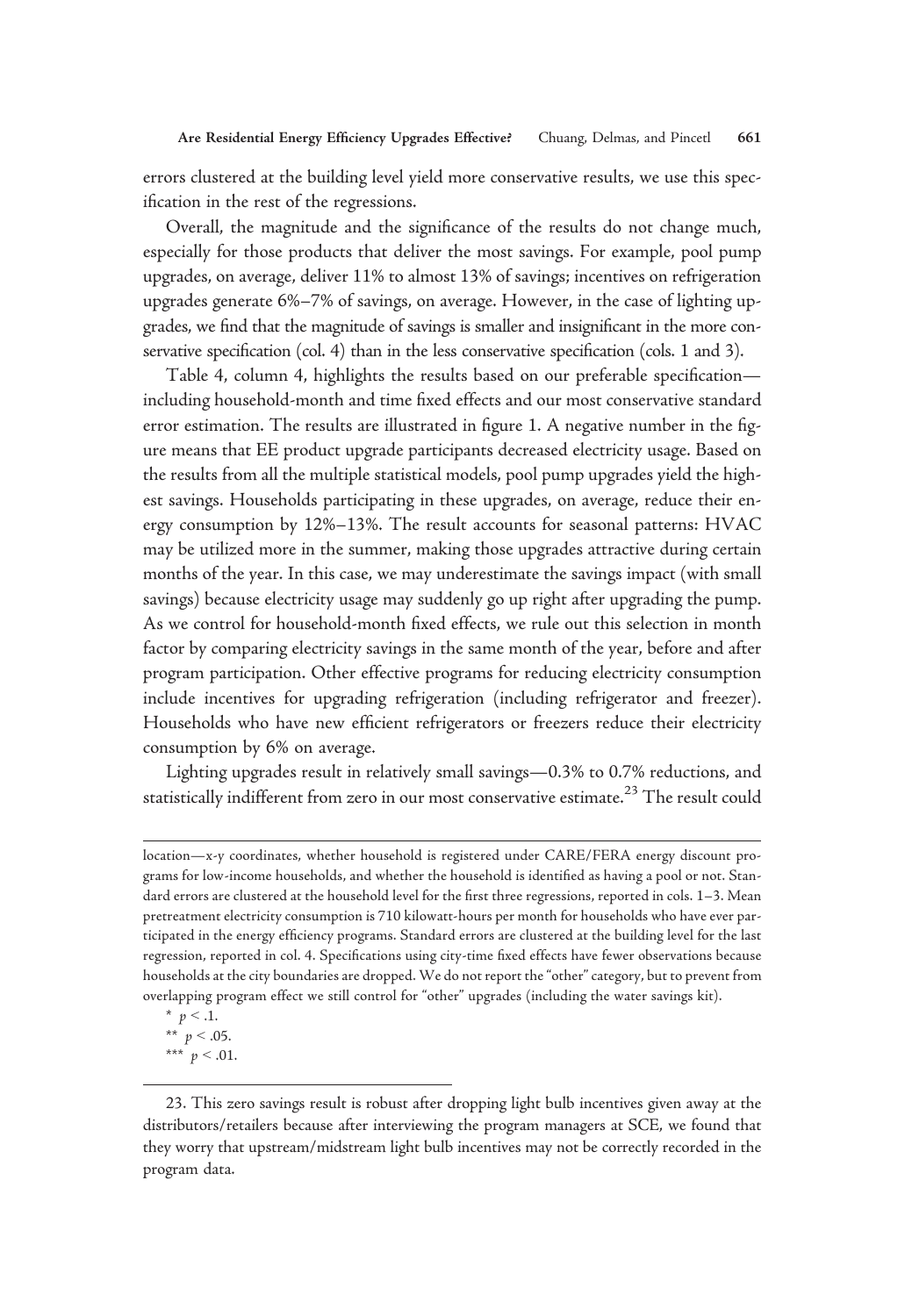errors clustered at the building level yield more conservative results, we use this specification in the rest of the regressions.

Overall, the magnitude and the significance of the results do not change much, especially for those products that deliver the most savings. For example, pool pump upgrades, on average, deliver 11% to almost 13% of savings; incentives on refrigeration upgrades generate 6%–7% of savings, on average. However, in the case of lighting upgrades, we find that the magnitude of savings is smaller and insignificant in the more conservative specification (col. 4) than in the less conservative specification (cols. 1 and 3).

Table 4, column 4, highlights the results based on our preferable specification including household-month and time fixed effects and our most conservative standard error estimation. The results are illustrated in figure 1. A negative number in the figure means that EE product upgrade participants decreased electricity usage. Based on the results from all the multiple statistical models, pool pump upgrades yield the highest savings. Households participating in these upgrades, on average, reduce their energy consumption by 12%–13%. The result accounts for seasonal patterns: HVAC may be utilized more in the summer, making those upgrades attractive during certain months of the year. In this case, we may underestimate the savings impact (with small savings) because electricity usage may suddenly go up right after upgrading the pump. As we control for household-month fixed effects, we rule out this selection in month factor by comparing electricity savings in the same month of the year, before and after program participation. Other effective programs for reducing electricity consumption include incentives for upgrading refrigeration (including refrigerator and freezer). Households who have new efficient refrigerators or freezers reduce their electricity consumption by 6% on average.

Lighting upgrades result in relatively small savings—0.3% to 0.7% reductions, and statistically indifferent from zero in our most conservative estimate.<sup>23</sup> The result could

location—x-y coordinates, whether household is registered under CARE/FERA energy discount programs for low-income households, and whether the household is identified as having a pool or not. Standard errors are clustered at the household level for the first three regressions, reported in cols. 1–3. Mean pretreatment electricity consumption is 710 kilowatt-hours per month for households who have ever participated in the energy efficiency programs. Standard errors are clustered at the building level for the last regression, reported in col. 4. Specifications using city-time fixed effects have fewer observations because households at the city boundaries are dropped. We do not report the"other" category, but to prevent from overlapping program effect we still control for "other" upgrades (including the water savings kit).

<sup>\*</sup>  $p < .1$ . \*\*  $p < .05$ . \*\*\*  $p < .01$ .

<sup>23.</sup> This zero savings result is robust after dropping light bulb incentives given away at the distributors/retailers because after interviewing the program managers at SCE, we found that they worry that upstream/midstream light bulb incentives may not be correctly recorded in the program data.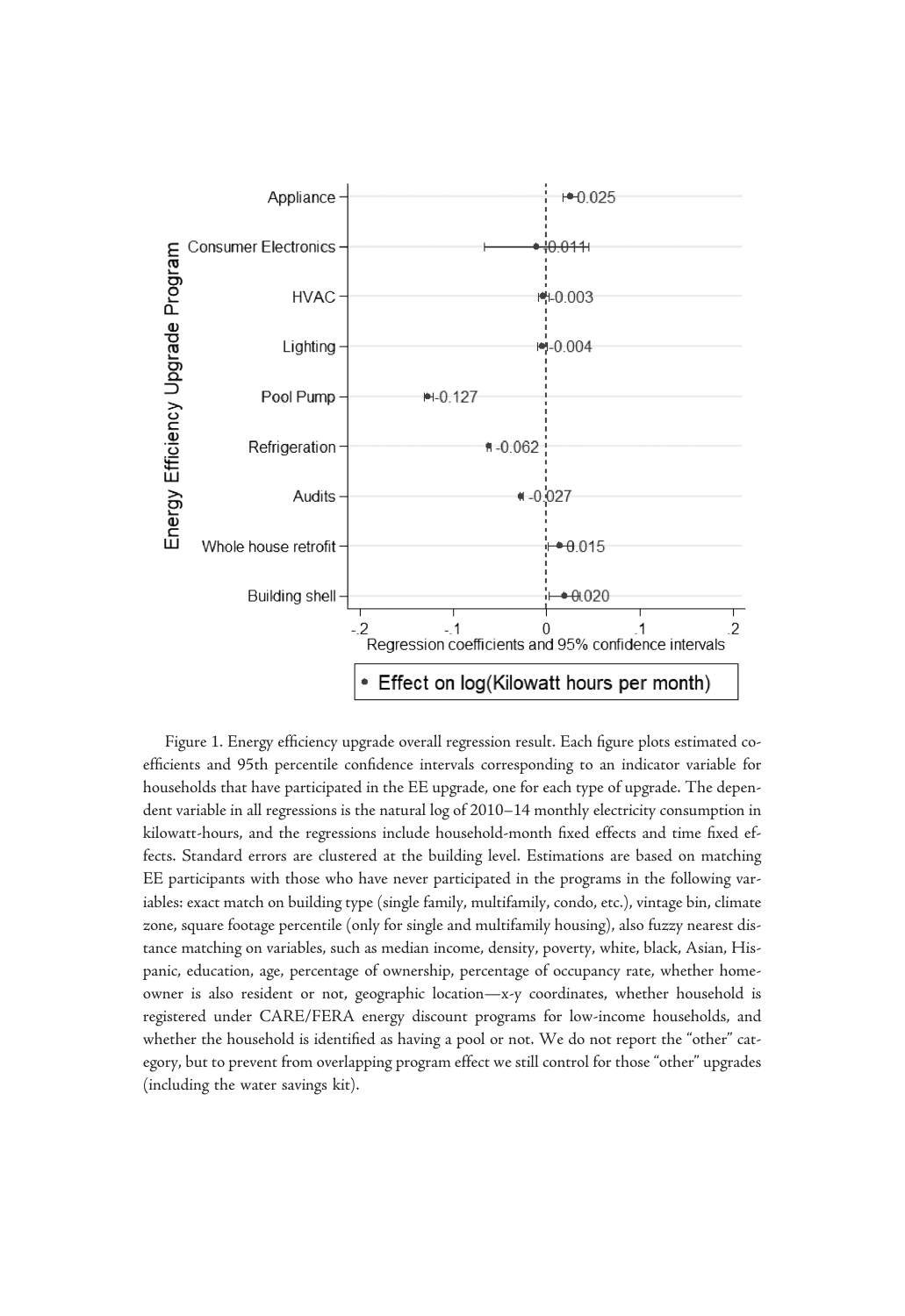

Figure 1. Energy efficiency upgrade overall regression result. Each figure plots estimated coefficients and 95th percentile confidence intervals corresponding to an indicator variable for households that have participated in the EE upgrade, one for each type of upgrade. The dependent variable in all regressions is the natural log of 2010–14 monthly electricity consumption in kilowatt-hours, and the regressions include household-month fixed effects and time fixed effects. Standard errors are clustered at the building level. Estimations are based on matching EE participants with those who have never participated in the programs in the following variables: exact match on building type (single family, multifamily, condo, etc.), vintage bin, climate zone, square footage percentile (only for single and multifamily housing), also fuzzy nearest distance matching on variables, such as median income, density, poverty, white, black, Asian, Hispanic, education, age, percentage of ownership, percentage of occupancy rate, whether homeowner is also resident or not, geographic location—x-y coordinates, whether household is registered under CARE/FERA energy discount programs for low-income households, and whether the household is identified as having a pool or not. We do not report the "other" category, but to prevent from overlapping program effect we still control for those "other" upgrades (including the water savings kit).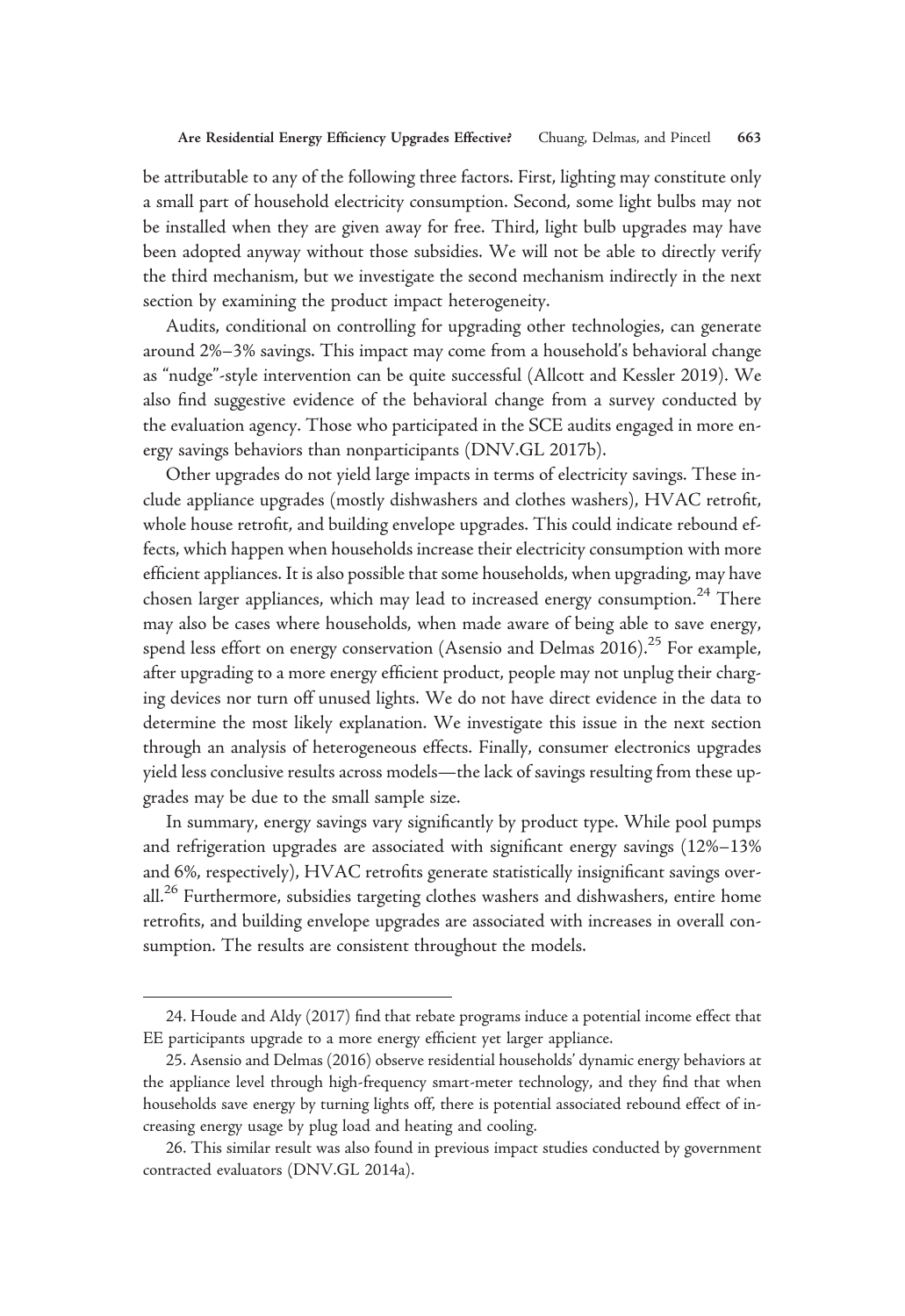be attributable to any of the following three factors. First, lighting may constitute only a small part of household electricity consumption. Second, some light bulbs may not be installed when they are given away for free. Third, light bulb upgrades may have been adopted anyway without those subsidies. We will not be able to directly verify the third mechanism, but we investigate the second mechanism indirectly in the next section by examining the product impact heterogeneity.

Audits, conditional on controlling for upgrading other technologies, can generate around 2%–3% savings. This impact may come from a household's behavioral change as "nudge"-style intervention can be quite successful (Allcott and Kessler 2019). We also find suggestive evidence of the behavioral change from a survey conducted by the evaluation agency. Those who participated in the SCE audits engaged in more energy savings behaviors than nonparticipants (DNV.GL 2017b).

Other upgrades do not yield large impacts in terms of electricity savings. These include appliance upgrades (mostly dishwashers and clothes washers), HVAC retrofit, whole house retrofit, and building envelope upgrades. This could indicate rebound effects, which happen when households increase their electricity consumption with more efficient appliances. It is also possible that some households, when upgrading, may have chosen larger appliances, which may lead to increased energy consumption.<sup>24</sup> There may also be cases where households, when made aware of being able to save energy, spend less effort on energy conservation (Asensio and Delmas 2016).<sup>25</sup> For example, after upgrading to a more energy efficient product, people may not unplug their charging devices nor turn off unused lights. We do not have direct evidence in the data to determine the most likely explanation. We investigate this issue in the next section through an analysis of heterogeneous effects. Finally, consumer electronics upgrades yield less conclusive results across models—the lack of savings resulting from these upgrades may be due to the small sample size.

In summary, energy savings vary significantly by product type. While pool pumps and refrigeration upgrades are associated with significant energy savings (12%–13% and 6%, respectively), HVAC retrofits generate statistically insignificant savings overall.<sup>26</sup> Furthermore, subsidies targeting clothes washers and dishwashers, entire home retrofits, and building envelope upgrades are associated with increases in overall consumption. The results are consistent throughout the models.

<sup>24.</sup> Houde and Aldy (2017) find that rebate programs induce a potential income effect that EE participants upgrade to a more energy efficient yet larger appliance.

<sup>25.</sup> Asensio and Delmas (2016) observe residential households' dynamic energy behaviors at the appliance level through high-frequency smart-meter technology, and they find that when households save energy by turning lights off, there is potential associated rebound effect of increasing energy usage by plug load and heating and cooling.

<sup>26.</sup> This similar result was also found in previous impact studies conducted by government contracted evaluators (DNV.GL 2014a).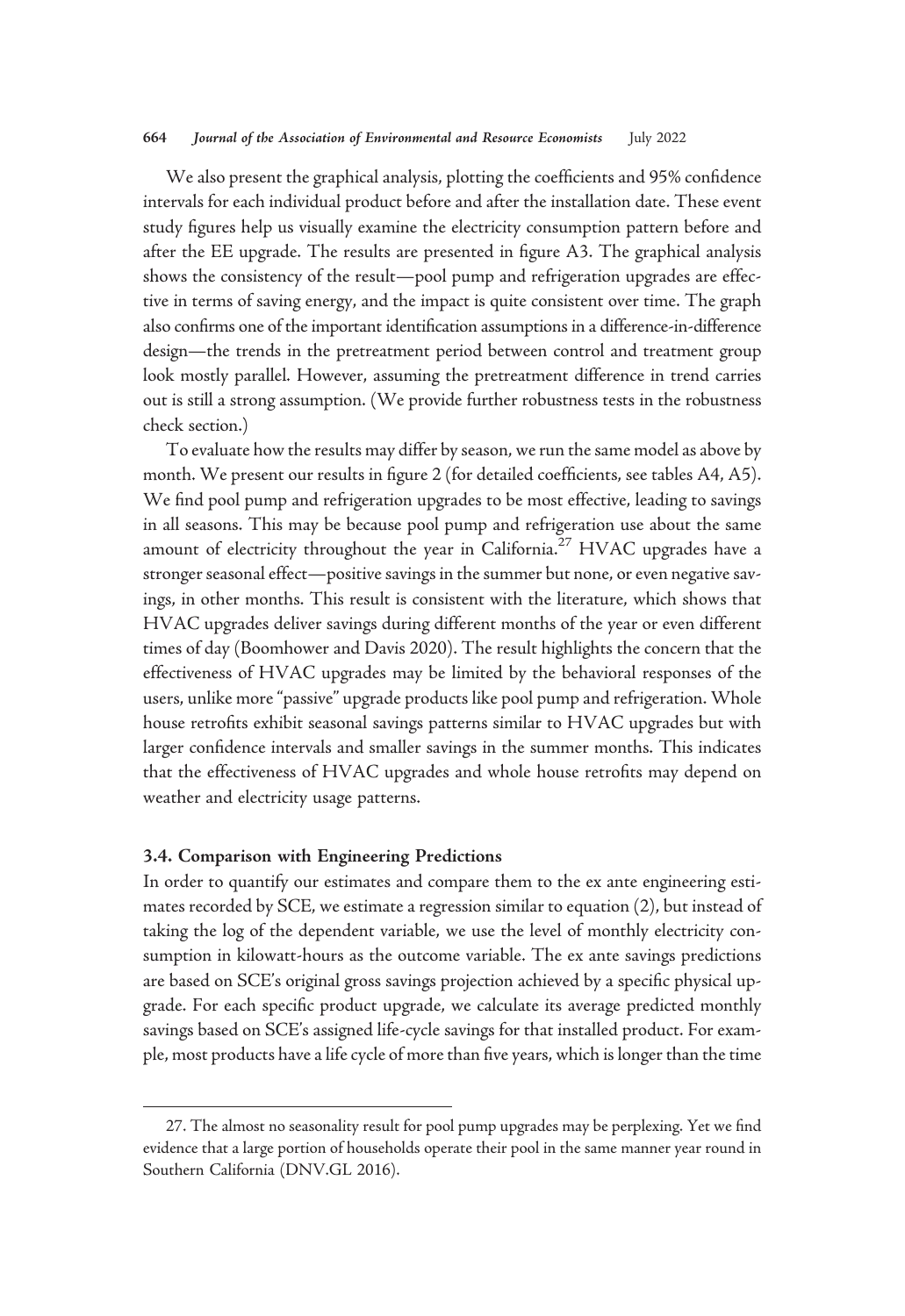#### 664 Journal of the Association of Environmental and Resource Economists July 2022

We also present the graphical analysis, plotting the coefficients and 95% confidence intervals for each individual product before and after the installation date. These event study figures help us visually examine the electricity consumption pattern before and after the EE upgrade. The results are presented in figure A3. The graphical analysis shows the consistency of the result—pool pump and refrigeration upgrades are effective in terms of saving energy, and the impact is quite consistent over time. The graph also confirms one of the important identification assumptions in a difference-in-difference design—the trends in the pretreatment period between control and treatment group look mostly parallel. However, assuming the pretreatment difference in trend carries out is still a strong assumption. (We provide further robustness tests in the robustness check section.)

To evaluate how the results may differ by season, we run the same model as above by month. We present our results in figure 2 (for detailed coefficients, see tables A4, A5). We find pool pump and refrigeration upgrades to be most effective, leading to savings in all seasons. This may be because pool pump and refrigeration use about the same amount of electricity throughout the year in California.<sup>27</sup> HVAC upgrades have a stronger seasonal effect—positive savings in the summer but none, or even negative savings, in other months. This result is consistent with the literature, which shows that HVAC upgrades deliver savings during different months of the year or even different times of day (Boomhower and Davis 2020). The result highlights the concern that the effectiveness of HVAC upgrades may be limited by the behavioral responses of the users, unlike more"passive" upgrade products like pool pump and refrigeration. Whole house retrofits exhibit seasonal savings patterns similar to HVAC upgrades but with larger confidence intervals and smaller savings in the summer months. This indicates that the effectiveness of HVAC upgrades and whole house retrofits may depend on weather and electricity usage patterns.

## 3.4. Comparison with Engineering Predictions

In order to quantify our estimates and compare them to the ex ante engineering estimates recorded by SCE, we estimate a regression similar to equation (2), but instead of taking the log of the dependent variable, we use the level of monthly electricity consumption in kilowatt-hours as the outcome variable. The ex ante savings predictions are based on SCE's original gross savings projection achieved by a specific physical upgrade. For each specific product upgrade, we calculate its average predicted monthly savings based on SCE's assigned life-cycle savings for that installed product. For example, most products have a life cycle of more than five years, which is longer than the time

<sup>27.</sup> The almost no seasonality result for pool pump upgrades may be perplexing. Yet we find evidence that a large portion of households operate their pool in the same manner year round in Southern California (DNV.GL 2016).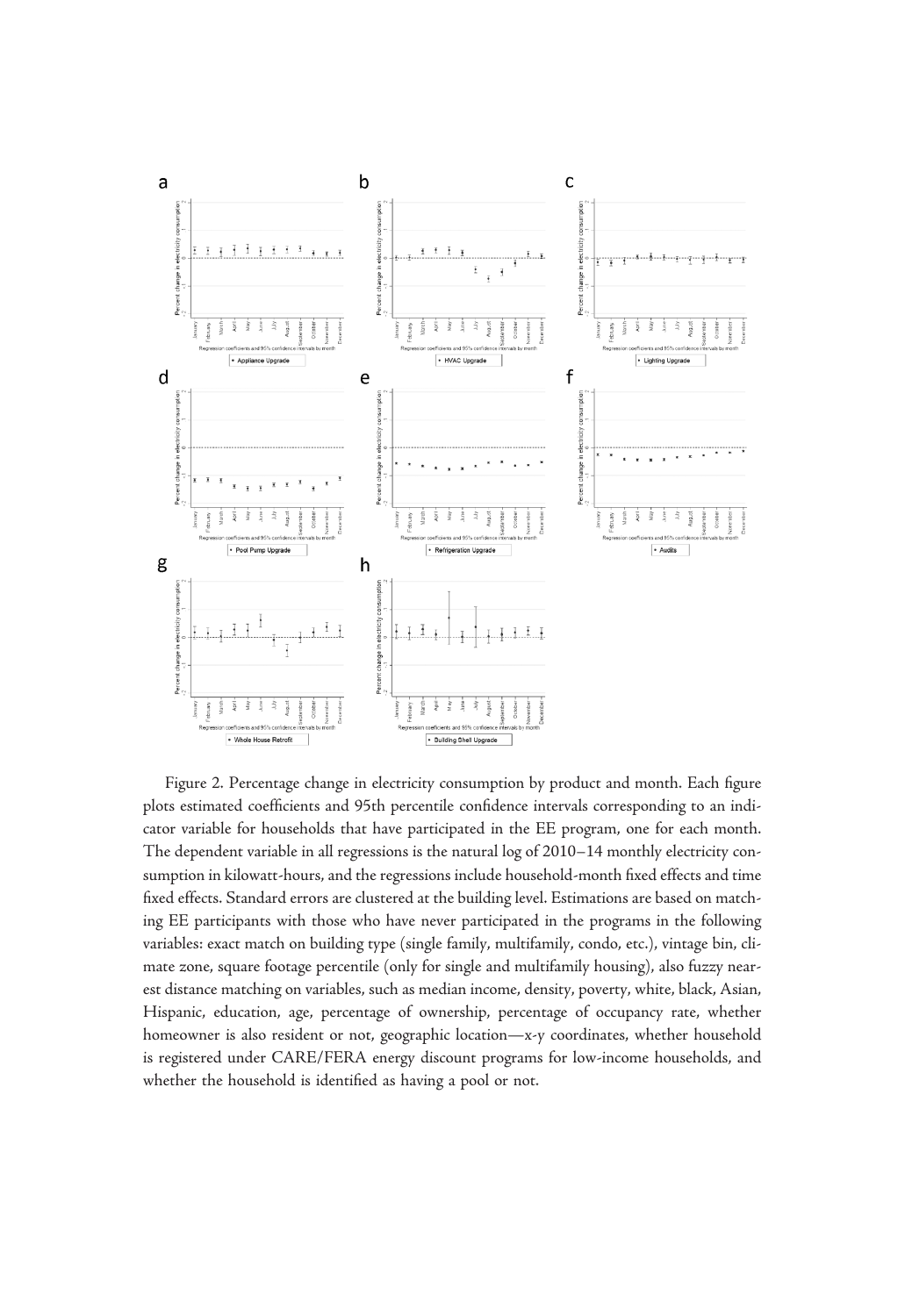

Figure 2. Percentage change in electricity consumption by product and month. Each figure plots estimated coefficients and 95th percentile confidence intervals corresponding to an indicator variable for households that have participated in the EE program, one for each month. The dependent variable in all regressions is the natural log of 2010–14 monthly electricity consumption in kilowatt-hours, and the regressions include household-month fixed effects and time fixed effects. Standard errors are clustered at the building level. Estimations are based on matching EE participants with those who have never participated in the programs in the following variables: exact match on building type (single family, multifamily, condo, etc.), vintage bin, climate zone, square footage percentile (only for single and multifamily housing), also fuzzy nearest distance matching on variables, such as median income, density, poverty, white, black, Asian, Hispanic, education, age, percentage of ownership, percentage of occupancy rate, whether homeowner is also resident or not, geographic location—x-y coordinates, whether household is registered under CARE/FERA energy discount programs for low-income households, and whether the household is identified as having a pool or not.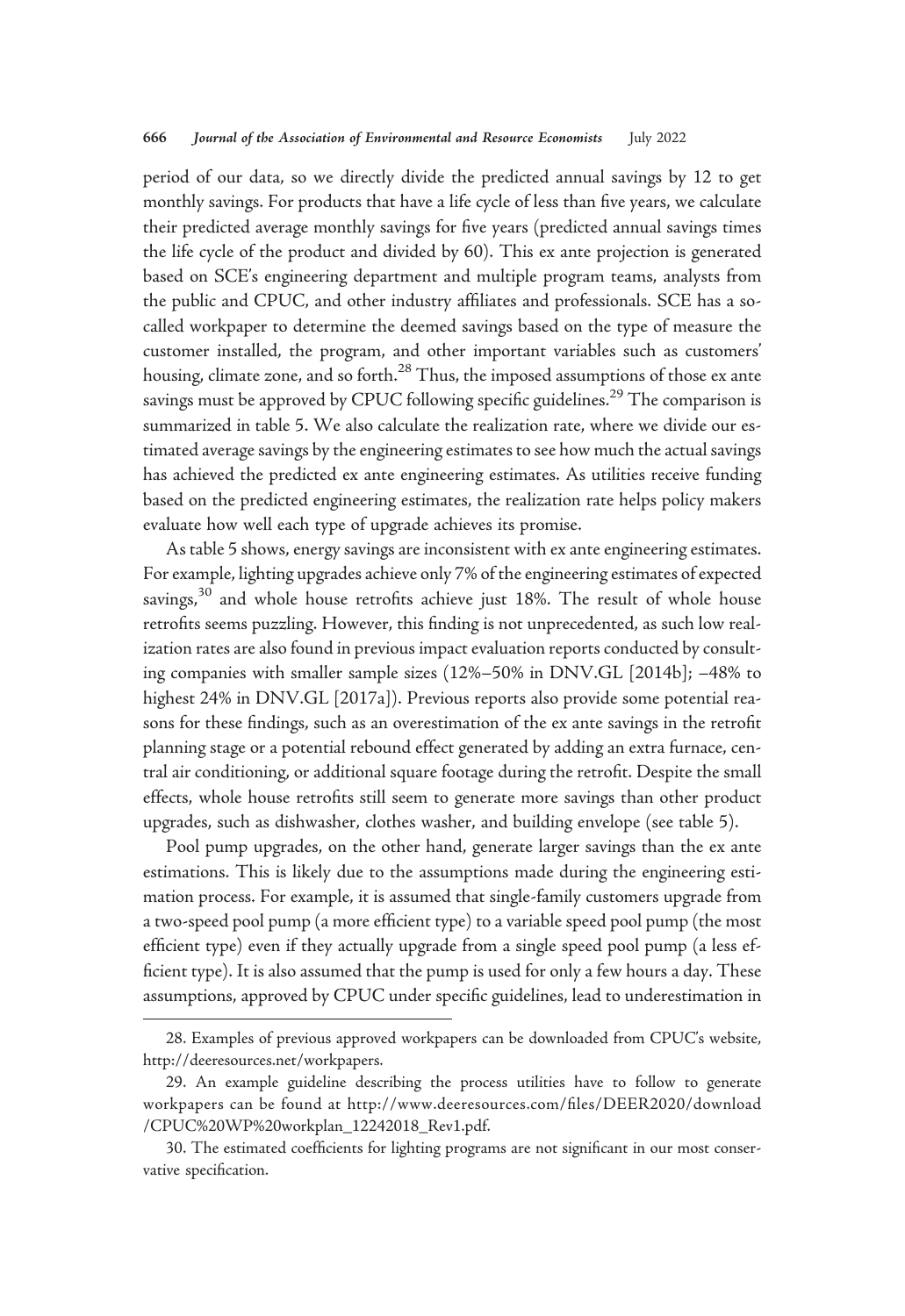period of our data, so we directly divide the predicted annual savings by 12 to get monthly savings. For products that have a life cycle of less than five years, we calculate their predicted average monthly savings for five years (predicted annual savings times the life cycle of the product and divided by 60). This ex ante projection is generated based on SCE's engineering department and multiple program teams, analysts from the public and CPUC, and other industry affiliates and professionals. SCE has a socalled workpaper to determine the deemed savings based on the type of measure the customer installed, the program, and other important variables such as customers' housing, climate zone, and so forth.<sup>28</sup> Thus, the imposed assumptions of those ex ante savings must be approved by CPUC following specific guidelines.<sup>29</sup> The comparison is summarized in table 5. We also calculate the realization rate, where we divide our estimated average savings by the engineering estimates to see how much the actual savings has achieved the predicted ex ante engineering estimates. As utilities receive funding based on the predicted engineering estimates, the realization rate helps policy makers evaluate how well each type of upgrade achieves its promise.

As table 5 shows, energy savings are inconsistent with ex ante engineering estimates. For example, lighting upgrades achieve only 7% of the engineering estimates of expected savings,<sup>30</sup> and whole house retrofits achieve just 18%. The result of whole house retrofits seems puzzling. However, this finding is not unprecedented, as such low realization rates are also found in previous impact evaluation reports conducted by consulting companies with smaller sample sizes (12%–50% in DNV.GL [2014b]; –48% to highest 24% in DNV.GL [2017a]). Previous reports also provide some potential reasons for these findings, such as an overestimation of the ex ante savings in the retrofit planning stage or a potential rebound effect generated by adding an extra furnace, central air conditioning, or additional square footage during the retrofit. Despite the small effects, whole house retrofits still seem to generate more savings than other product upgrades, such as dishwasher, clothes washer, and building envelope (see table 5).

Pool pump upgrades, on the other hand, generate larger savings than the ex ante estimations. This is likely due to the assumptions made during the engineering estimation process. For example, it is assumed that single-family customers upgrade from a two-speed pool pump (a more efficient type) to a variable speed pool pump (the most efficient type) even if they actually upgrade from a single speed pool pump (a less efficient type). It is also assumed that the pump is used for only a few hours a day. These assumptions, approved by CPUC under specific guidelines, lead to underestimation in

<sup>28.</sup> Examples of previous approved workpapers can be downloaded from CPUC's website, [http://deeresources.net/workpapers.](http://deeresources.net/workpapers)

<sup>29.</sup> An example guideline describing the process utilities have to follow to generate workpapers can be found at [http://www.deeresources.com/](http://www.deeresources.com/files/DEER2020/download/CPUC%20WP%20workplan_12242018_Rev1.pdf)files/DEER2020/download [/CPUC%20WP%20workplan\\_12242018\\_Rev1.pdf.](http://www.deeresources.com/files/DEER2020/download/CPUC%20WP%20workplan_12242018_Rev1.pdf)

<sup>30.</sup> The estimated coefficients for lighting programs are not significant in our most conservative specification.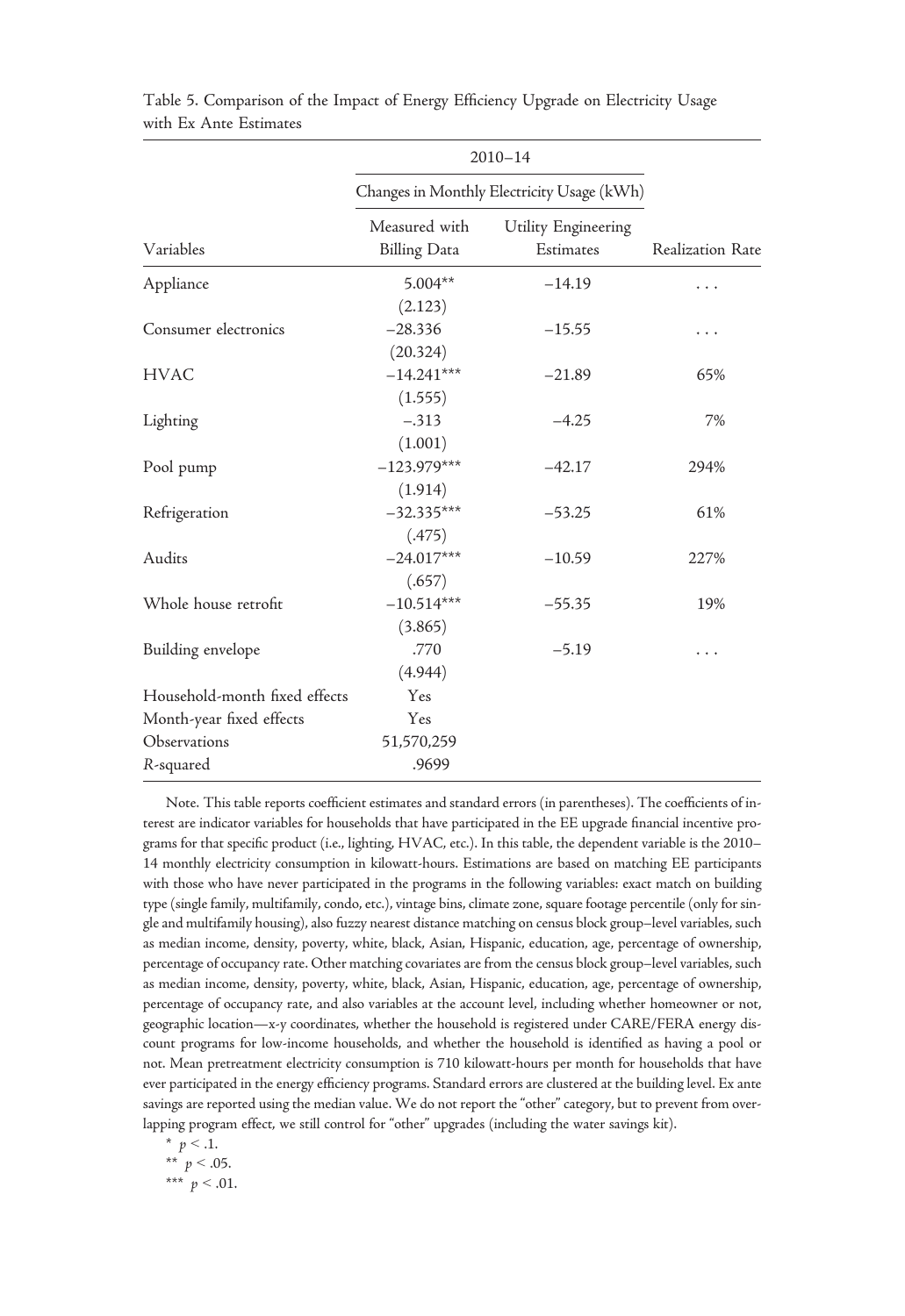|                               |                                      | $2010 - 14$                                |                  |
|-------------------------------|--------------------------------------|--------------------------------------------|------------------|
|                               |                                      | Changes in Monthly Electricity Usage (kWh) |                  |
| Variables                     | Measured with<br><b>Billing Data</b> | Utility Engineering<br>Estimates           | Realization Rate |
| Appliance                     | $5.004**$                            | $-14.19$                                   | $\cdots$         |
|                               | (2.123)                              |                                            |                  |
| Consumer electronics          | $-28.336$                            | $-15.55$                                   | $\cdots$         |
|                               | (20.324)                             |                                            |                  |
| <b>HVAC</b>                   | $-14.241***$                         | $-21.89$                                   | 65%              |
|                               | (1.555)                              |                                            |                  |
| Lighting                      | $-.313$                              | $-4.25$                                    | 7%               |
|                               | (1.001)                              |                                            |                  |
| Pool pump                     | $-123.979***$                        | $-42.17$                                   | 294%             |
|                               | (1.914)                              |                                            |                  |
| Refrigeration                 | $-32.335***$                         | $-53.25$                                   | 61%              |
|                               | (.475)                               |                                            |                  |
| Audits                        | $-24.017***$                         | $-10.59$                                   | 227%             |
|                               | (.657)                               |                                            |                  |
| Whole house retrofit          | $-10.514***$                         | $-55.35$                                   | 19%              |
|                               | (3.865)                              |                                            |                  |
| Building envelope             | .770                                 | $-5.19$                                    | .                |
|                               | (4.944)                              |                                            |                  |
| Household-month fixed effects | Yes                                  |                                            |                  |
| Month-year fixed effects      | Yes                                  |                                            |                  |
| Observations                  | 51,570,259                           |                                            |                  |
| R-squared                     | .9699                                |                                            |                  |

Table 5. Comparison of the Impact of Energy Efficiency Upgrade on Electricity Usage with Ex Ante Estimates

Note. This table reports coefficient estimates and standard errors (in parentheses). The coefficients of interest are indicator variables for households that have participated in the EE upgrade financial incentive programs for that specific product (i.e., lighting, HVAC, etc.). In this table, the dependent variable is the 2010– 14 monthly electricity consumption in kilowatt-hours. Estimations are based on matching EE participants with those who have never participated in the programs in the following variables: exact match on building type (single family, multifamily, condo, etc.), vintage bins, climate zone, square footage percentile (only for single and multifamily housing), also fuzzy nearest distance matching on census block group–level variables, such as median income, density, poverty, white, black, Asian, Hispanic, education, age, percentage of ownership, percentage of occupancy rate. Other matching covariates are from the census block group–level variables, such as median income, density, poverty, white, black, Asian, Hispanic, education, age, percentage of ownership, percentage of occupancy rate, and also variables at the account level, including whether homeowner or not, geographic location—x-y coordinates, whether the household is registered under CARE/FERA energy discount programs for low-income households, and whether the household is identified as having a pool or not. Mean pretreatment electricity consumption is 710 kilowatt-hours per month for households that have ever participated in the energy efficiency programs. Standard errors are clustered at the building level. Ex ante savings are reported using the median value. We do not report the "other" category, but to prevent from overlapping program effect, we still control for "other" upgrades (including the water savings kit).

\* 
$$
p < .1
$$
.  
\n\*\*  $p < .05$ .  
\n\*\*\*  $p < .01$ .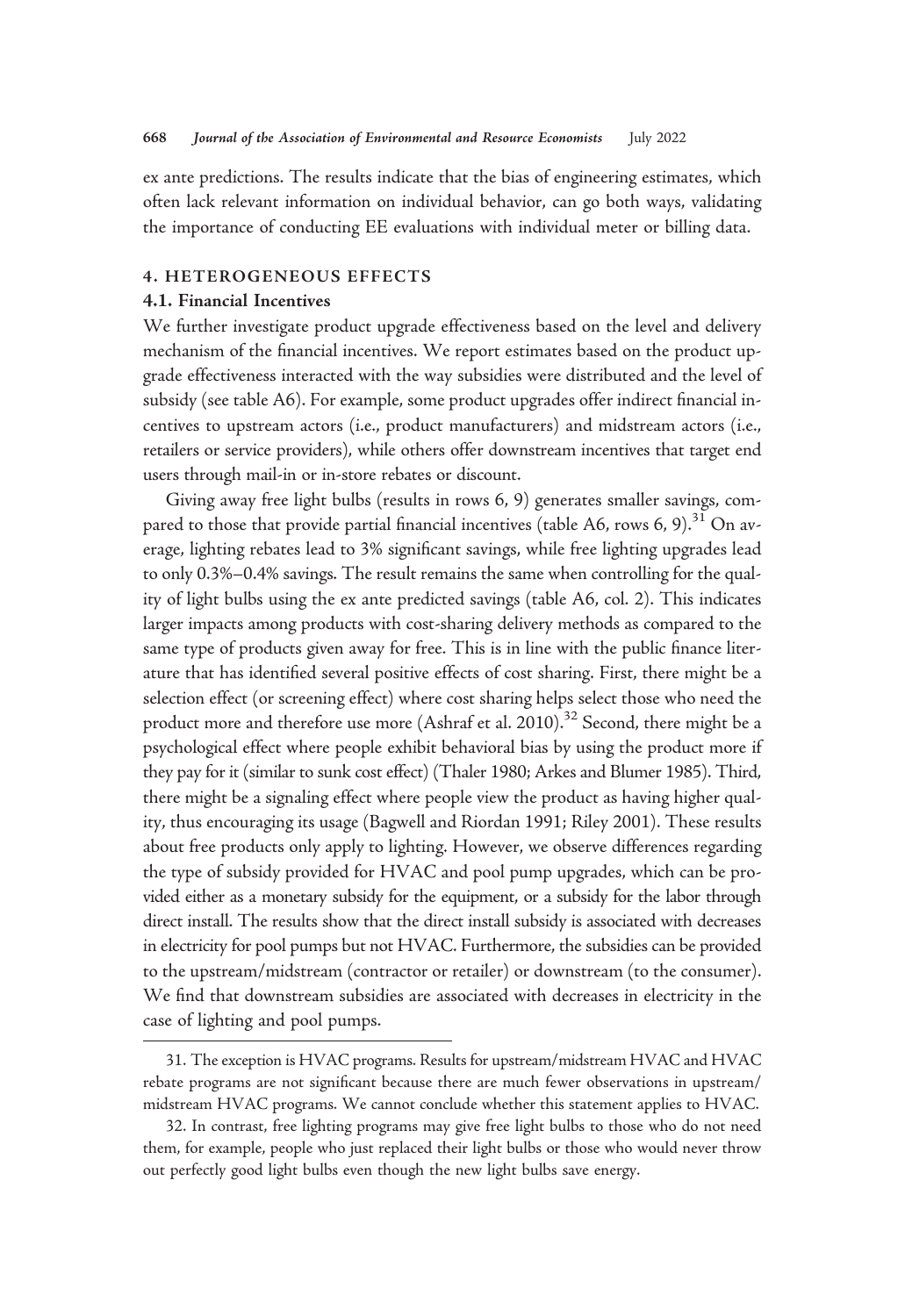ex ante predictions. The results indicate that the bias of engineering estimates, which often lack relevant information on individual behavior, can go both ways, validating the importance of conducting EE evaluations with individual meter or billing data.

# 4. HETEROGENEOUS EFFECTS

#### 4.1. Financial Incentives

We further investigate product upgrade effectiveness based on the level and delivery mechanism of the financial incentives. We report estimates based on the product upgrade effectiveness interacted with the way subsidies were distributed and the level of subsidy (see table A6). For example, some product upgrades offer indirect financial incentives to upstream actors (i.e., product manufacturers) and midstream actors (i.e., retailers or service providers), while others offer downstream incentives that target end users through mail-in or in-store rebates or discount.

Giving away free light bulbs (results in rows 6, 9) generates smaller savings, compared to those that provide partial financial incentives (table A6, rows 6, 9).<sup>31</sup> On average, lighting rebates lead to 3% significant savings, while free lighting upgrades lead to only 0.3%–0.4% savings. The result remains the same when controlling for the quality of light bulbs using the ex ante predicted savings (table A6, col. 2). This indicates larger impacts among products with cost-sharing delivery methods as compared to the same type of products given away for free. This is in line with the public finance literature that has identified several positive effects of cost sharing. First, there might be a selection effect (or screening effect) where cost sharing helps select those who need the product more and therefore use more (Ashraf et al.  $2010$ ).<sup>32</sup> Second, there might be a psychological effect where people exhibit behavioral bias by using the product more if they pay for it (similar to sunk cost effect) (Thaler 1980; Arkes and Blumer 1985). Third, there might be a signaling effect where people view the product as having higher quality, thus encouraging its usage (Bagwell and Riordan 1991; Riley 2001). These results about free products only apply to lighting. However, we observe differences regarding the type of subsidy provided for HVAC and pool pump upgrades, which can be provided either as a monetary subsidy for the equipment, or a subsidy for the labor through direct install. The results show that the direct install subsidy is associated with decreases in electricity for pool pumps but not HVAC. Furthermore, the subsidies can be provided to the upstream/midstream (contractor or retailer) or downstream (to the consumer). We find that downstream subsidies are associated with decreases in electricity in the case of lighting and pool pumps.

<sup>31.</sup> The exception is HVAC programs. Results for upstream/midstream HVAC and HVAC rebate programs are not significant because there are much fewer observations in upstream/ midstream HVAC programs. We cannot conclude whether this statement applies to HVAC.

<sup>32.</sup> In contrast, free lighting programs may give free light bulbs to those who do not need them, for example, people who just replaced their light bulbs or those who would never throw out perfectly good light bulbs even though the new light bulbs save energy.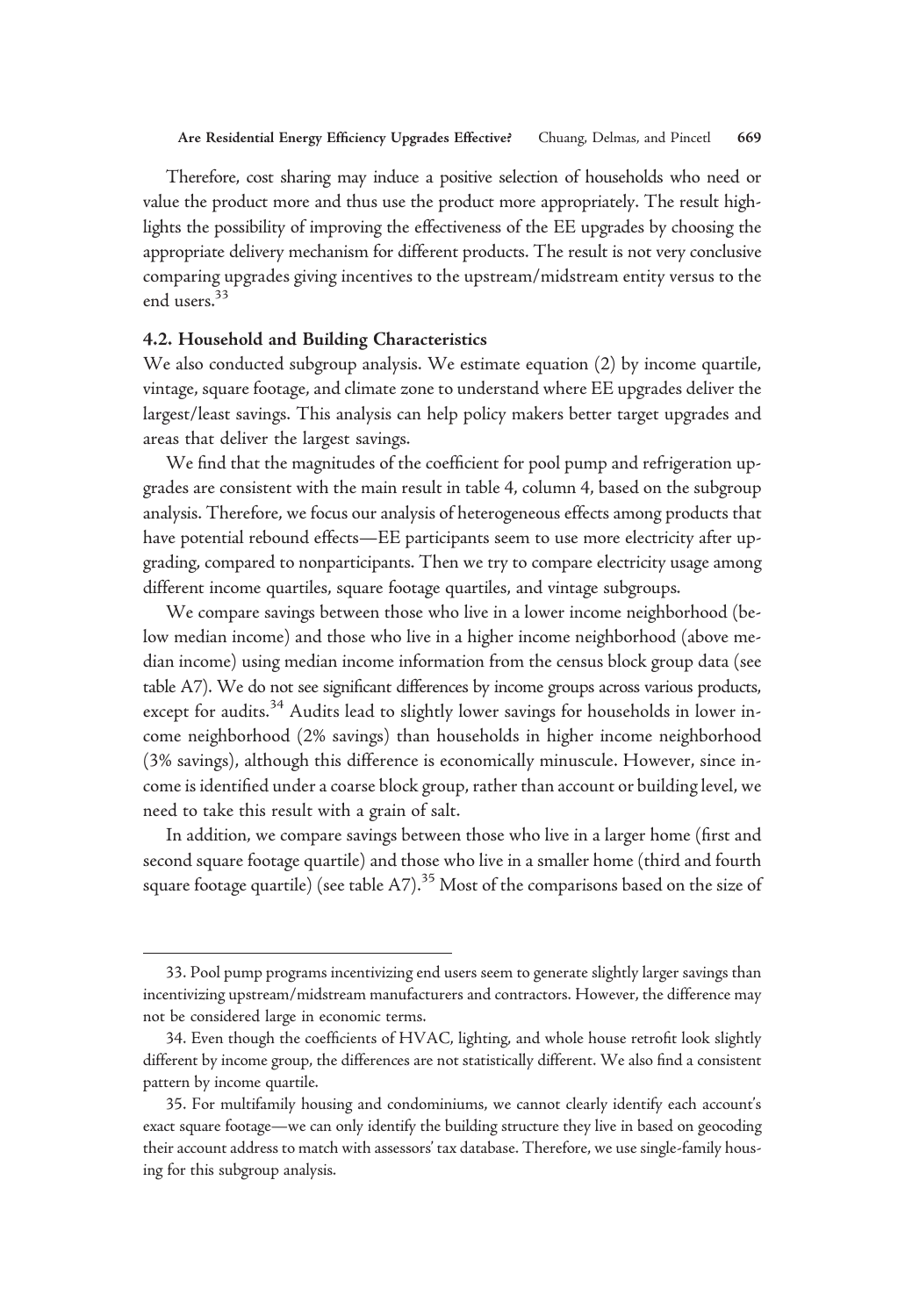Therefore, cost sharing may induce a positive selection of households who need or value the product more and thus use the product more appropriately. The result highlights the possibility of improving the effectiveness of the EE upgrades by choosing the appropriate delivery mechanism for different products. The result is not very conclusive comparing upgrades giving incentives to the upstream/midstream entity versus to the end users.<sup>33</sup>

## 4.2. Household and Building Characteristics

We also conducted subgroup analysis. We estimate equation (2) by income quartile, vintage, square footage, and climate zone to understand where EE upgrades deliver the largest/least savings. This analysis can help policy makers better target upgrades and areas that deliver the largest savings.

We find that the magnitudes of the coefficient for pool pump and refrigeration upgrades are consistent with the main result in table 4, column 4, based on the subgroup analysis. Therefore, we focus our analysis of heterogeneous effects among products that have potential rebound effects—EE participants seem to use more electricity after upgrading, compared to nonparticipants. Then we try to compare electricity usage among different income quartiles, square footage quartiles, and vintage subgroups.

We compare savings between those who live in a lower income neighborhood (below median income) and those who live in a higher income neighborhood (above median income) using median income information from the census block group data (see table A7). We do not see significant differences by income groups across various products, except for audits.<sup>34</sup> Audits lead to slightly lower savings for households in lower income neighborhood (2% savings) than households in higher income neighborhood (3% savings), although this difference is economically minuscule. However, since income is identified under a coarse block group, rather than account or building level, we need to take this result with a grain of salt.

In addition, we compare savings between those who live in a larger home (first and second square footage quartile) and those who live in a smaller home (third and fourth square footage quartile) (see table  $A7$ ).<sup>35</sup> Most of the comparisons based on the size of

<sup>33.</sup> Pool pump programs incentivizing end users seem to generate slightly larger savings than incentivizing upstream/midstream manufacturers and contractors. However, the difference may not be considered large in economic terms.

<sup>34.</sup> Even though the coefficients of HVAC, lighting, and whole house retrofit look slightly different by income group, the differences are not statistically different. We also find a consistent pattern by income quartile.

<sup>35.</sup> For multifamily housing and condominiums, we cannot clearly identify each account's exact square footage—we can only identify the building structure they live in based on geocoding their account address to match with assessors' tax database. Therefore, we use single-family housing for this subgroup analysis.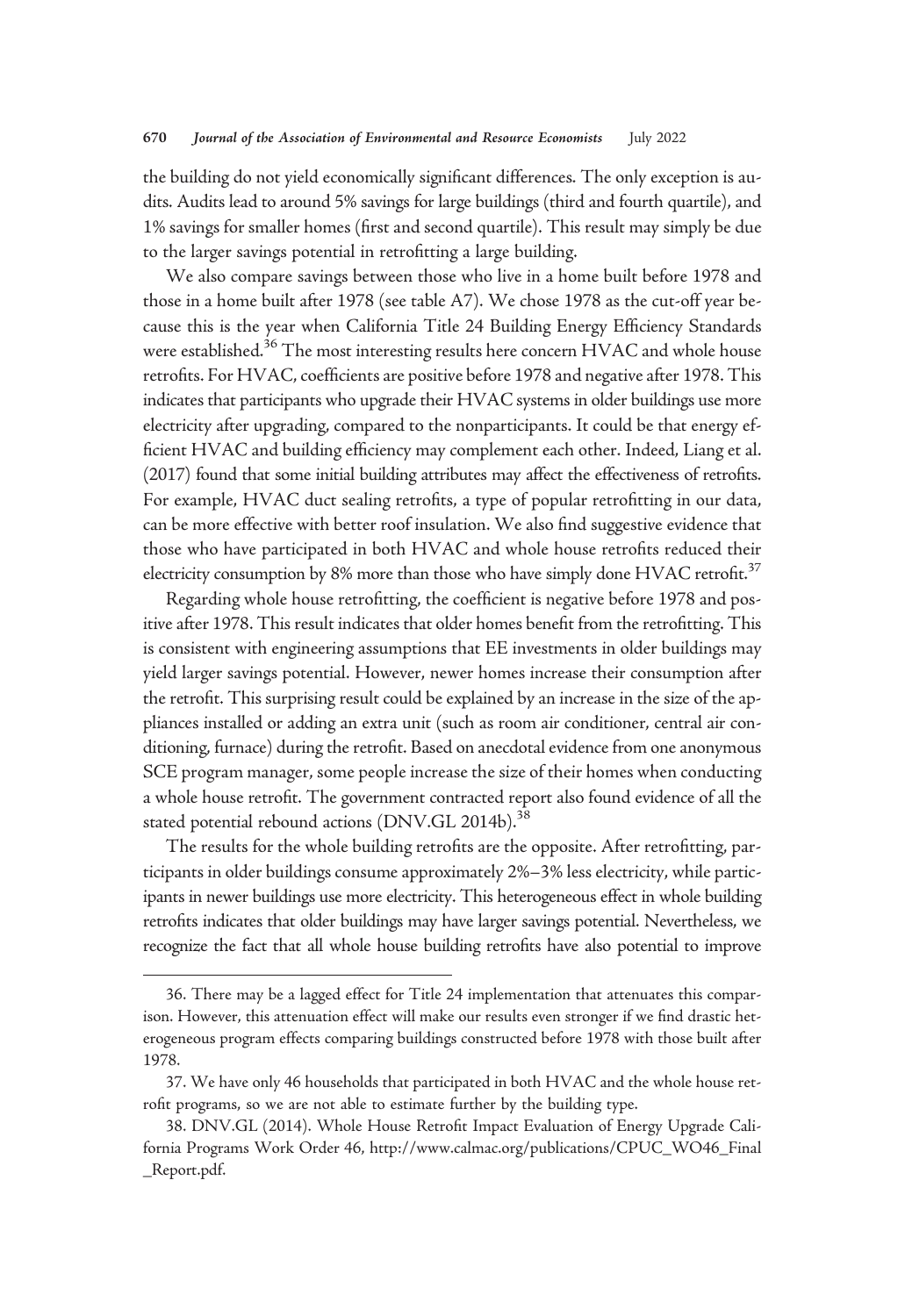the building do not yield economically significant differences. The only exception is audits. Audits lead to around 5% savings for large buildings (third and fourth quartile), and 1% savings for smaller homes (first and second quartile). This result may simply be due to the larger savings potential in retrofitting a large building.

We also compare savings between those who live in a home built before 1978 and those in a home built after 1978 (see table A7). We chose 1978 as the cut-off year because this is the year when California Title 24 Building Energy Efficiency Standards were established.<sup>36</sup> The most interesting results here concern HVAC and whole house retrofits. For HVAC, coefficients are positive before 1978 and negative after 1978. This indicates that participants who upgrade their HVAC systems in older buildings use more electricity after upgrading, compared to the nonparticipants. It could be that energy efficient HVAC and building efficiency may complement each other. Indeed, Liang et al. (2017) found that some initial building attributes may affect the effectiveness of retrofits. For example, HVAC duct sealing retrofits, a type of popular retrofitting in our data, can be more effective with better roof insulation. We also find suggestive evidence that those who have participated in both HVAC and whole house retrofits reduced their electricity consumption by 8% more than those who have simply done  $HVAC$  retrofit.<sup>37</sup>

Regarding whole house retrofitting, the coefficient is negative before 1978 and positive after 1978. This result indicates that older homes benefit from the retrofitting. This is consistent with engineering assumptions that EE investments in older buildings may yield larger savings potential. However, newer homes increase their consumption after the retrofit. This surprising result could be explained by an increase in the size of the appliances installed or adding an extra unit (such as room air conditioner, central air conditioning, furnace) during the retrofit. Based on anecdotal evidence from one anonymous SCE program manager, some people increase the size of their homes when conducting a whole house retrofit. The government contracted report also found evidence of all the stated potential rebound actions (DNV.GL 2014b).<sup>38</sup>

The results for the whole building retrofits are the opposite. After retrofitting, participants in older buildings consume approximately 2%–3% less electricity, while participants in newer buildings use more electricity. This heterogeneous effect in whole building retrofits indicates that older buildings may have larger savings potential. Nevertheless, we recognize the fact that all whole house building retrofits have also potential to improve

<sup>36.</sup> There may be a lagged effect for Title 24 implementation that attenuates this comparison. However, this attenuation effect will make our results even stronger if we find drastic heterogeneous program effects comparing buildings constructed before 1978 with those built after 1978.

<sup>37.</sup> We have only 46 households that participated in both HVAC and the whole house retrofit programs, so we are not able to estimate further by the building type.

<sup>38.</sup> DNV.GL (2014). Whole House Retrofit Impact Evaluation of Energy Upgrade California Programs Work Order 46, [http://www.calmac.org/publications/CPUC\\_WO46\\_Final](http://www.calmac.org/publications/CPUC_WO46_Final_Report.pdf) [\\_Report.pdf](http://www.calmac.org/publications/CPUC_WO46_Final_Report.pdf).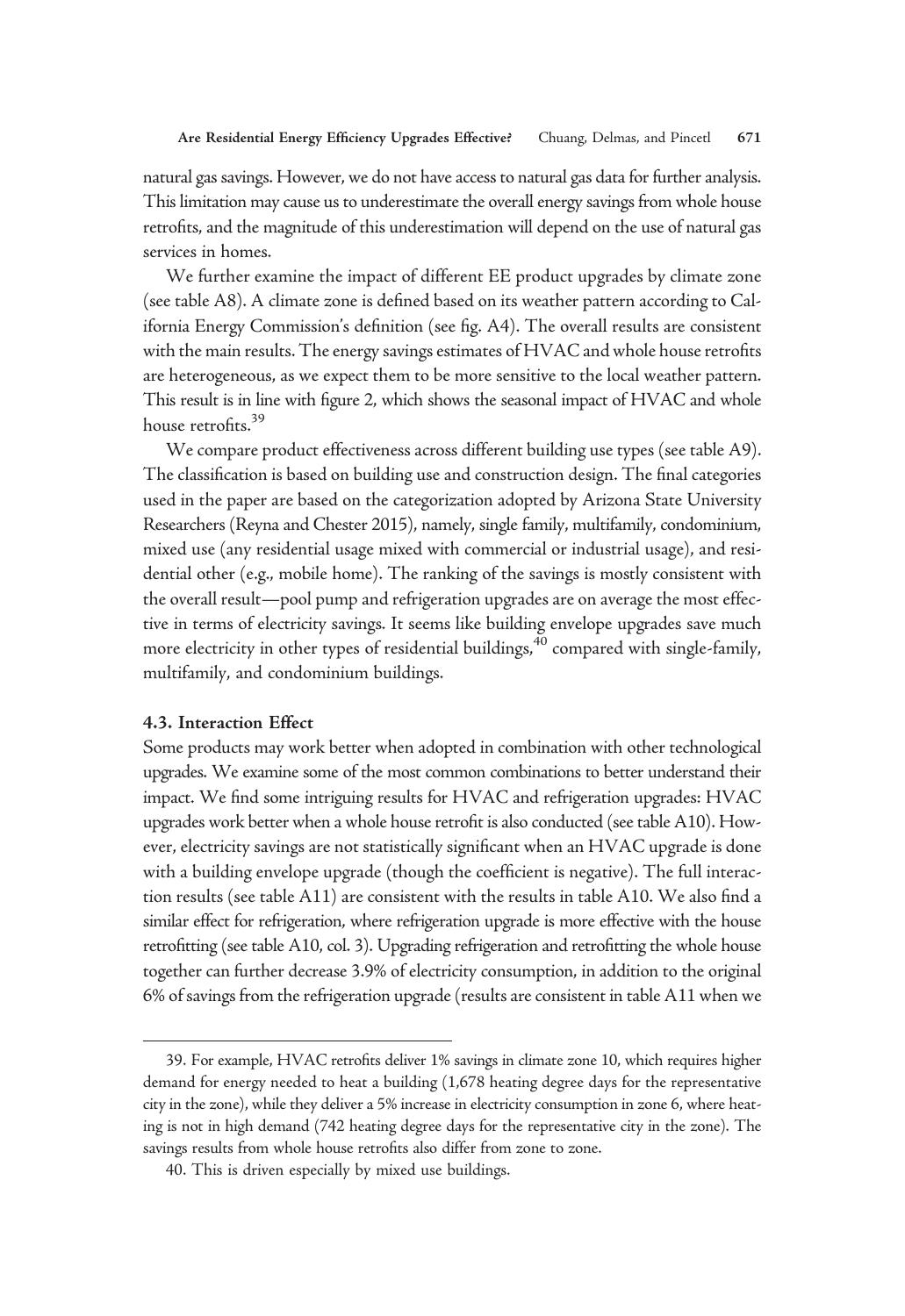natural gas savings. However, we do not have access to natural gas data for further analysis. This limitation may cause us to underestimate the overall energy savings from whole house retrofits, and the magnitude of this underestimation will depend on the use of natural gas services in homes.

We further examine the impact of different EE product upgrades by climate zone (see table A8). A climate zone is defined based on its weather pattern according to California Energy Commission's definition (see fig. A4). The overall results are consistent with the main results. The energy savings estimates of HVAC and whole house retrofits are heterogeneous, as we expect them to be more sensitive to the local weather pattern. This result is in line with figure 2, which shows the seasonal impact of HVAC and whole house retrofits.<sup>39</sup>

We compare product effectiveness across different building use types (see table A9). The classification is based on building use and construction design. The final categories used in the paper are based on the categorization adopted by Arizona State University Researchers (Reyna and Chester 2015), namely, single family, multifamily, condominium, mixed use (any residential usage mixed with commercial or industrial usage), and residential other (e.g., mobile home). The ranking of the savings is mostly consistent with the overall result—pool pump and refrigeration upgrades are on average the most effective in terms of electricity savings. It seems like building envelope upgrades save much more electricity in other types of residential buildings,<sup>40</sup> compared with single-family, multifamily, and condominium buildings.

# 4.3. Interaction Effect

Some products may work better when adopted in combination with other technological upgrades. We examine some of the most common combinations to better understand their impact. We find some intriguing results for HVAC and refrigeration upgrades: HVAC upgrades work better when a whole house retrofit is also conducted (see table A10). However, electricity savings are not statistically significant when an HVAC upgrade is done with a building envelope upgrade (though the coefficient is negative). The full interaction results (see table A11) are consistent with the results in table A10. We also find a similar effect for refrigeration, where refrigeration upgrade is more effective with the house retrofitting (see table A10, col. 3). Upgrading refrigeration and retrofitting the whole house together can further decrease 3.9% of electricity consumption, in addition to the original 6% of savings from the refrigeration upgrade (results are consistent in table A11 when we

<sup>39.</sup> For example, HVAC retrofits deliver 1% savings in climate zone 10, which requires higher demand for energy needed to heat a building (1,678 heating degree days for the representative city in the zone), while they deliver a 5% increase in electricity consumption in zone 6, where heating is not in high demand (742 heating degree days for the representative city in the zone). The savings results from whole house retrofits also differ from zone to zone.

<sup>40.</sup> This is driven especially by mixed use buildings.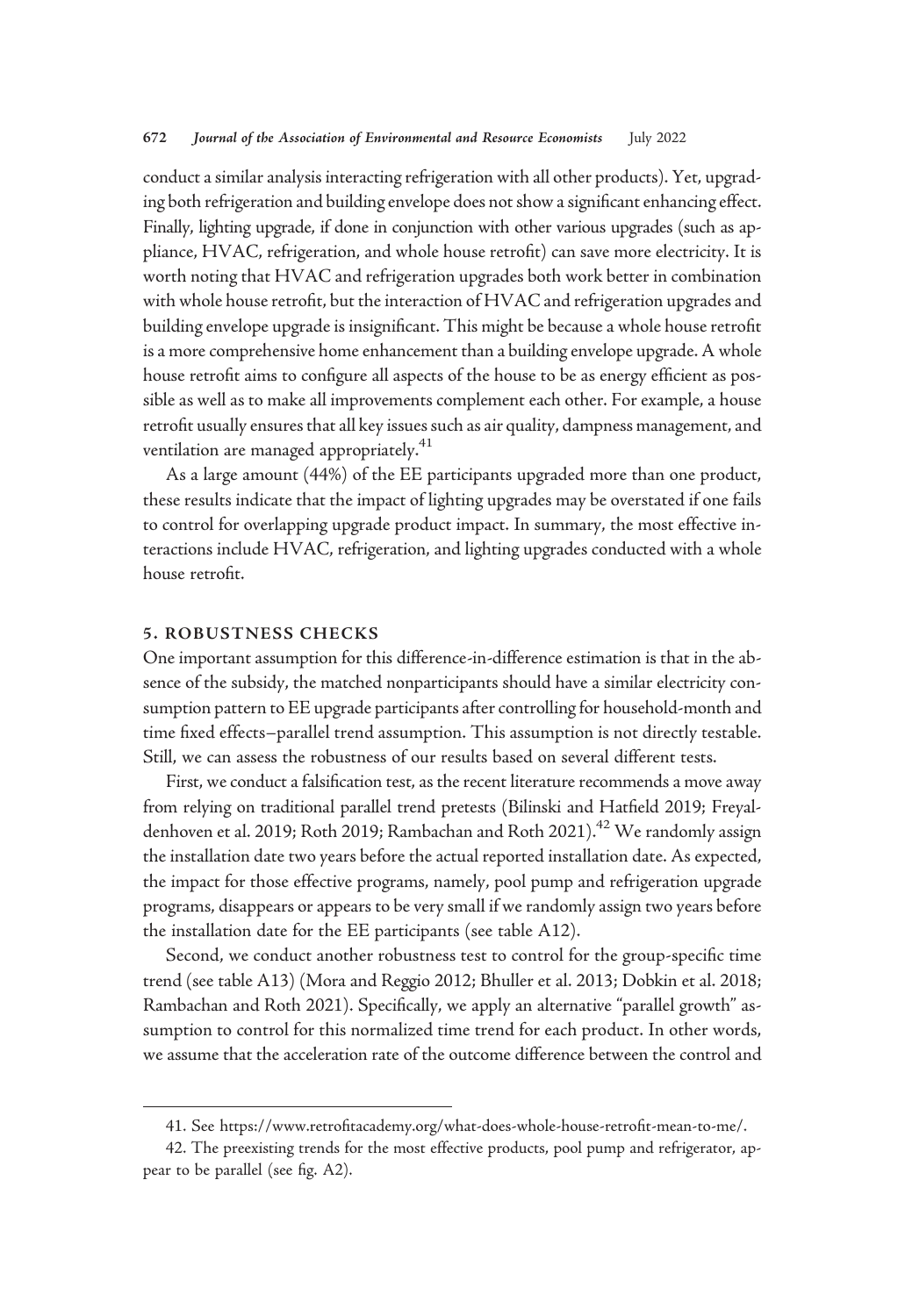conduct a similar analysis interacting refrigeration with all other products). Yet, upgrading both refrigeration and building envelope does not show a significant enhancing effect. Finally, lighting upgrade, if done in conjunction with other various upgrades (such as appliance, HVAC, refrigeration, and whole house retrofit) can save more electricity. It is worth noting that HVAC and refrigeration upgrades both work better in combination with whole house retrofit, but the interaction of HVAC and refrigeration upgrades and building envelope upgrade is insignificant. This might be because a whole house retrofit is a more comprehensive home enhancement than a building envelope upgrade. A whole house retrofit aims to configure all aspects of the house to be as energy efficient as possible as well as to make all improvements complement each other. For example, a house retrofit usually ensures that all key issues such as air quality, dampness management, and ventilation are managed appropriately.<sup>41</sup>

As a large amount (44%) of the EE participants upgraded more than one product, these results indicate that the impact of lighting upgrades may be overstated if one fails to control for overlapping upgrade product impact. In summary, the most effective interactions include HVAC, refrigeration, and lighting upgrades conducted with a whole house retrofit.

# 5. ROBUSTNESS CHECKS

One important assumption for this difference-in-difference estimation is that in the absence of the subsidy, the matched nonparticipants should have a similar electricity consumption pattern to EE upgrade participants after controlling for household-month and time fixed effects–parallel trend assumption. This assumption is not directly testable. Still, we can assess the robustness of our results based on several different tests.

First, we conduct a falsification test, as the recent literature recommends a move away from relying on traditional parallel trend pretests (Bilinski and Hatfield 2019; Freyaldenhoven et al. 2019; Roth 2019; Rambachan and Roth 2021).<sup>42</sup> We randomly assign the installation date two years before the actual reported installation date. As expected, the impact for those effective programs, namely, pool pump and refrigeration upgrade programs, disappears or appears to be very small if we randomly assign two years before the installation date for the EE participants (see table A12).

Second, we conduct another robustness test to control for the group-specific time trend (see table A13) (Mora and Reggio 2012; Bhuller et al. 2013; Dobkin et al. 2018; Rambachan and Roth 2021). Specifically, we apply an alternative "parallel growth" assumption to control for this normalized time trend for each product. In other words, we assume that the acceleration rate of the outcome difference between the control and

<sup>41.</sup> See https://www.retrofi[tacademy.org/what-does-whole-house-retro](https://www.retrofitacademy.org/what-does-whole-house-retrofit-mean-to-me/)fit-mean-to-me/.

<sup>42.</sup> The preexisting trends for the most effective products, pool pump and refrigerator, appear to be parallel (see fig. A2).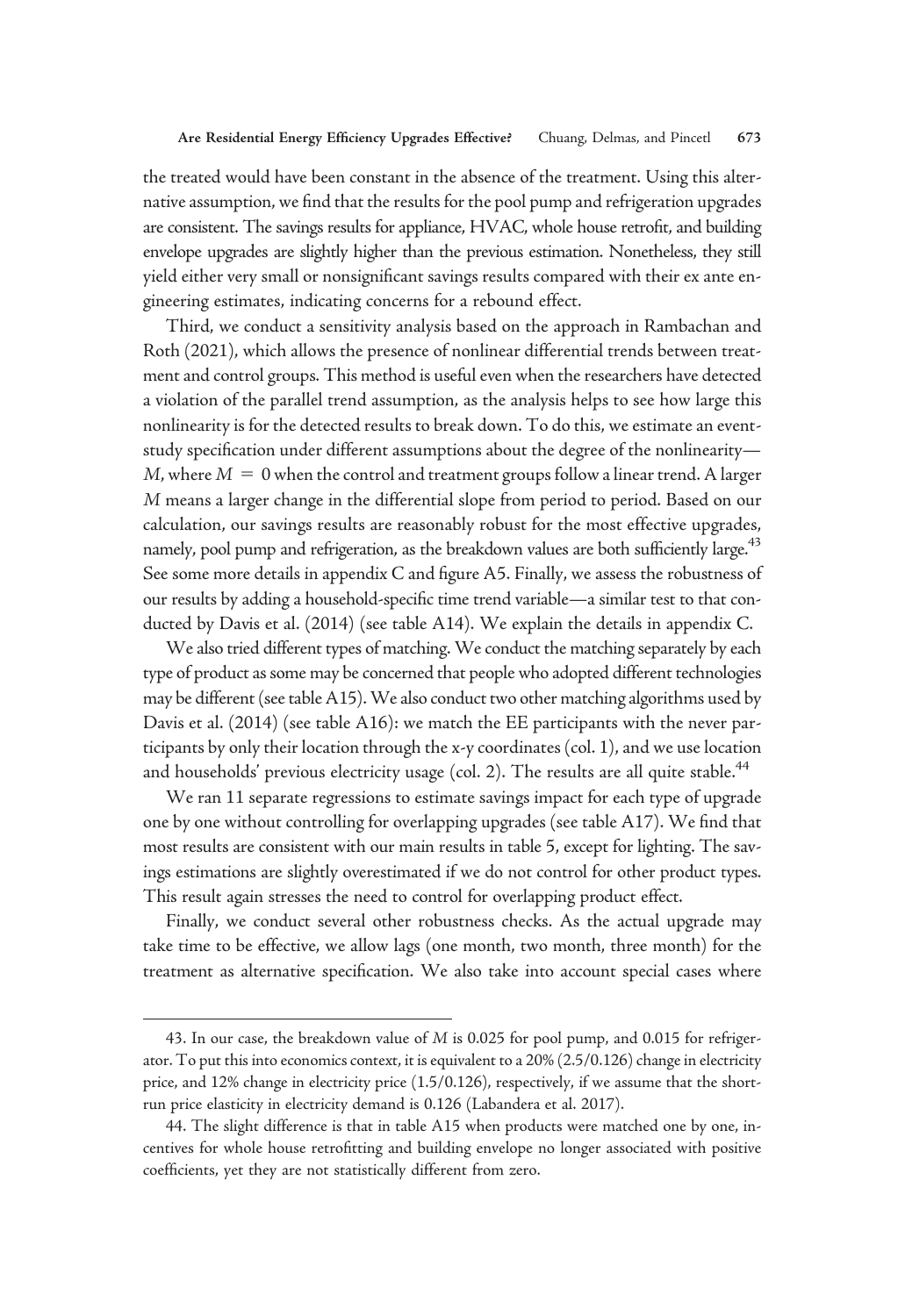the treated would have been constant in the absence of the treatment. Using this alternative assumption, we find that the results for the pool pump and refrigeration upgrades are consistent. The savings results for appliance, HVAC, whole house retrofit, and building envelope upgrades are slightly higher than the previous estimation. Nonetheless, they still yield either very small or nonsignificant savings results compared with their ex ante engineering estimates, indicating concerns for a rebound effect.

Third, we conduct a sensitivity analysis based on the approach in Rambachan and Roth (2021), which allows the presence of nonlinear differential trends between treatment and control groups. This method is useful even when the researchers have detected a violation of the parallel trend assumption, as the analysis helps to see how large this nonlinearity is for the detected results to break down. To do this, we estimate an eventstudy specification under different assumptions about the degree of the nonlinearity— M, where  $M = 0$  when the control and treatment groups follow a linear trend. A larger M means a larger change in the differential slope from period to period. Based on our calculation, our savings results are reasonably robust for the most effective upgrades, namely, pool pump and refrigeration, as the breakdown values are both sufficiently large.<sup>43</sup> See some more details in appendix C and figure A5. Finally, we assess the robustness of our results by adding a household-specific time trend variable—a similar test to that conducted by Davis et al. (2014) (see table A14). We explain the details in appendix C.

We also tried different types of matching. We conduct the matching separately by each type of product as some may be concerned that people who adopted different technologies may be different (see table A15).We also conduct two other matching algorithms used by Davis et al. (2014) (see table A16): we match the EE participants with the never participants by only their location through the x-y coordinates (col. 1), and we use location and households' previous electricity usage (col. 2). The results are all quite stable. $44$ 

We ran 11 separate regressions to estimate savings impact for each type of upgrade one by one without controlling for overlapping upgrades (see table A17). We find that most results are consistent with our main results in table 5, except for lighting. The savings estimations are slightly overestimated if we do not control for other product types. This result again stresses the need to control for overlapping product effect.

Finally, we conduct several other robustness checks. As the actual upgrade may take time to be effective, we allow lags (one month, two month, three month) for the treatment as alternative specification. We also take into account special cases where

<sup>43.</sup> In our case, the breakdown value of M is 0.025 for pool pump, and 0.015 for refrigerator. To put this into economics context, it is equivalent to a 20% (2.5/0.126) change in electricity price, and 12% change in electricity price (1.5/0.126), respectively, if we assume that the shortrun price elasticity in electricity demand is 0.126 (Labandera et al. 2017).

<sup>44.</sup> The slight difference is that in table A15 when products were matched one by one, incentives for whole house retrofitting and building envelope no longer associated with positive coefficients, yet they are not statistically different from zero.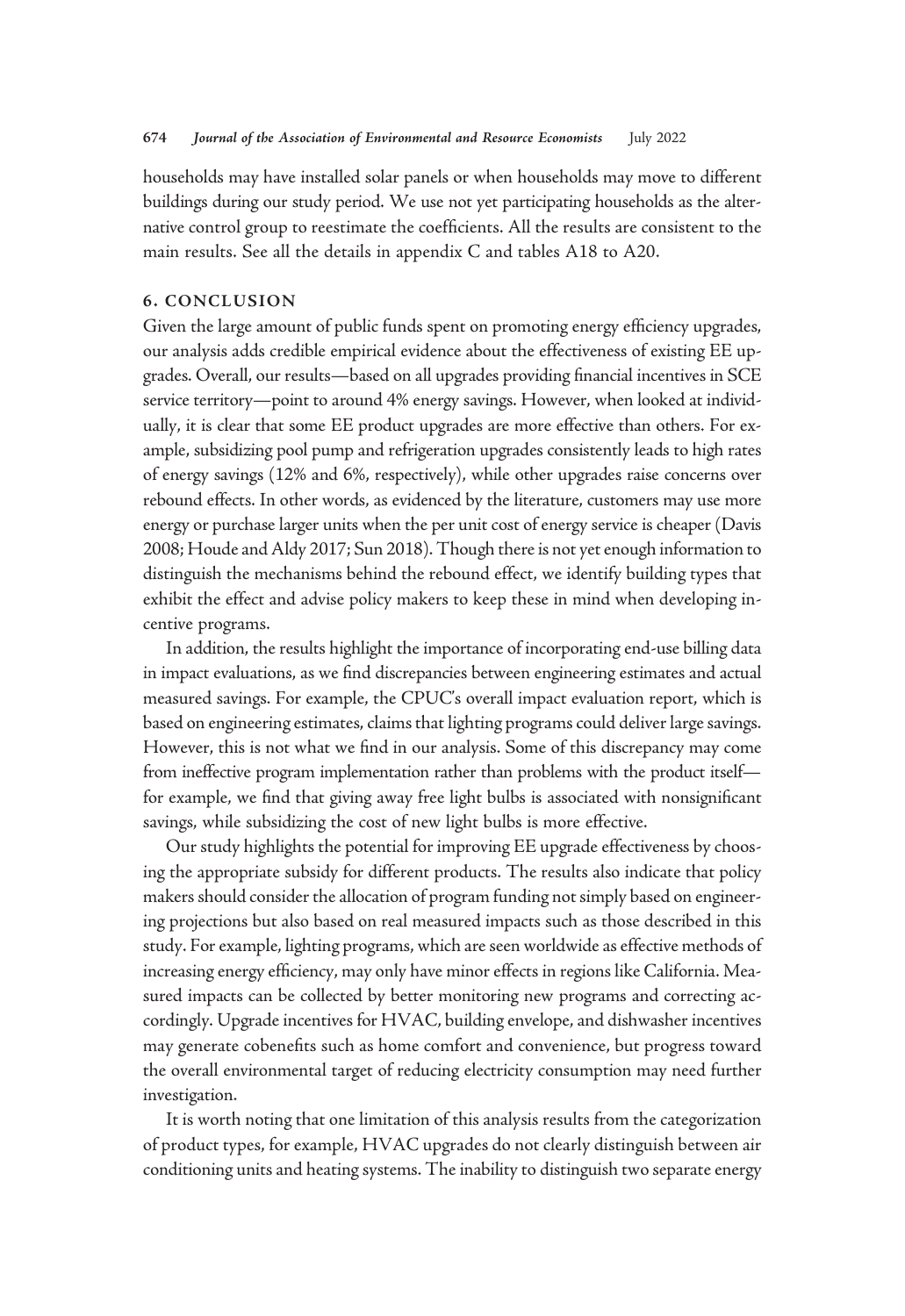households may have installed solar panels or when households may move to different buildings during our study period. We use not yet participating households as the alternative control group to reestimate the coefficients. All the results are consistent to the main results. See all the details in appendix C and tables A18 to A20.

## 6. CONCLUSION

Given the large amount of public funds spent on promoting energy efficiency upgrades, our analysis adds credible empirical evidence about the effectiveness of existing EE upgrades. Overall, our results—based on all upgrades providing financial incentives in SCE service territory—point to around 4% energy savings. However, when looked at individually, it is clear that some EE product upgrades are more effective than others. For example, subsidizing pool pump and refrigeration upgrades consistently leads to high rates of energy savings (12% and 6%, respectively), while other upgrades raise concerns over rebound effects. In other words, as evidenced by the literature, customers may use more energy or purchase larger units when the per unit cost of energy service is cheaper (Davis 2008; Houde and Aldy 2017; Sun 2018). Though there is not yet enough information to distinguish the mechanisms behind the rebound effect, we identify building types that exhibit the effect and advise policy makers to keep these in mind when developing incentive programs.

In addition, the results highlight the importance of incorporating end-use billing data in impact evaluations, as we find discrepancies between engineering estimates and actual measured savings. For example, the CPUC's overall impact evaluation report, which is based on engineering estimates, claims that lighting programs could deliver large savings. However, this is not what we find in our analysis. Some of this discrepancy may come from ineffective program implementation rather than problems with the product itself for example, we find that giving away free light bulbs is associated with nonsignificant savings, while subsidizing the cost of new light bulbs is more effective.

Our study highlights the potential for improving EE upgrade effectiveness by choosing the appropriate subsidy for different products. The results also indicate that policy makers should consider the allocation of program funding not simply based on engineering projections but also based on real measured impacts such as those described in this study. For example, lighting programs, which are seen worldwide as effective methods of increasing energy efficiency, may only have minor effects in regions like California. Measured impacts can be collected by better monitoring new programs and correcting accordingly. Upgrade incentives for HVAC, building envelope, and dishwasher incentives may generate cobenefits such as home comfort and convenience, but progress toward the overall environmental target of reducing electricity consumption may need further investigation.

It is worth noting that one limitation of this analysis results from the categorization of product types, for example, HVAC upgrades do not clearly distinguish between air conditioning units and heating systems. The inability to distinguish two separate energy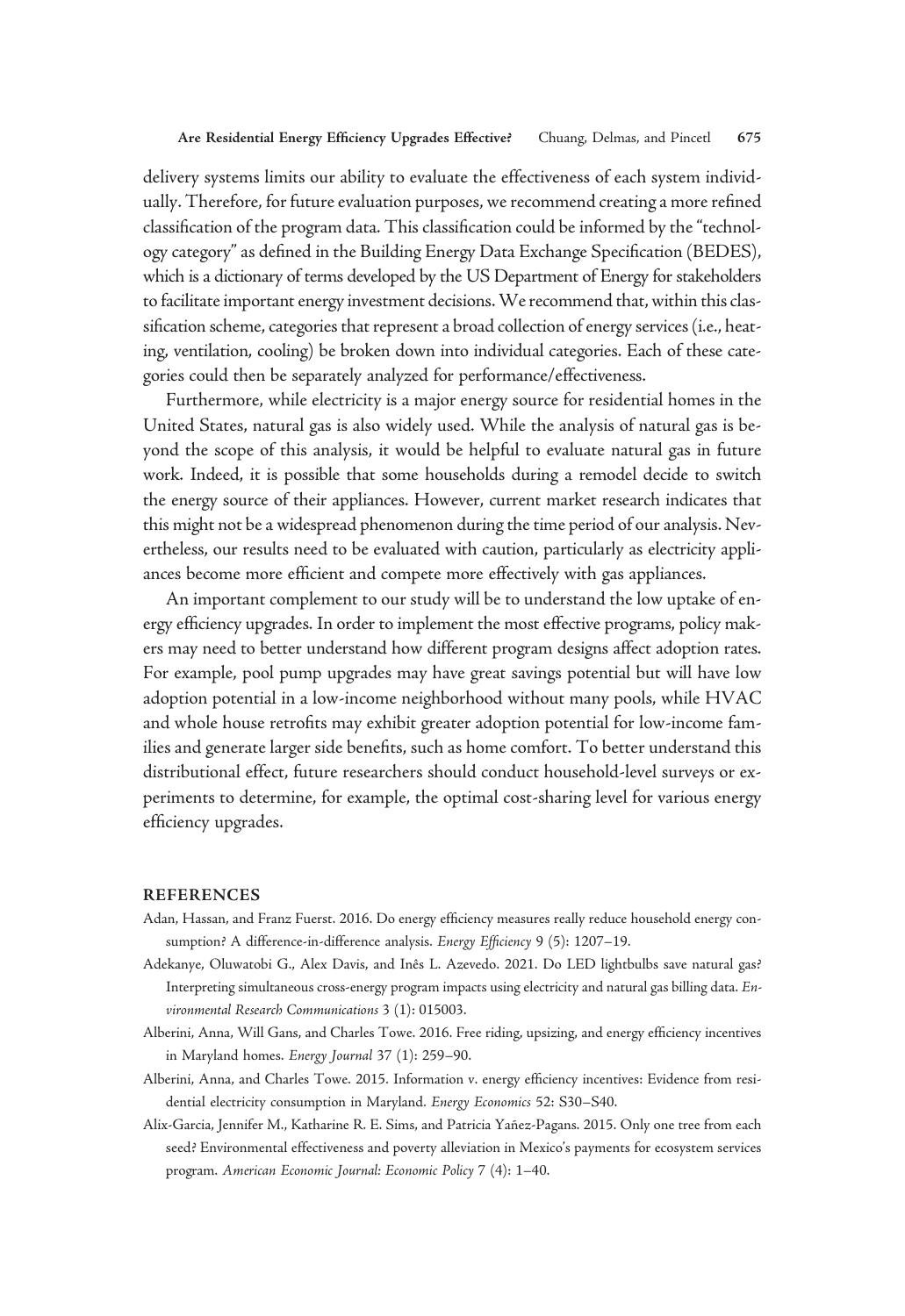delivery systems limits our ability to evaluate the effectiveness of each system individually. Therefore, for future evaluation purposes, we recommend creating a more refined classification of the program data. This classification could be informed by the"technology category" as defined in the Building Energy Data Exchange Specification (BEDES), which is a dictionary of terms developed by the US Department of Energy for stakeholders to facilitate important energy investment decisions.We recommend that, within this classification scheme, categories that represent a broad collection of energy services (i.e., heating, ventilation, cooling) be broken down into individual categories. Each of these categories could then be separately analyzed for performance/effectiveness.

Furthermore, while electricity is a major energy source for residential homes in the United States, natural gas is also widely used. While the analysis of natural gas is beyond the scope of this analysis, it would be helpful to evaluate natural gas in future work. Indeed, it is possible that some households during a remodel decide to switch the energy source of their appliances. However, current market research indicates that this might not be a widespread phenomenon during the time period of our analysis. Nevertheless, our results need to be evaluated with caution, particularly as electricity appliances become more efficient and compete more effectively with gas appliances.

An important complement to our study will be to understand the low uptake of energy efficiency upgrades. In order to implement the most effective programs, policy makers may need to better understand how different program designs affect adoption rates. For example, pool pump upgrades may have great savings potential but will have low adoption potential in a low-income neighborhood without many pools, while HVAC and whole house retrofits may exhibit greater adoption potential for low-income families and generate larger side benefits, such as home comfort. To better understand this distributional effect, future researchers should conduct household-level surveys or experiments to determine, for example, the optimal cost-sharing level for various energy efficiency upgrades.

#### **REFERENCES**

- Adan, Hassan, and Franz Fuerst. 2016. Do energy efficiency measures really reduce household energy consumption? A difference-in-difference analysis. Energy Efficiency 9 (5): 1207-19.
- Adekanye, Oluwatobi G., Alex Davis, and Inês L. Azevedo. 2021. Do LED lightbulbs save natural gas? Interpreting simultaneous cross-energy program impacts using electricity and natural gas billing data. Environmental Research Communications 3 (1): 015003.
- Alberini, Anna, Will Gans, and Charles Towe. 2016. Free riding, upsizing, and energy efficiency incentives in Maryland homes. Energy Journal 37 (1): 259–90.
- Alberini, Anna, and Charles Towe. 2015. Information v. energy efficiency incentives: Evidence from residential electricity consumption in Maryland. Energy Economics 52: S30–S40.
- Alix-Garcia, Jennifer M., Katharine R. E. Sims, and Patricia Yañez-Pagans. 2015. Only one tree from each seed? Environmental effectiveness and poverty alleviation in Mexico's payments for ecosystem services program. American Economic Journal: Economic Policy 7 (4): 1–40.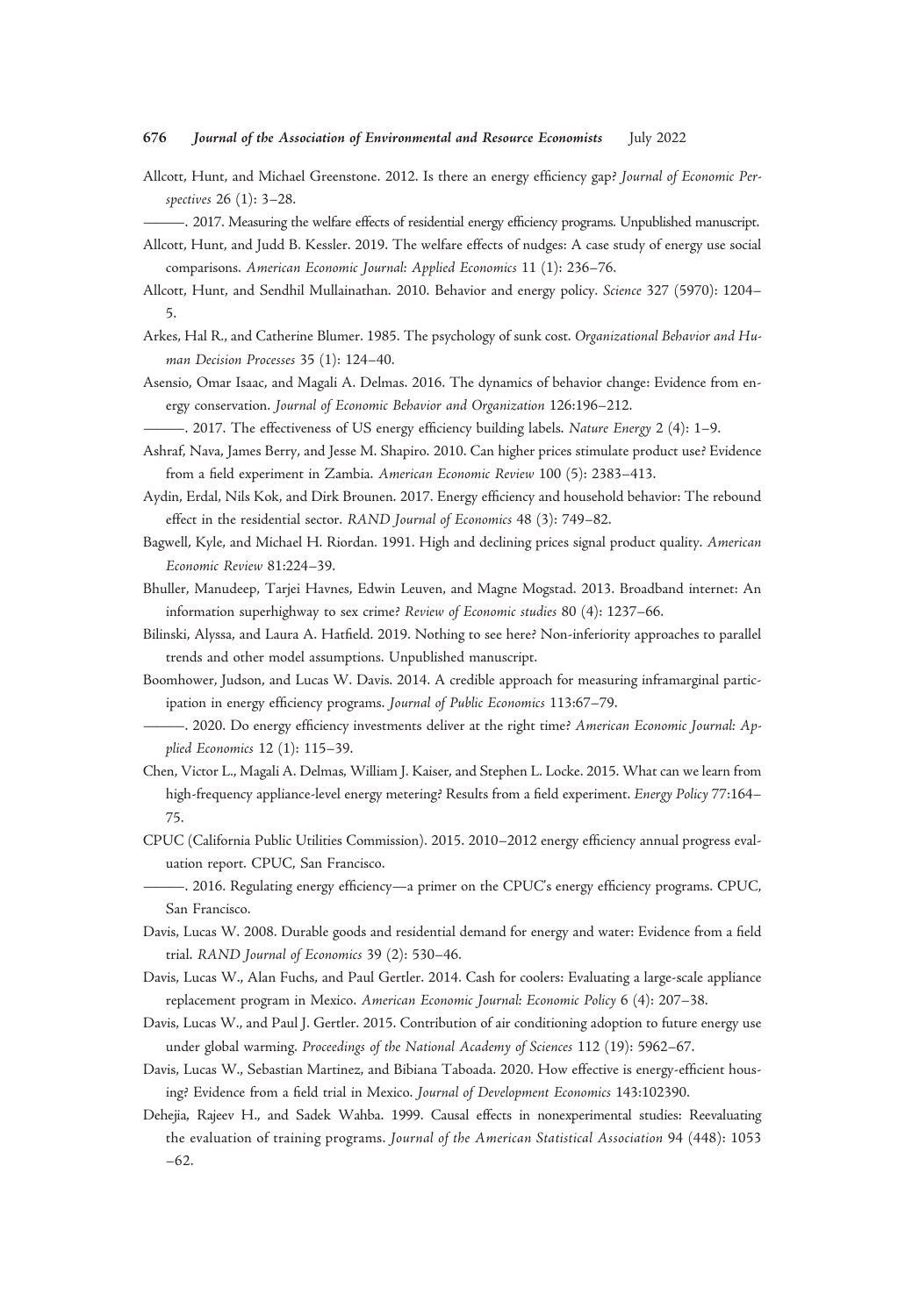## 676 Journal of the Association of Environmental and Resource Economists July 2022

- Allcott, Hunt, and Michael Greenstone. 2012. Is there an energy efficiency gap? Journal of Economic Perspectives 26 (1): 3–28.
- ———. 2017. Measuring the welfare effects of residential energy efficiency programs. Unpublished manuscript.
- Allcott, Hunt, and Judd B. Kessler. 2019. The welfare effects of nudges: A case study of energy use social comparisons. American Economic Journal: Applied Economics 11 (1): 236–76.
- Allcott, Hunt, and Sendhil Mullainathan. 2010. Behavior and energy policy. Science 327 (5970): 1204– 5.
- Arkes, Hal R., and Catherine Blumer. 1985. The psychology of sunk cost. Organizational Behavior and Human Decision Processes 35 (1): 124–40.
- Asensio, Omar Isaac, and Magali A. Delmas. 2016. The dynamics of behavior change: Evidence from energy conservation. Journal of Economic Behavior and Organization 126:196–212.
	- ———. 2017. The effectiveness of US energy efficiency building labels. Nature Energy 2 (4): 1–9.
- Ashraf, Nava, James Berry, and Jesse M. Shapiro. 2010. Can higher prices stimulate product use? Evidence from a field experiment in Zambia. American Economic Review 100 (5): 2383–413.
- Aydin, Erdal, Nils Kok, and Dirk Brounen. 2017. Energy efficiency and household behavior: The rebound effect in the residential sector. RAND Journal of Economics 48 (3): 749–82.
- Bagwell, Kyle, and Michael H. Riordan. 1991. High and declining prices signal product quality. American Economic Review 81:224–39.
- Bhuller, Manudeep, Tarjei Havnes, Edwin Leuven, and Magne Mogstad. 2013. Broadband internet: An information superhighway to sex crime? Review of Economic studies 80 (4): 1237–66.
- Bilinski, Alyssa, and Laura A. Hatfield. 2019. Nothing to see here? Non-inferiority approaches to parallel trends and other model assumptions. Unpublished manuscript.
- Boomhower, Judson, and Lucas W. Davis. 2014. A credible approach for measuring inframarginal participation in energy efficiency programs. Journal of Public Economics 113:67–79.
- —. 2020. Do energy efficiency investments deliver at the right time? American Economic Journal: Applied Economics 12 (1): 115–39.
- Chen, Victor L., Magali A. Delmas, William J. Kaiser, and Stephen L. Locke. 2015. What can we learn from high-frequency appliance-level energy metering? Results from a field experiment. Energy Policy 77:164– 75.
- CPUC (California Public Utilities Commission). 2015. 2010–2012 energy efficiency annual progress evaluation report. CPUC, San Francisco.
- ———. 2016. Regulating energy efficiency—a primer on the CPUC's energy efficiency programs. CPUC, San Francisco.
- Davis, Lucas W. 2008. Durable goods and residential demand for energy and water: Evidence from a field trial. RAND Journal of Economics 39 (2): 530–46.
- Davis, Lucas W., Alan Fuchs, and Paul Gertler. 2014. Cash for coolers: Evaluating a large-scale appliance replacement program in Mexico. American Economic Journal: Economic Policy 6 (4): 207–38.
- Davis, Lucas W., and Paul J. Gertler. 2015. Contribution of air conditioning adoption to future energy use under global warming. Proceedings of the National Academy of Sciences 112 (19): 5962–67.
- Davis, Lucas W., Sebastian Martinez, and Bibiana Taboada. 2020. How effective is energy-efficient housing? Evidence from a field trial in Mexico. Journal of Development Economics 143:102390.
- Dehejia, Rajeev H., and Sadek Wahba. 1999. Causal effects in nonexperimental studies: Reevaluating the evaluation of training programs. Journal of the American Statistical Association 94 (448): 1053 –62.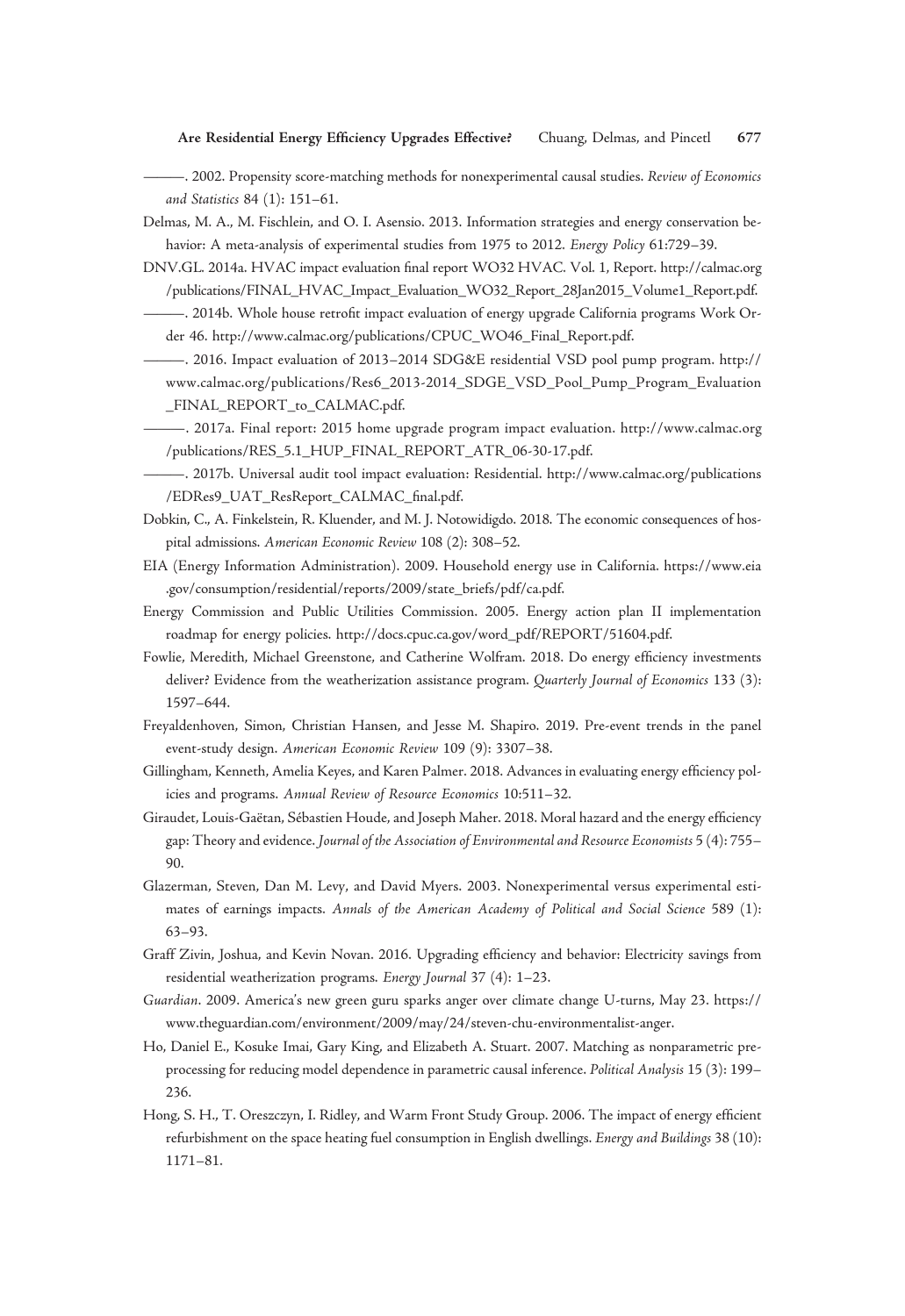- -. 2002. Propensity score-matching methods for nonexperimental causal studies. Review of Economics and Statistics 84 (1): 151–61.
- Delmas, M. A., M. Fischlein, and O. I. Asensio. 2013. Information strategies and energy conservation behavior: A meta-analysis of experimental studies from 1975 to 2012. Energy Policy 61:729–39.
- DNV.GL. 2014a. HVAC impact evaluation final report WO32 HVAC. Vol. 1, Report. [http://calmac.org](http://calmac.org/publications/FINAL_HVAC_Impact_Evaluation_WO32_Report_28Jan2015_Volume1_Report.pdf) [/publications/FINAL\\_HVAC\\_Impact\\_Evaluation\\_WO32\\_Report\\_28Jan2015\\_Volume1\\_Report.pdf](http://calmac.org/publications/FINAL_HVAC_Impact_Evaluation_WO32_Report_28Jan2015_Volume1_Report.pdf).
	- ———. 2014b. Whole house retrofit impact evaluation of energy upgrade California programs Work Order 46. [http://www.calmac.org/publications/CPUC\\_WO46\\_Final\\_Report.pdf.](http://www.calmac.org/publications/CPUC_WO46_Final_Report.pdf)
- ———. 2016. Impact evaluation of 2013–2014 SDG&E residential VSD pool pump program. [http://](http://www.calmac.org/publications/Res6_2013-2014_SDGE_VSD_Pool_Pump_Program_Evaluation_FINAL_REPORT_to_CALMAC.pdf) [www.calmac.org/publications/Res6\\_2013-2014\\_SDGE\\_VSD\\_Pool\\_Pump\\_Program\\_Evaluation](http://www.calmac.org/publications/Res6_2013-2014_SDGE_VSD_Pool_Pump_Program_Evaluation_FINAL_REPORT_to_CALMAC.pdf) [\\_FINAL\\_REPORT\\_to\\_CALMAC.pdf.](http://www.calmac.org/publications/Res6_2013-2014_SDGE_VSD_Pool_Pump_Program_Evaluation_FINAL_REPORT_to_CALMAC.pdf)
- ———. 2017a. Final report: 2015 home upgrade program impact evaluation. [http://www.calmac.org](http://www.calmac.org/publications/RES_5.1_HUP_FINAL_REPORT_ATR_06-30-17.pdf) [/publications/RES\\_5.1\\_HUP\\_FINAL\\_REPORT\\_ATR\\_06-30-17.pdf.](http://www.calmac.org/publications/RES_5.1_HUP_FINAL_REPORT_ATR_06-30-17.pdf)
- ———. 2017b. Universal audit tool impact evaluation: Residential. [http://www.calmac.org/publications](http://www.calmac.org/publications/EDRes9_UAT_ResReport_CALMAC_final.pdf) [/EDRes9\\_UAT\\_ResReport\\_CALMAC\\_](http://www.calmac.org/publications/EDRes9_UAT_ResReport_CALMAC_final.pdf)final.pdf.
- Dobkin, C., A. Finkelstein, R. Kluender, and M. J. Notowidigdo. 2018. The economic consequences of hospital admissions. American Economic Review 108 (2): 308–52.
- EIA (Energy Information Administration). 2009. Household energy use in California. [https://www.eia](https://www.eia.gov/consumption/residential/reports/2009/state_briefs/pdf/ca.pdf) [.gov/consumption/residential/reports/2009/state\\_briefs/pdf/ca.pdf](https://www.eia.gov/consumption/residential/reports/2009/state_briefs/pdf/ca.pdf).
- Energy Commission and Public Utilities Commission. 2005. Energy action plan II implementation roadmap for energy policies. [http://docs.cpuc.ca.gov/word\\_pdf/REPORT/51604.pdf.](http://docs.cpuc.ca.gov/word_pdf/REPORT/51604.pdf)
- Fowlie, Meredith, Michael Greenstone, and Catherine Wolfram. 2018. Do energy efficiency investments deliver? Evidence from the weatherization assistance program. Quarterly Journal of Economics 133 (3): 1597–644.
- Freyaldenhoven, Simon, Christian Hansen, and Jesse M. Shapiro. 2019. Pre-event trends in the panel event-study design. American Economic Review 109 (9): 3307–38.
- Gillingham, Kenneth, Amelia Keyes, and Karen Palmer. 2018. Advances in evaluating energy efficiency policies and programs. Annual Review of Resource Economics 10:511–32.
- Giraudet, Louis-Gaëtan, Sébastien Houde, and Joseph Maher. 2018. Moral hazard and the energy efficiency gap: Theory and evidence. Journal of the Association of Environmental and Resource Economists 5 (4): 755– 90.
- Glazerman, Steven, Dan M. Levy, and David Myers. 2003. Nonexperimental versus experimental estimates of earnings impacts. Annals of the American Academy of Political and Social Science 589 (1): 63–93.
- Graff Zivin, Joshua, and Kevin Novan. 2016. Upgrading efficiency and behavior: Electricity savings from residential weatherization programs. Energy Journal 37 (4): 1–23.
- Guardian. 2009. America's new green guru sparks anger over climate change U-turns, May 23. [https://](https://www.theguardian.com/environment/2009/may/24/steven-chu-environmentalist-anger) [www.theguardian.com/environment/2009/may/24/steven-chu-environmentalist-anger.](https://www.theguardian.com/environment/2009/may/24/steven-chu-environmentalist-anger)
- Ho, Daniel E., Kosuke Imai, Gary King, and Elizabeth A. Stuart. 2007. Matching as nonparametric preprocessing for reducing model dependence in parametric causal inference. Political Analysis 15 (3): 199– 236.
- Hong, S. H., T. Oreszczyn, I. Ridley, and Warm Front Study Group. 2006. The impact of energy efficient refurbishment on the space heating fuel consumption in English dwellings. Energy and Buildings 38 (10): 1171–81.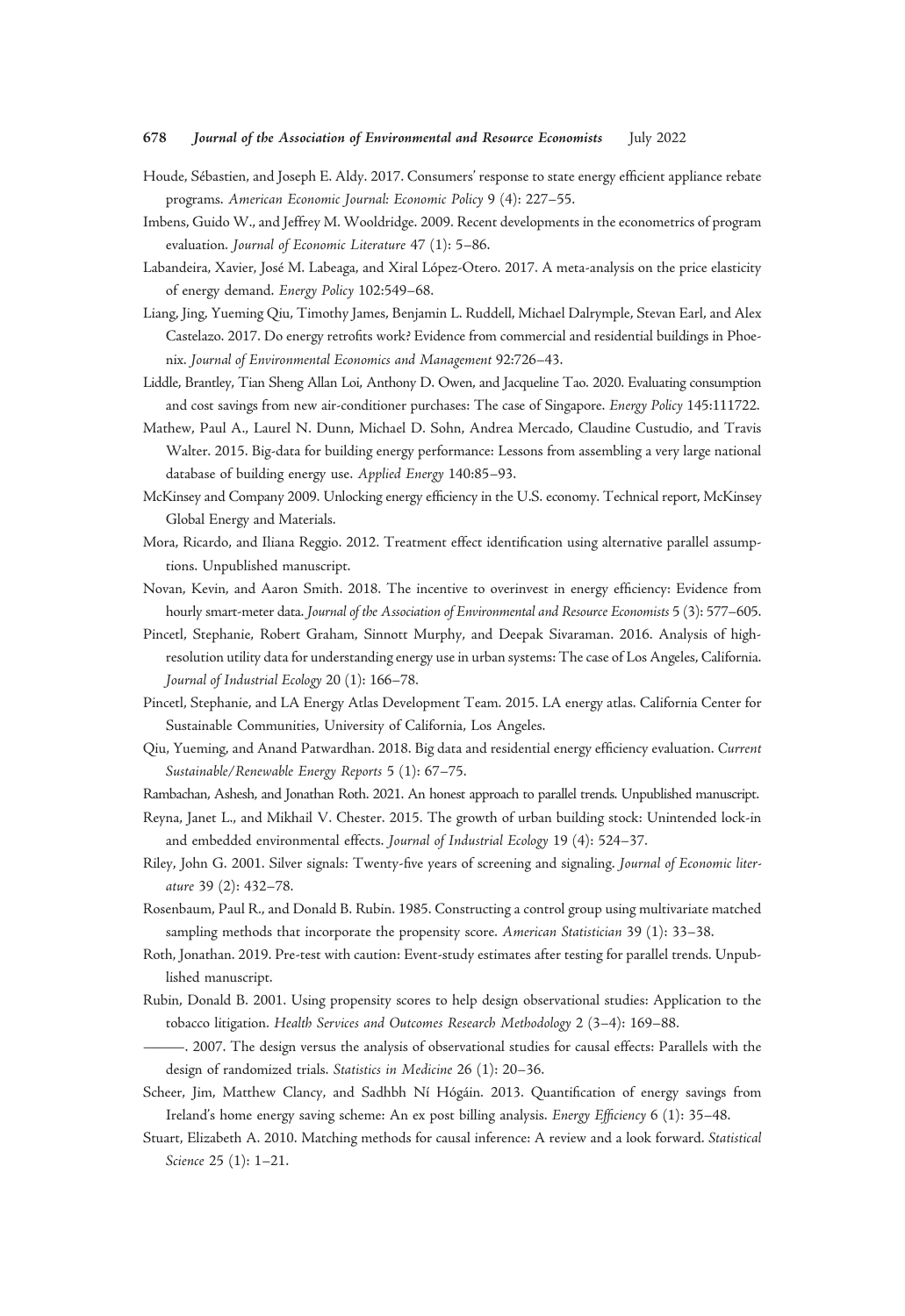#### 678 Journal of the Association of Environmental and Resource Economists July 2022

- Houde, Sébastien, and Joseph E. Aldy. 2017. Consumers' response to state energy efficient appliance rebate programs. American Economic Journal: Economic Policy 9 (4): 227–55.
- Imbens, Guido W., and Jeffrey M. Wooldridge. 2009. Recent developments in the econometrics of program evaluation. Journal of Economic Literature 47 (1): 5–86.
- Labandeira, Xavier, José M. Labeaga, and Xiral López-Otero. 2017. A meta-analysis on the price elasticity of energy demand. Energy Policy 102:549–68.
- Liang, Jing, Yueming Qiu, Timothy James, Benjamin L. Ruddell, Michael Dalrymple, Stevan Earl, and Alex Castelazo. 2017. Do energy retrofits work? Evidence from commercial and residential buildings in Phoenix. Journal of Environmental Economics and Management 92:726–43.
- Liddle, Brantley, Tian Sheng Allan Loi, Anthony D. Owen, and Jacqueline Tao. 2020. Evaluating consumption and cost savings from new air-conditioner purchases: The case of Singapore. Energy Policy 145:111722.
- Mathew, Paul A., Laurel N. Dunn, Michael D. Sohn, Andrea Mercado, Claudine Custudio, and Travis Walter. 2015. Big-data for building energy performance: Lessons from assembling a very large national database of building energy use. Applied Energy 140:85–93.
- McKinsey and Company 2009. Unlocking energy efficiency in the U.S. economy. Technical report, McKinsey Global Energy and Materials.
- Mora, Ricardo, and Iliana Reggio. 2012. Treatment effect identification using alternative parallel assumptions. Unpublished manuscript.
- Novan, Kevin, and Aaron Smith. 2018. The incentive to overinvest in energy efficiency: Evidence from hourly smart-meter data. Journal of the Association of Environmental and Resource Economists 5 (3): 577–605.
- Pincetl, Stephanie, Robert Graham, Sinnott Murphy, and Deepak Sivaraman. 2016. Analysis of highresolution utility data for understanding energy use in urban systems: The case of Los Angeles, California. Journal of Industrial Ecology 20 (1): 166–78.
- Pincetl, Stephanie, and LA Energy Atlas Development Team. 2015. LA energy atlas. California Center for Sustainable Communities, University of California, Los Angeles.
- Qiu, Yueming, and Anand Patwardhan. 2018. Big data and residential energy efficiency evaluation. Current Sustainable/Renewable Energy Reports 5 (1): 67–75.
- Rambachan, Ashesh, and Jonathan Roth. 2021. An honest approach to parallel trends. Unpublished manuscript.
- Reyna, Janet L., and Mikhail V. Chester. 2015. The growth of urban building stock: Unintended lock-in and embedded environmental effects. Journal of Industrial Ecology 19 (4): 524–37.
- Riley, John G. 2001. Silver signals: Twenty-five years of screening and signaling. Journal of Economic literature 39 (2): 432–78.
- Rosenbaum, Paul R., and Donald B. Rubin. 1985. Constructing a control group using multivariate matched sampling methods that incorporate the propensity score. American Statistician 39 (1): 33-38.
- Roth, Jonathan. 2019. Pre-test with caution: Event-study estimates after testing for parallel trends. Unpublished manuscript.
- Rubin, Donald B. 2001. Using propensity scores to help design observational studies: Application to the tobacco litigation. Health Services and Outcomes Research Methodology 2 (3–4): 169–88.
- ———. 2007. The design versus the analysis of observational studies for causal effects: Parallels with the design of randomized trials. Statistics in Medicine 26 (1): 20–36.
- Scheer, Jim, Matthew Clancy, and Sadhbh Ní Hógáin. 2013. Quantification of energy savings from Ireland's home energy saving scheme: An ex post billing analysis. Energy Efficiency 6 (1): 35–48.
- Stuart, Elizabeth A. 2010. Matching methods for causal inference: A review and a look forward. Statistical Science 25 (1): 1–21.